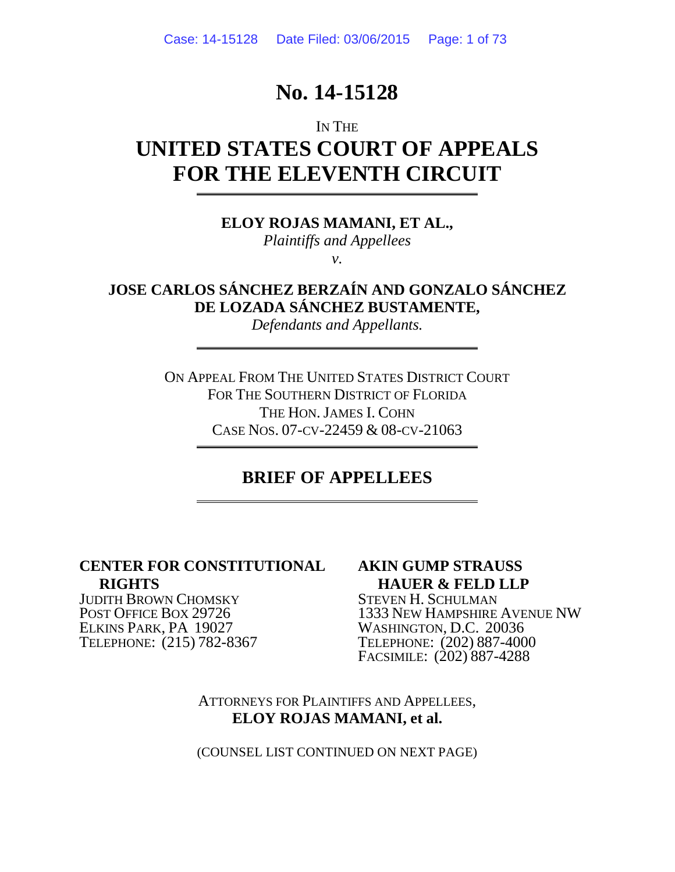# **No. 14-15128**

# IN THE **UNITED STATES COURT OF APPEALS FOR THE ELEVENTH CIRCUIT**

**ELOY ROJAS MAMANI, ET AL.,** *Plaintiffs and Appellees*

*v.*

**JOSE CARLOS SÁNCHEZ BERZAÍN AND GONZALO SÁNCHEZ DE LOZADA SÁNCHEZ BUSTAMENTE,**

*Defendants and Appellants.*

ON APPEAL FROM THE UNITED STATES DISTRICT COURT FOR THE SOUTHERN DISTRICT OF FLORIDA THE HON.JAMES I. COHN CASE NOS. 07-CV-22459 & 08-CV-21063

# **BRIEF OF APPELLEES**

## **CENTER FOR CONSTITUTIONAL RIGHTS**

JUDITH BROWN CHOMSKY POST OFFICE BOX 29726 ELKINS PARK, PA 19027 TELEPHONE: (215) 782-8367

## **AKIN GUMP STRAUSS HAUER & FELD LLP**

STEVEN H. SCHULMAN 1333 NEW HAMPSHIRE AVENUE NW WASHINGTON, D.C. 20036 TELEPHONE: (202) 887-4000 FACSIMILE: (202) 887-4288

ATTORNEYS FOR PLAINTIFFS AND APPELLEES, **ELOY ROJAS MAMANI, et al.**

(COUNSEL LIST CONTINUED ON NEXT PAGE)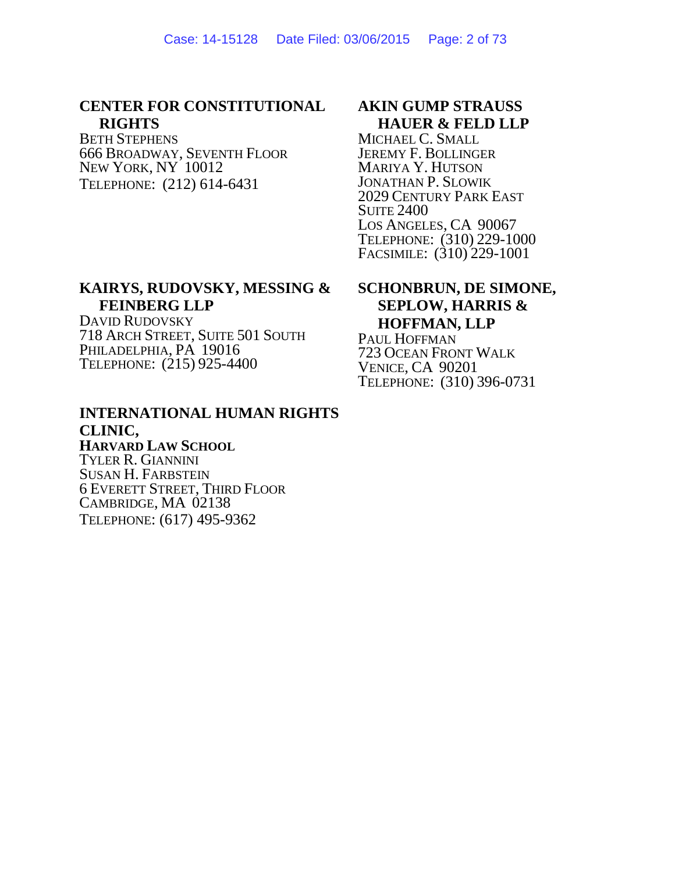### **CENTER FOR CONSTITUTIONAL RIGHTS**

BETH STEPHENS 666 BROADWAY, SEVENTH FLOOR NEW YORK, NY 10012 TELEPHONE: (212) 614-6431

## **AKIN GUMP STRAUSS HAUER & FELD LLP**

MICHAEL C. SMALL JEREMY F. BOLLINGER MARIYA Y. HUTSON JONATHAN P. SLOWIK 2029 CENTURY PARK EAST SUITE 2400 LOS ANGELES, CA 90067 TELEPHONE: (310) 229-1000 FACSIMILE: (310) 229-1001

## **KAIRYS, RUDOVSKY, MESSING & FEINBERG LLP**

DAVID RUDOVSKY 718 ARCH STREET, SUITE 501 SOUTH PHILADELPHIA, PA 19016 TELEPHONE: (215) 925-4400

## **INTERNATIONAL HUMAN RIGHTS CLINIC, HARVARD LAW SCHOOL**

TYLER R. GIANNINI SUSAN H. FARBSTEIN 6 EVERETT STREET, THIRD FLOOR CAMBRIDGE, MA 02138 TELEPHONE: (617) 495-9362

## **SCHONBRUN, DE SIMONE, SEPLOW, HARRIS & HOFFMAN, LLP**

PAUL HOFFMAN 723 OCEAN FRONT WALK VENICE, CA 90201 TELEPHONE: (310) 396-0731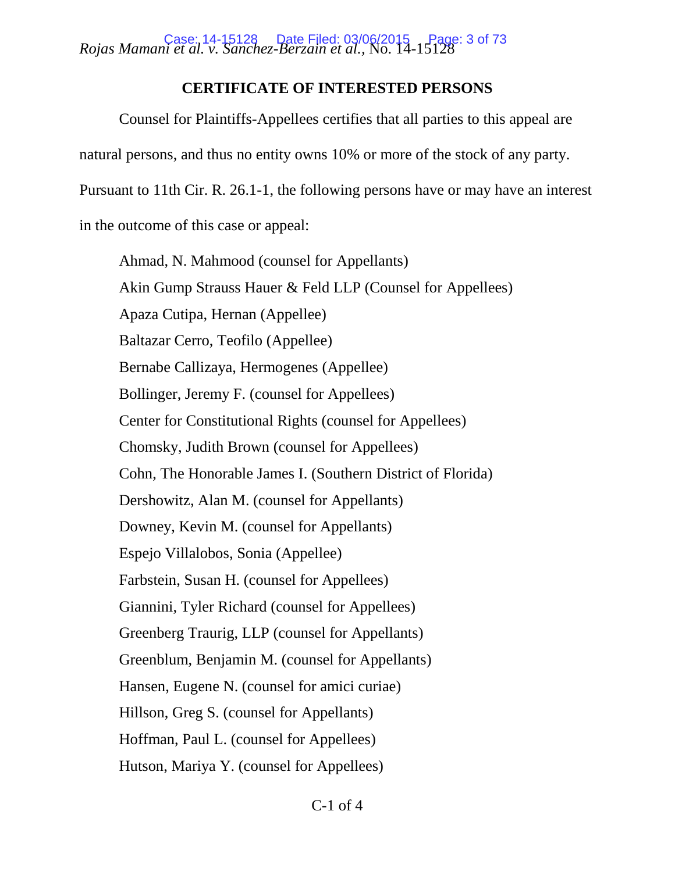*Rojas Mamani et al. v. Sanchez-Berzain et al.,* No. 14-15128 Case: 14-15128 Date Filed: 03/06/2015 Page: 3 of 73

## **CERTIFICATE OF INTERESTED PERSONS**

Counsel for Plaintiffs-Appellees certifies that all parties to this appeal are

natural persons, and thus no entity owns 10% or more of the stock of any party.

Pursuant to 11th Cir. R. 26.1-1, the following persons have or may have an interest

in the outcome of this case or appeal:

Ahmad, N. Mahmood (counsel for Appellants) Akin Gump Strauss Hauer & Feld LLP (Counsel for Appellees) Apaza Cutipa, Hernan (Appellee) Baltazar Cerro, Teofilo (Appellee) Bernabe Callizaya, Hermogenes (Appellee) Bollinger, Jeremy F. (counsel for Appellees) Center for Constitutional Rights (counsel for Appellees) Chomsky, Judith Brown (counsel for Appellees) Cohn, The Honorable James I. (Southern District of Florida) Dershowitz, Alan M. (counsel for Appellants) Downey, Kevin M. (counsel for Appellants) Espejo Villalobos, Sonia (Appellee) Farbstein, Susan H. (counsel for Appellees) Giannini, Tyler Richard (counsel for Appellees) Greenberg Traurig, LLP (counsel for Appellants) Greenblum, Benjamin M. (counsel for Appellants) Hansen, Eugene N. (counsel for amici curiae) Hillson, Greg S. (counsel for Appellants) Hoffman, Paul L. (counsel for Appellees) Hutson, Mariya Y. (counsel for Appellees)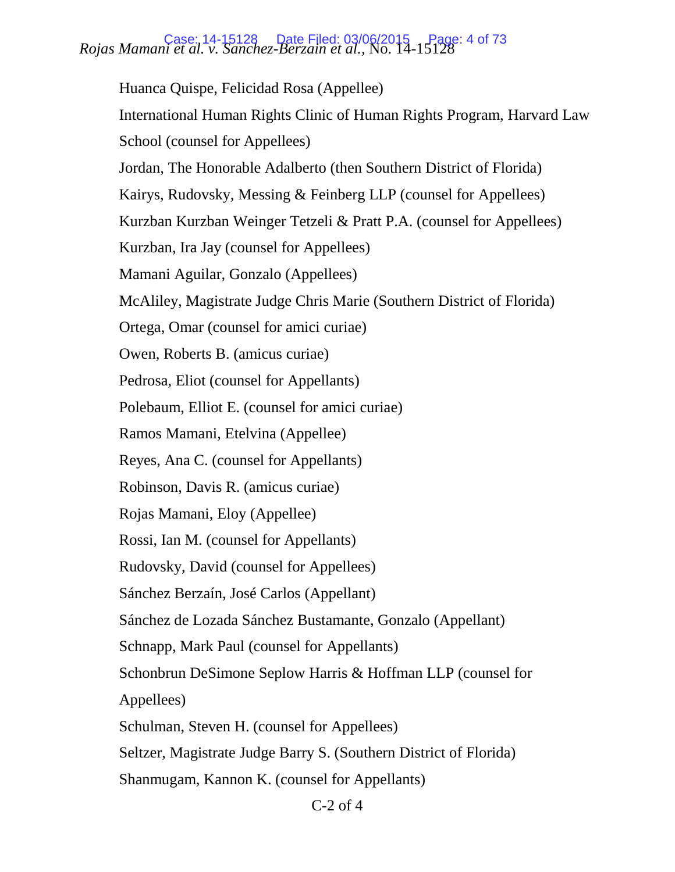# *Rojas Mamani et al. v. Sanchez-Berzain et al.,* No. 14-15128 Case: 14-15128 Date Filed: 03/06/2015 Page: 4 of 73

Huanca Quispe, Felicidad Rosa (Appellee) International Human Rights Clinic of Human Rights Program, Harvard Law School (counsel for Appellees) Jordan, The Honorable Adalberto (then Southern District of Florida) Kairys, Rudovsky, Messing & Feinberg LLP (counsel for Appellees) Kurzban Kurzban Weinger Tetzeli & Pratt P.A. (counsel for Appellees) Kurzban, Ira Jay (counsel for Appellees) Mamani Aguilar, Gonzalo (Appellees) McAliley, Magistrate Judge Chris Marie (Southern District of Florida) Ortega, Omar (counsel for amici curiae) Owen, Roberts B. (amicus curiae) Pedrosa, Eliot (counsel for Appellants) Polebaum, Elliot E. (counsel for amici curiae) Ramos Mamani, Etelvina (Appellee) Reyes, Ana C. (counsel for Appellants) Robinson, Davis R. (amicus curiae) Rojas Mamani, Eloy (Appellee) Rossi, Ian M. (counsel for Appellants) Rudovsky, David (counsel for Appellees) Sánchez Berzaín, José Carlos (Appellant) Sánchez de Lozada Sánchez Bustamante, Gonzalo (Appellant) Schnapp, Mark Paul (counsel for Appellants) Schonbrun DeSimone Seplow Harris & Hoffman LLP (counsel for Appellees) Schulman, Steven H. (counsel for Appellees) Seltzer, Magistrate Judge Barry S. (Southern District of Florida) Shanmugam, Kannon K. (counsel for Appellants)

C-2 of 4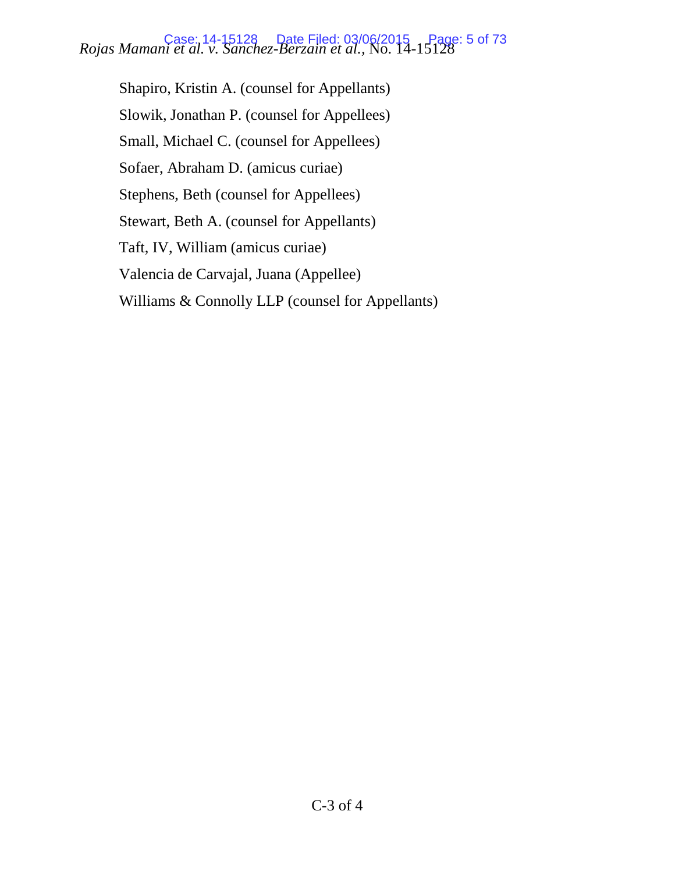# *Rojas Mamani et al. v. Sanchez-Berzain et al.,* No. 14-15128 Case: 14-15128 Date Filed: 03/06/2015 Page: 5 of 73

Shapiro, Kristin A. (counsel for Appellants) Slowik, Jonathan P. (counsel for Appellees) Small, Michael C. (counsel for Appellees) Sofaer, Abraham D. (amicus curiae) Stephens, Beth (counsel for Appellees) Stewart, Beth A. (counsel for Appellants) Taft, IV, William (amicus curiae) Valencia de Carvajal, Juana (Appellee) Williams & Connolly LLP (counsel for Appellants)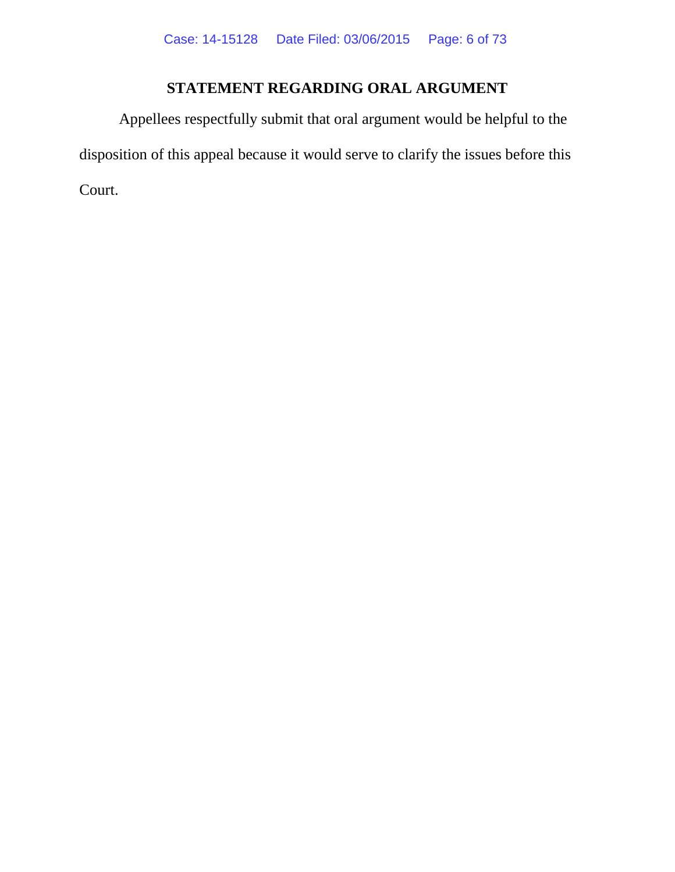# **STATEMENT REGARDING ORAL ARGUMENT**

<span id="page-5-0"></span>Appellees respectfully submit that oral argument would be helpful to the disposition of this appeal because it would serve to clarify the issues before this Court.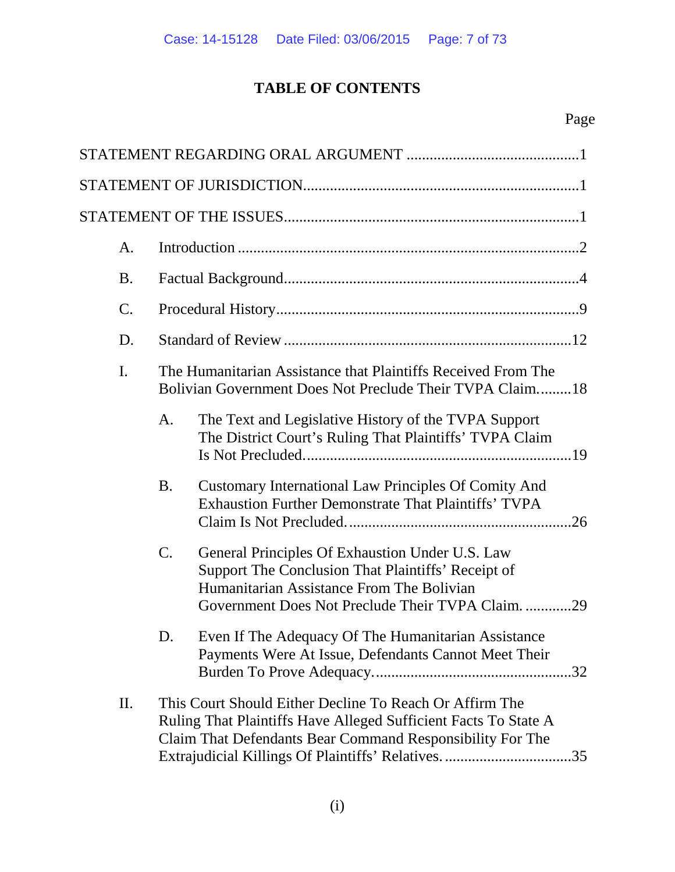# **TABLE OF CONTENTS**

| A.             |                                                                                                                                                                                                                                                |
|----------------|------------------------------------------------------------------------------------------------------------------------------------------------------------------------------------------------------------------------------------------------|
| <b>B.</b>      |                                                                                                                                                                                                                                                |
| $\mathcal{C}.$ |                                                                                                                                                                                                                                                |
| D.             |                                                                                                                                                                                                                                                |
| I.             | The Humanitarian Assistance that Plaintiffs Received From The<br>Bolivian Government Does Not Preclude Their TVPA Claim18                                                                                                                      |
|                | The Text and Legislative History of the TVPA Support<br>A.<br>The District Court's Ruling That Plaintiffs' TVPA Claim                                                                                                                          |
|                | Customary International Law Principles Of Comity And<br><b>B.</b><br><b>Exhaustion Further Demonstrate That Plaintiffs' TVPA</b>                                                                                                               |
|                | C.<br>General Principles Of Exhaustion Under U.S. Law<br>Support The Conclusion That Plaintiffs' Receipt of<br>Humanitarian Assistance From The Bolivian<br>Government Does Not Preclude Their TVPA Claim. 29                                  |
|                | Even If The Adequacy Of The Humanitarian Assistance<br>D.<br>Payments Were At Issue, Defendants Cannot Meet Their                                                                                                                              |
| П.             | This Court Should Either Decline To Reach Or Affirm The<br>Ruling That Plaintiffs Have Alleged Sufficient Facts To State A<br>Claim That Defendants Bear Command Responsibility For The<br>Extrajudicial Killings Of Plaintiffs' Relatives. 35 |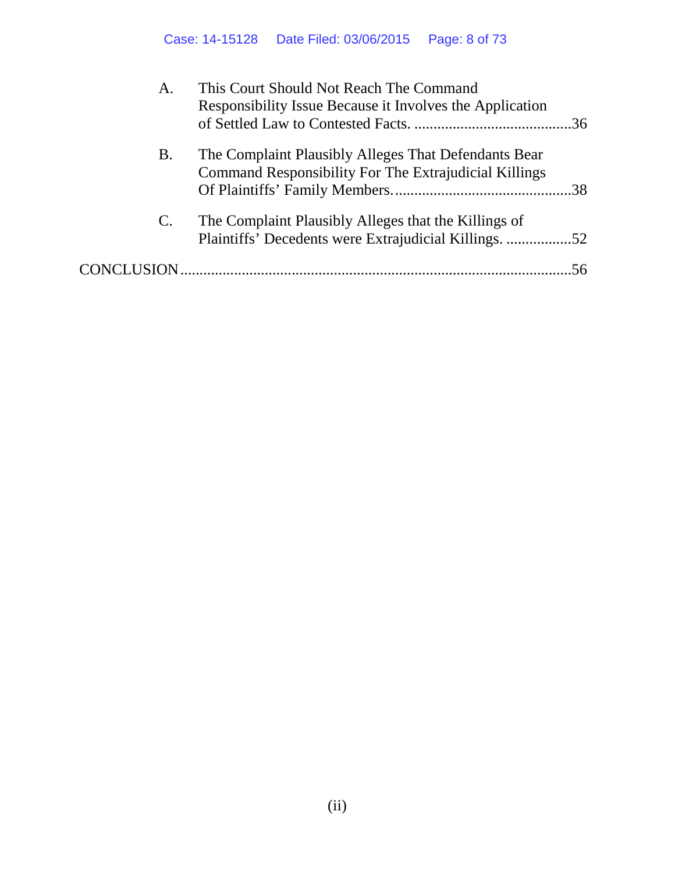| A.             | This Court Should Not Reach The Command<br>Responsibility Issue Because it Involves the Application           |     |
|----------------|---------------------------------------------------------------------------------------------------------------|-----|
| Β.             | The Complaint Plausibly Alleges That Defendants Bear<br>Command Responsibility For The Extrajudicial Killings |     |
| $\mathbf{C}$ . | The Complaint Plausibly Alleges that the Killings of<br>Plaintiffs' Decedents were Extrajudicial Killings. 52 |     |
|                |                                                                                                               | .56 |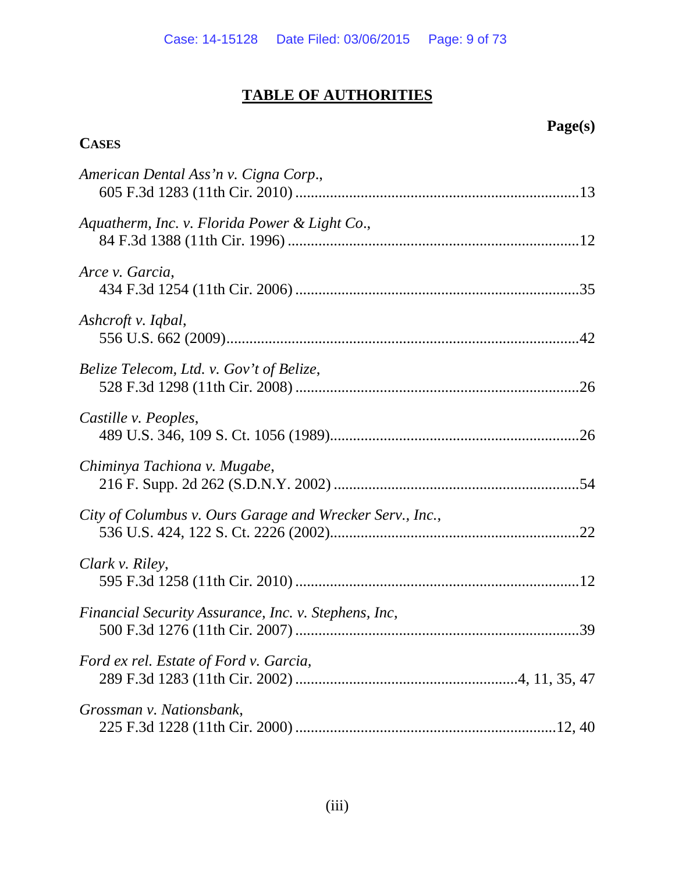# **TABLE OF AUTHORITIES**

# **Page(s)**

## **CASES**

| American Dental Ass'n v. Cigna Corp.,                    |
|----------------------------------------------------------|
| Aquatherm, Inc. v. Florida Power & Light Co.,            |
| Arce v. Garcia,                                          |
| Ashcroft v. Iqbal,                                       |
| Belize Telecom, Ltd. v. Gov't of Belize,                 |
| Castille v. Peoples,                                     |
| Chiminya Tachiona v. Mugabe,                             |
| City of Columbus v. Ours Garage and Wrecker Serv., Inc., |
| Clark v. Riley,                                          |
| Financial Security Assurance, Inc. v. Stephens, Inc,     |
| Ford ex rel. Estate of Ford v. Garcia,                   |
| Grossman v. Nationsbank,                                 |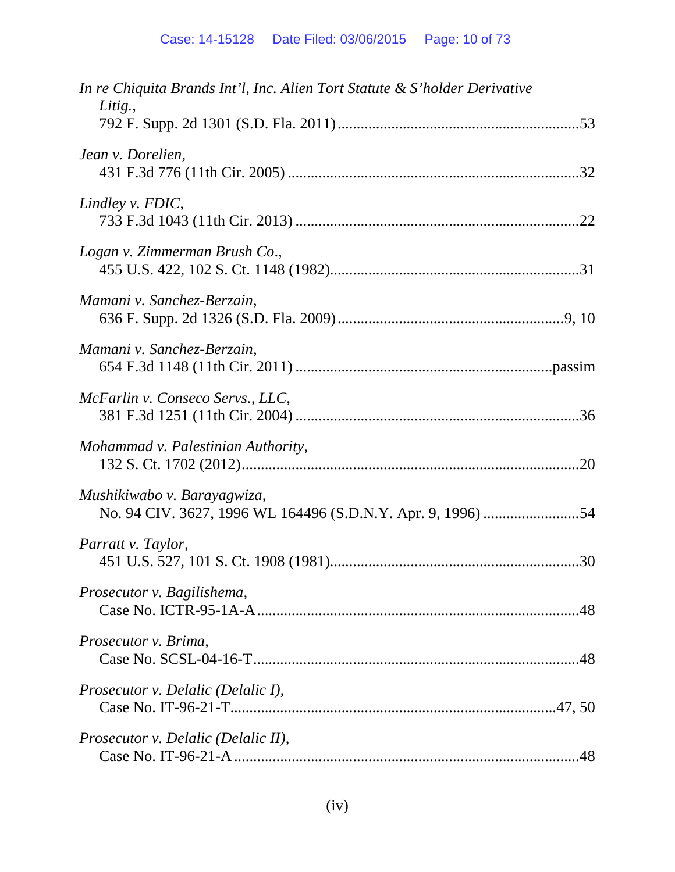| In re Chiquita Brands Int'l, Inc. Alien Tort Statute & S'holder Derivative<br>Litig., |
|---------------------------------------------------------------------------------------|
|                                                                                       |
| Jean v. Dorelien,                                                                     |
| Lindley v. FDIC,                                                                      |
| Logan v. Zimmerman Brush Co.,                                                         |
| Mamani v. Sanchez-Berzain,                                                            |
| Mamani v. Sanchez-Berzain,                                                            |
| McFarlin v. Conseco Servs., LLC,                                                      |
| Mohammad v. Palestinian Authority,                                                    |
| Mushikiwabo v. Barayagwiza,                                                           |
| Parratt v. Taylor,                                                                    |
| Prosecutor v. Bagilishema,                                                            |
| Prosecutor v. Brima,                                                                  |
| <i>Prosecutor v. Delalic (Delalic I),</i>                                             |
| <i>Prosecutor v. Delalic (Delalic II),</i>                                            |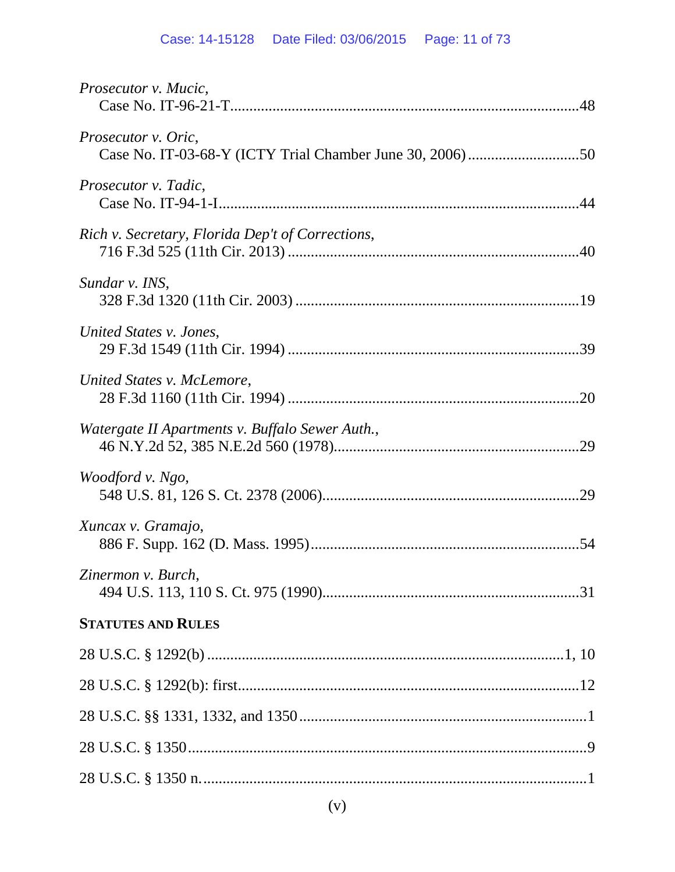| Prosecutor v. Mucic,                             |
|--------------------------------------------------|
| Prosecutor v. Oric,                              |
| Prosecutor v. Tadic,                             |
| Rich v. Secretary, Florida Dep't of Corrections, |
| Sundar v. INS,                                   |
| United States v. Jones,                          |
| United States v. McLemore,                       |
| Watergate II Apartments v. Buffalo Sewer Auth.,  |
| Woodford v. Ngo,                                 |
| Xuncax v. Gramajo,                               |
| Zinermon v. Burch,                               |
| <b>STATUTES AND RULES</b>                        |
|                                                  |
|                                                  |
|                                                  |
|                                                  |
|                                                  |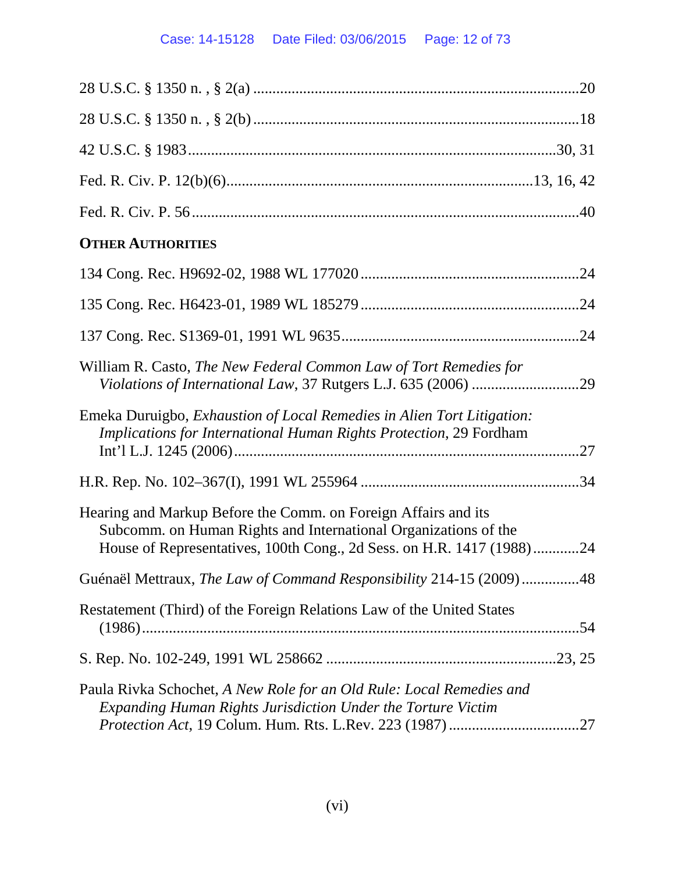## Case: 14-15128 Date Filed: 03/06/2015 Page: 12 of 73

| <b>OTHER AUTHORITIES</b>                                                                                                                                                                                   |  |
|------------------------------------------------------------------------------------------------------------------------------------------------------------------------------------------------------------|--|
|                                                                                                                                                                                                            |  |
|                                                                                                                                                                                                            |  |
|                                                                                                                                                                                                            |  |
| William R. Casto, The New Federal Common Law of Tort Remedies for                                                                                                                                          |  |
| Emeka Duruigbo, <i>Exhaustion of Local Remedies in Alien Tort Litigation</i> :<br>Implications for International Human Rights Protection, 29 Fordham                                                       |  |
|                                                                                                                                                                                                            |  |
| Hearing and Markup Before the Comm. on Foreign Affairs and its<br>Subcomm. on Human Rights and International Organizations of the<br>House of Representatives, 100th Cong., 2d Sess. on H.R. 1417 (1988)24 |  |
| Guénaël Mettraux, The Law of Command Responsibility 214-15 (2009) 48                                                                                                                                       |  |
| Restatement (Third) of the Foreign Relations Law of the United States                                                                                                                                      |  |
|                                                                                                                                                                                                            |  |
| Paula Rivka Schochet, A New Role for an Old Rule: Local Remedies and<br>Expanding Human Rights Jurisdiction Under the Torture Victim                                                                       |  |
|                                                                                                                                                                                                            |  |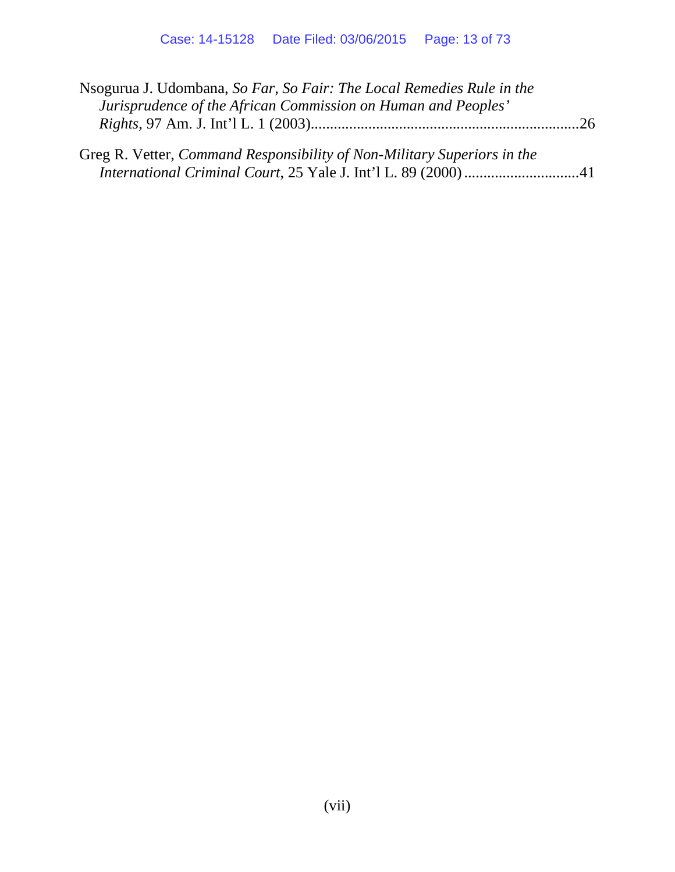| Nsogurua J. Udombana, So Far, So Fair: The Local Remedies Rule in the          |  |
|--------------------------------------------------------------------------------|--|
| Jurisprudence of the African Commission on Human and Peoples'                  |  |
|                                                                                |  |
|                                                                                |  |
| Greg R. Vetter, <i>Command Responsibility of Non-Military Superiors in the</i> |  |
|                                                                                |  |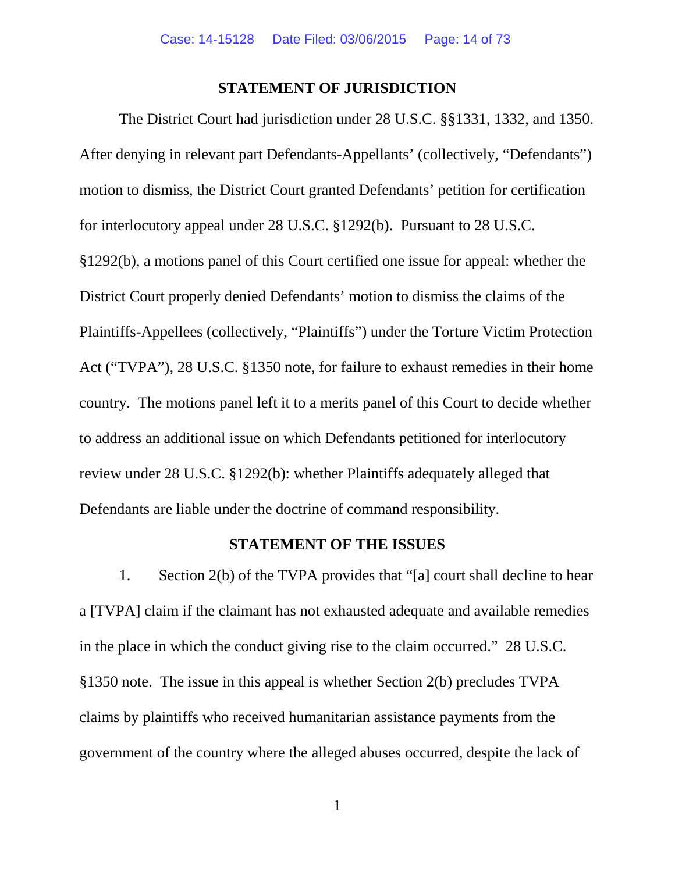#### <span id="page-13-3"></span><span id="page-13-2"></span>**STATEMENT OF JURISDICTION**

<span id="page-13-0"></span>The District Court had jurisdiction under 28 U.S.C. §§1331, 1332, and 1350. After denying in relevant part Defendants-Appellants' (collectively, "Defendants") motion to dismiss, the District Court granted Defendants' petition for certification for interlocutory appeal under 28 U.S.C. §1292(b). Pursuant to 28 U.S.C. §1292(b), a motions panel of this Court certified one issue for appeal: whether the District Court properly denied Defendants' motion to dismiss the claims of the Plaintiffs-Appellees (collectively, "Plaintiffs") under the Torture Victim Protection Act ("TVPA"), 28 U.S.C. §1350 note, for failure to exhaust remedies in their home country. The motions panel left it to a merits panel of this Court to decide whether to address an additional issue on which Defendants petitioned for interlocutory review under 28 U.S.C. §1292(b): whether Plaintiffs adequately alleged that Defendants are liable under the doctrine of command responsibility.

#### <span id="page-13-4"></span>**STATEMENT OF THE ISSUES**

<span id="page-13-1"></span>1. Section 2(b) of the TVPA provides that "[a] court shall decline to hear a [TVPA] claim if the claimant has not exhausted adequate and available remedies in the place in which the conduct giving rise to the claim occurred." 28 U.S.C. §1350 note. The issue in this appeal is whether Section 2(b) precludes TVPA claims by plaintiffs who received humanitarian assistance payments from the government of the country where the alleged abuses occurred, despite the lack of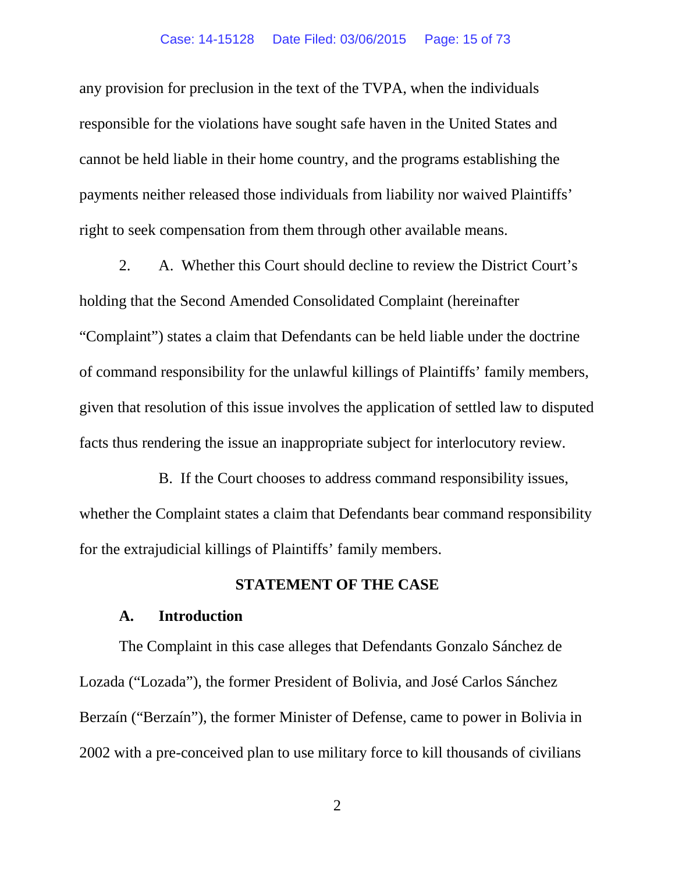#### Case: 14-15128 Date Filed: 03/06/2015 Page: 15 of 73

any provision for preclusion in the text of the TVPA, when the individuals responsible for the violations have sought safe haven in the United States and cannot be held liable in their home country, and the programs establishing the payments neither released those individuals from liability nor waived Plaintiffs' right to seek compensation from them through other available means.

2. A. Whether this Court should decline to review the District Court's holding that the Second Amended Consolidated Complaint (hereinafter "Complaint") states a claim that Defendants can be held liable under the doctrine of command responsibility for the unlawful killings of Plaintiffs' family members, given that resolution of this issue involves the application of settled law to disputed facts thus rendering the issue an inappropriate subject for interlocutory review.

B. If the Court chooses to address command responsibility issues, whether the Complaint states a claim that Defendants bear command responsibility for the extrajudicial killings of Plaintiffs' family members.

#### **STATEMENT OF THE CASE**

#### **A. Introduction**

<span id="page-14-0"></span>The Complaint in this case alleges that Defendants Gonzalo Sánchez de Lozada ("Lozada"), the former President of Bolivia, and José Carlos Sánchez Berzaín ("Berzaín"), the former Minister of Defense, came to power in Bolivia in 2002 with a pre-conceived plan to use military force to kill thousands of civilians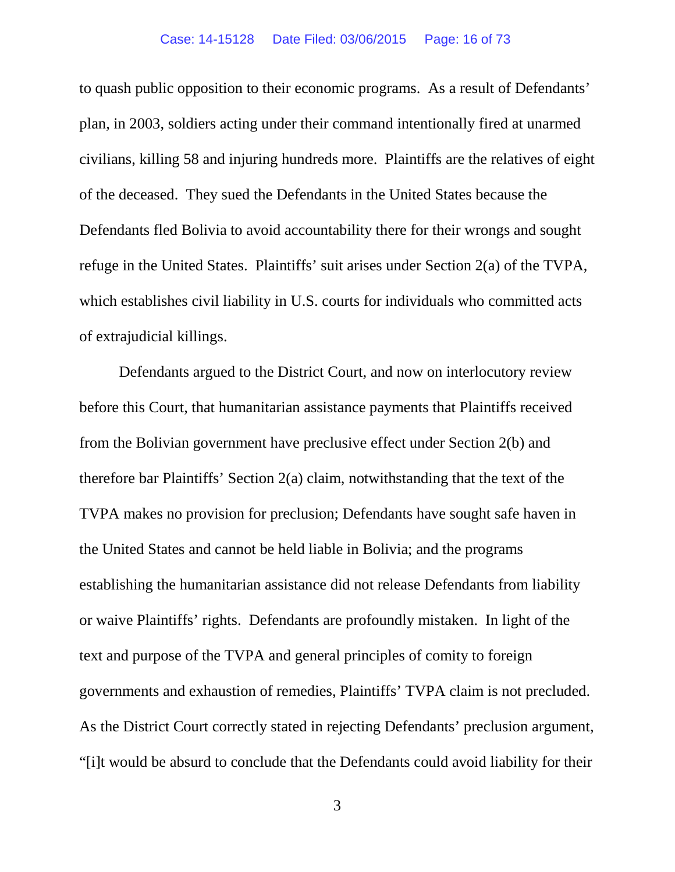to quash public opposition to their economic programs. As a result of Defendants' plan, in 2003, soldiers acting under their command intentionally fired at unarmed civilians, killing 58 and injuring hundreds more. Plaintiffs are the relatives of eight of the deceased. They sued the Defendants in the United States because the Defendants fled Bolivia to avoid accountability there for their wrongs and sought refuge in the United States. Plaintiffs' suit arises under Section 2(a) of the TVPA, which establishes civil liability in U.S. courts for individuals who committed acts of extrajudicial killings.

Defendants argued to the District Court, and now on interlocutory review before this Court, that humanitarian assistance payments that Plaintiffs received from the Bolivian government have preclusive effect under Section 2(b) and therefore bar Plaintiffs' Section 2(a) claim, notwithstanding that the text of the TVPA makes no provision for preclusion; Defendants have sought safe haven in the United States and cannot be held liable in Bolivia; and the programs establishing the humanitarian assistance did not release Defendants from liability or waive Plaintiffs' rights. Defendants are profoundly mistaken. In light of the text and purpose of the TVPA and general principles of comity to foreign governments and exhaustion of remedies, Plaintiffs' TVPA claim is not precluded. As the District Court correctly stated in rejecting Defendants' preclusion argument, "[i]t would be absurd to conclude that the Defendants could avoid liability for their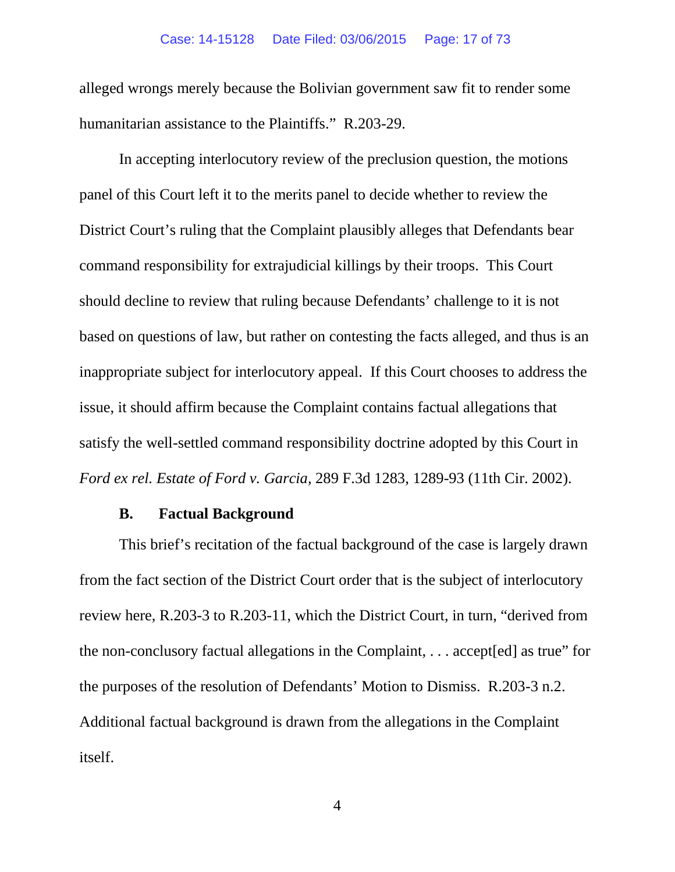alleged wrongs merely because the Bolivian government saw fit to render some humanitarian assistance to the Plaintiffs." R.203-29.

In accepting interlocutory review of the preclusion question, the motions panel of this Court left it to the merits panel to decide whether to review the District Court's ruling that the Complaint plausibly alleges that Defendants bear command responsibility for extrajudicial killings by their troops. This Court should decline to review that ruling because Defendants' challenge to it is not based on questions of law, but rather on contesting the facts alleged, and thus is an inappropriate subject for interlocutory appeal. If this Court chooses to address the issue, it should affirm because the Complaint contains factual allegations that satisfy the well-settled command responsibility doctrine adopted by this Court in *Ford ex rel. Estate of Ford v. Garcia,* 289 F.3d 1283, 1289-93 (11th Cir. 2002).

#### <span id="page-16-1"></span>**B. Factual Background**

<span id="page-16-0"></span>This brief's recitation of the factual background of the case is largely drawn from the fact section of the District Court order that is the subject of interlocutory review here, R.203-3 to R.203-11, which the District Court, in turn, "derived from the non-conclusory factual allegations in the Complaint, . . . accept[ed] as true" for the purposes of the resolution of Defendants' Motion to Dismiss. R.203-3 n.2. Additional factual background is drawn from the allegations in the Complaint itself.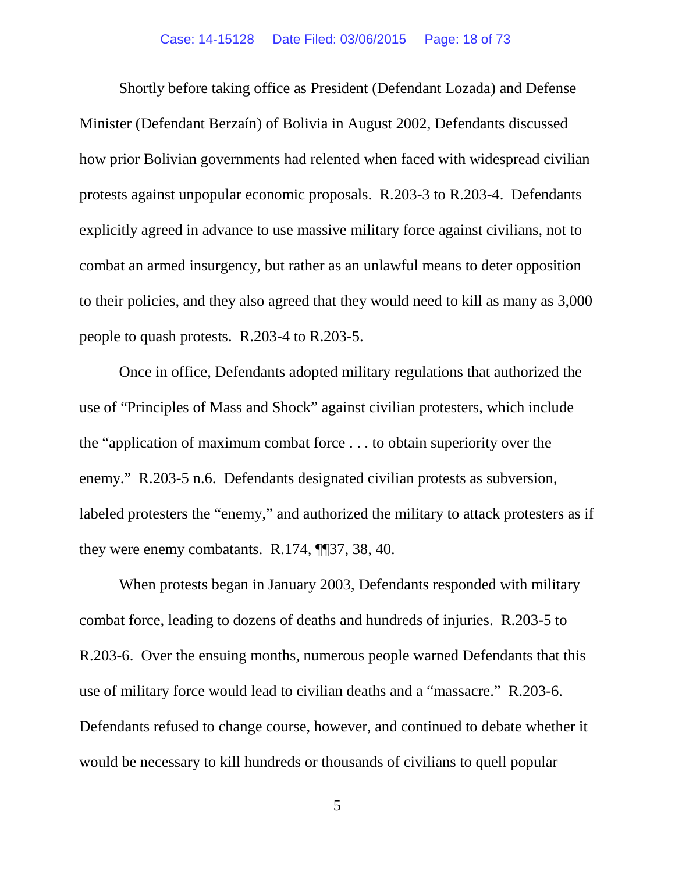Shortly before taking office as President (Defendant Lozada) and Defense Minister (Defendant Berzaín) of Bolivia in August 2002, Defendants discussed how prior Bolivian governments had relented when faced with widespread civilian protests against unpopular economic proposals. R.203-3 to R.203-4. Defendants explicitly agreed in advance to use massive military force against civilians, not to combat an armed insurgency, but rather as an unlawful means to deter opposition to their policies, and they also agreed that they would need to kill as many as 3,000 people to quash protests. R.203-4 to R.203-5.

Once in office, Defendants adopted military regulations that authorized the use of "Principles of Mass and Shock" against civilian protesters, which include the "application of maximum combat force . . . to obtain superiority over the enemy." R.203-5 n.6. Defendants designated civilian protests as subversion, labeled protesters the "enemy," and authorized the military to attack protesters as if they were enemy combatants. R.174, ¶¶37, 38, 40.

When protests began in January 2003, Defendants responded with military combat force, leading to dozens of deaths and hundreds of injuries. R.203-5 to R.203-6. Over the ensuing months, numerous people warned Defendants that this use of military force would lead to civilian deaths and a "massacre." R.203-6. Defendants refused to change course, however, and continued to debate whether it would be necessary to kill hundreds or thousands of civilians to quell popular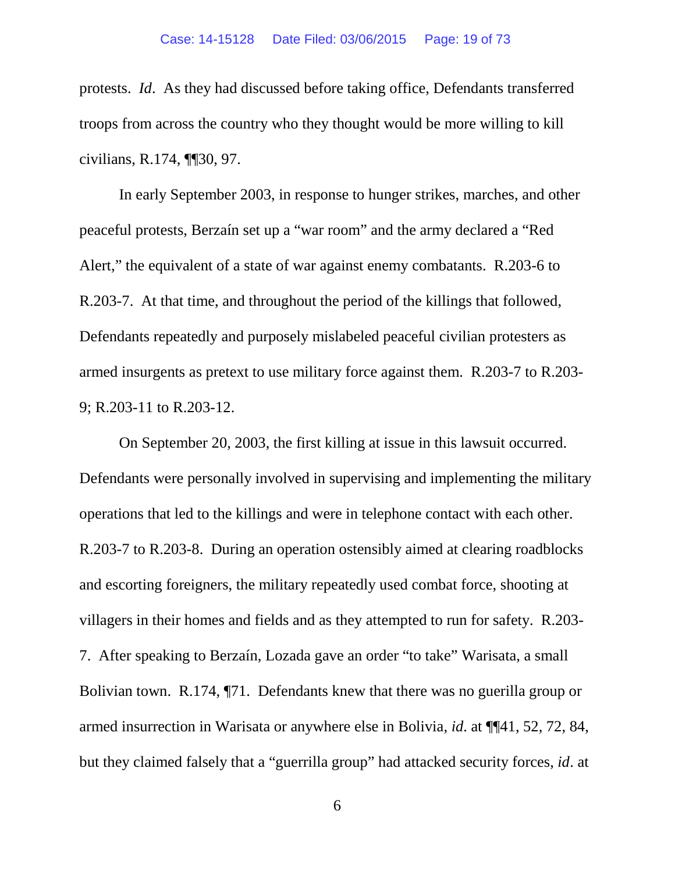protests. *Id*. As they had discussed before taking office, Defendants transferred troops from across the country who they thought would be more willing to kill civilians, R.174, ¶¶30, 97.

In early September 2003, in response to hunger strikes, marches, and other peaceful protests, Berzaín set up a "war room" and the army declared a "Red Alert," the equivalent of a state of war against enemy combatants. R.203-6 to R.203-7. At that time, and throughout the period of the killings that followed, Defendants repeatedly and purposely mislabeled peaceful civilian protesters as armed insurgents as pretext to use military force against them. R.203-7 to R.203- 9; R.203-11 to R.203-12.

On September 20, 2003, the first killing at issue in this lawsuit occurred. Defendants were personally involved in supervising and implementing the military operations that led to the killings and were in telephone contact with each other. R.203-7 to R.203-8. During an operation ostensibly aimed at clearing roadblocks and escorting foreigners, the military repeatedly used combat force, shooting at villagers in their homes and fields and as they attempted to run for safety. R.203- 7. After speaking to Berzaín, Lozada gave an order "to take" Warisata, a small Bolivian town. R.174, ¶71. Defendants knew that there was no guerilla group or armed insurrection in Warisata or anywhere else in Bolivia, *id*. at ¶¶41, 52, 72, 84, but they claimed falsely that a "guerrilla group" had attacked security forces, *id*. at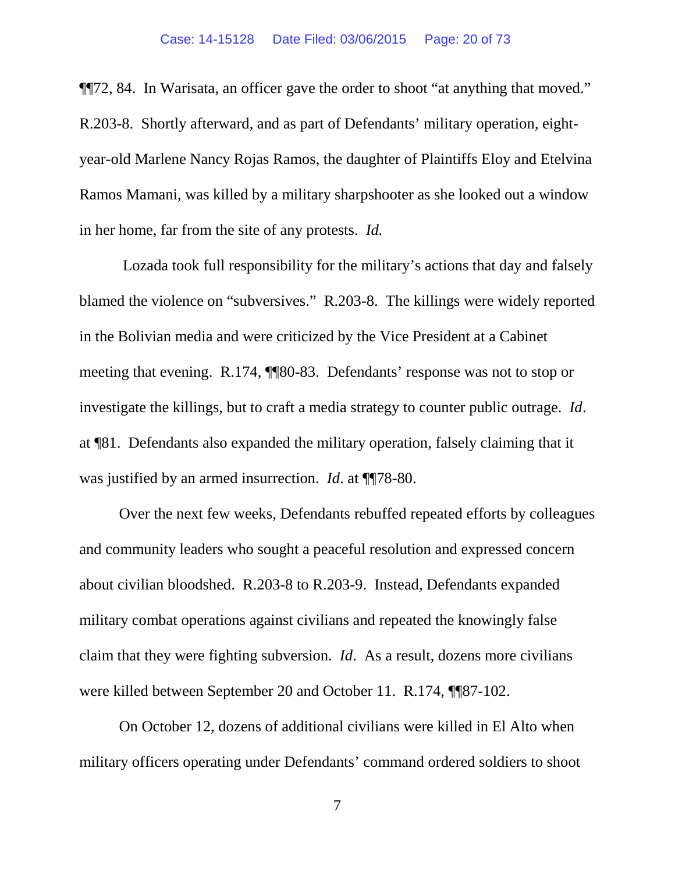¶¶72, 84. In Warisata, an officer gave the order to shoot "at anything that moved." R.203-8. Shortly afterward, and as part of Defendants' military operation, eightyear-old Marlene Nancy Rojas Ramos, the daughter of Plaintiffs Eloy and Etelvina Ramos Mamani, was killed by a military sharpshooter as she looked out a window in her home, far from the site of any protests. *Id.*

Lozada took full responsibility for the military's actions that day and falsely blamed the violence on "subversives." R.203-8. The killings were widely reported in the Bolivian media and were criticized by the Vice President at a Cabinet meeting that evening. R.174, ¶¶80-83. Defendants' response was not to stop or investigate the killings, but to craft a media strategy to counter public outrage. *Id*. at ¶81. Defendants also expanded the military operation, falsely claiming that it was justified by an armed insurrection. *Id.* at **[178-80.**]

Over the next few weeks, Defendants rebuffed repeated efforts by colleagues and community leaders who sought a peaceful resolution and expressed concern about civilian bloodshed. R.203-8 to R.203-9. Instead, Defendants expanded military combat operations against civilians and repeated the knowingly false claim that they were fighting subversion. *Id*. As a result, dozens more civilians were killed between September 20 and October 11. R.174, ¶¶87-102.

On October 12, dozens of additional civilians were killed in El Alto when military officers operating under Defendants' command ordered soldiers to shoot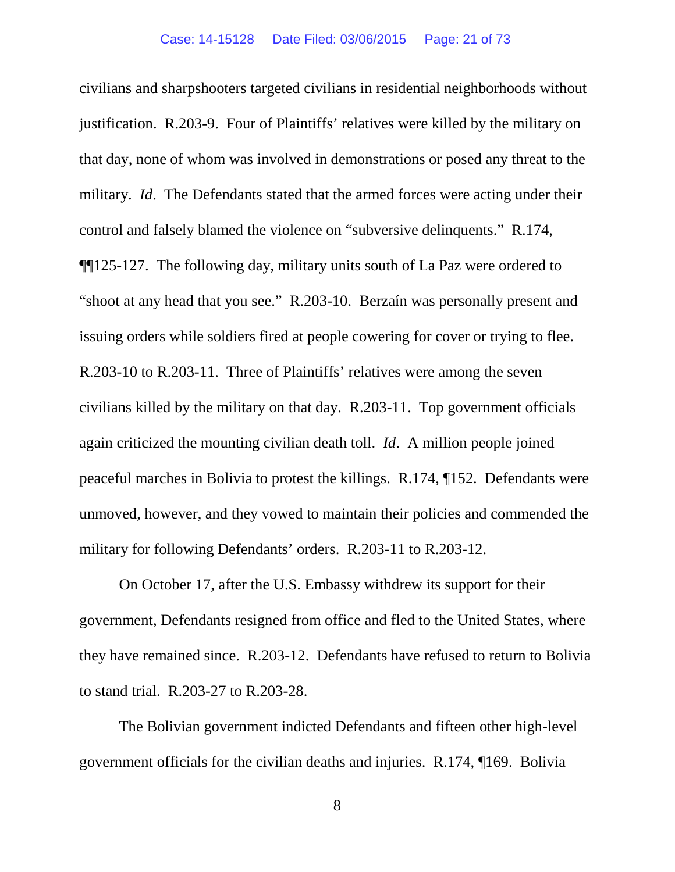civilians and sharpshooters targeted civilians in residential neighborhoods without justification. R.203-9. Four of Plaintiffs' relatives were killed by the military on that day, none of whom was involved in demonstrations or posed any threat to the military. *Id*. The Defendants stated that the armed forces were acting under their control and falsely blamed the violence on "subversive delinquents." R.174, ¶¶125-127. The following day, military units south of La Paz were ordered to "shoot at any head that you see." R.203-10. Berzaín was personally present and issuing orders while soldiers fired at people cowering for cover or trying to flee. R.203-10 to R.203-11. Three of Plaintiffs' relatives were among the seven civilians killed by the military on that day. R.203-11. Top government officials again criticized the mounting civilian death toll. *Id*. A million people joined peaceful marches in Bolivia to protest the killings. R.174, ¶152. Defendants were unmoved, however, and they vowed to maintain their policies and commended the military for following Defendants' orders. R.203-11 to R.203-12.

On October 17, after the U.S. Embassy withdrew its support for their government, Defendants resigned from office and fled to the United States, where they have remained since. R.203-12. Defendants have refused to return to Bolivia to stand trial. R.203-27 to R.203-28.

The Bolivian government indicted Defendants and fifteen other high-level government officials for the civilian deaths and injuries. R.174, ¶169. Bolivia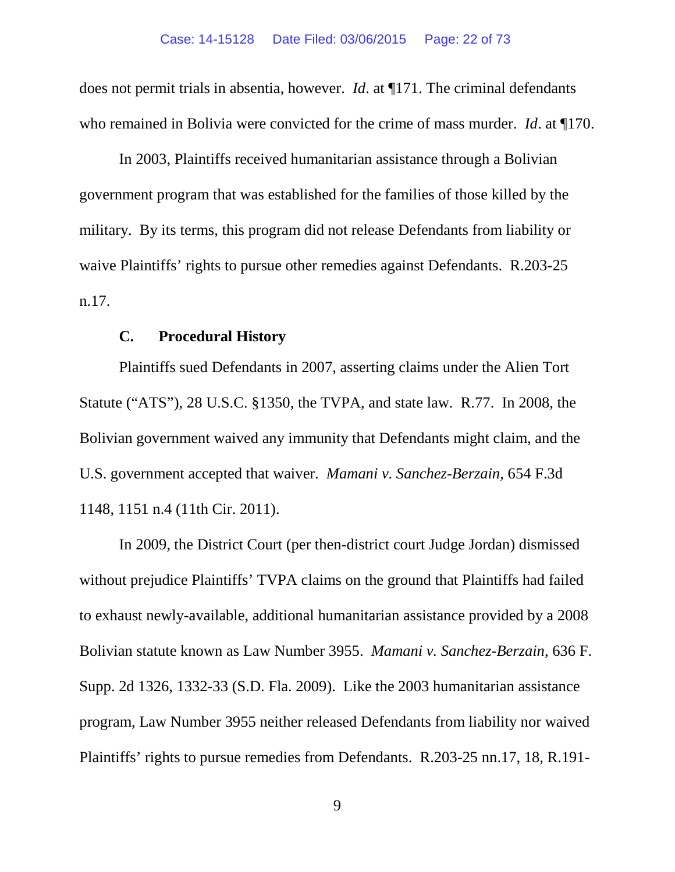does not permit trials in absentia, however. *Id*. at ¶171. The criminal defendants who remained in Bolivia were convicted for the crime of mass murder. *Id*. at ¶170.

In 2003, Plaintiffs received humanitarian assistance through a Bolivian government program that was established for the families of those killed by the military. By its terms, this program did not release Defendants from liability or waive Plaintiffs' rights to pursue other remedies against Defendants. R.203-25 n.17.

### <span id="page-21-3"></span><span id="page-21-2"></span>**C. Procedural History**

<span id="page-21-0"></span>Plaintiffs sued Defendants in 2007, asserting claims under the Alien Tort Statute ("ATS"), 28 U.S.C. §1350, the TVPA, and state law. R.77. In 2008, the Bolivian government waived any immunity that Defendants might claim, and the U.S. government accepted that waiver. *Mamani v. Sanchez-Berzain,* 654 F.3d 1148, 1151 n.4 (11th Cir. 2011).

<span id="page-21-1"></span>In 2009, the District Court (per then-district court Judge Jordan) dismissed without prejudice Plaintiffs' TVPA claims on the ground that Plaintiffs had failed to exhaust newly-available, additional humanitarian assistance provided by a 2008 Bolivian statute known as Law Number 3955. *Mamani v. Sanchez-Berzain*, 636 F. Supp. 2d 1326, 1332-33 (S.D. Fla. 2009). Like the 2003 humanitarian assistance program, Law Number 3955 neither released Defendants from liability nor waived Plaintiffs' rights to pursue remedies from Defendants. R.203-25 nn.17, 18, R.191-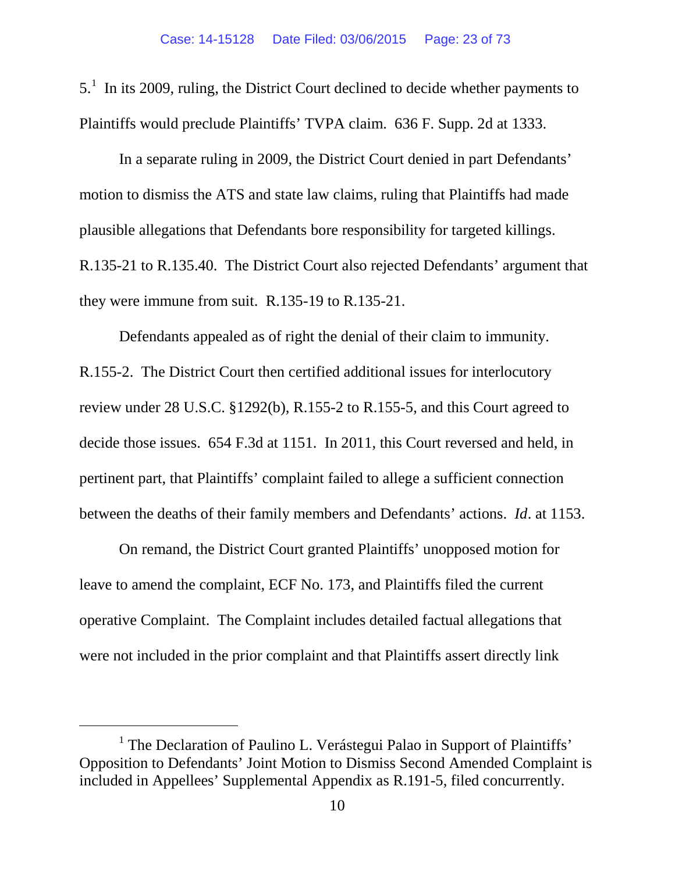<span id="page-22-0"></span> $5<sup>1</sup>$  $5<sup>1</sup>$  $5<sup>1</sup>$  In its 2009, ruling, the District Court declined to decide whether payments to Plaintiffs would preclude Plaintiffs' TVPA claim. 636 F. Supp. 2d at 1333.

In a separate ruling in 2009, the District Court denied in part Defendants' motion to dismiss the ATS and state law claims, ruling that Plaintiffs had made plausible allegations that Defendants bore responsibility for targeted killings. R.135-21 to R.135.40. The District Court also rejected Defendants' argument that they were immune from suit. R.135-19 to R.135-21.

<span id="page-22-1"></span>Defendants appealed as of right the denial of their claim to immunity. R.155-2. The District Court then certified additional issues for interlocutory review under 28 U.S.C. §1292(b), R.155-2 to R.155-5, and this Court agreed to decide those issues. 654 F.3d at 1151. In 2011, this Court reversed and held, in pertinent part, that Plaintiffs' complaint failed to allege a sufficient connection between the deaths of their family members and Defendants' actions. *Id*. at 1153.

On remand, the District Court granted Plaintiffs' unopposed motion for leave to amend the complaint, ECF No. 173, and Plaintiffs filed the current operative Complaint. The Complaint includes detailed factual allegations that were not included in the prior complaint and that Plaintiffs assert directly link

<span id="page-22-2"></span><sup>&</sup>lt;sup>1</sup> The Declaration of Paulino L. Verástegui Palao in Support of Plaintiffs' Opposition to Defendants' Joint Motion to Dismiss Second Amended Complaint is included in Appellees' Supplemental Appendix as R.191-5, filed concurrently.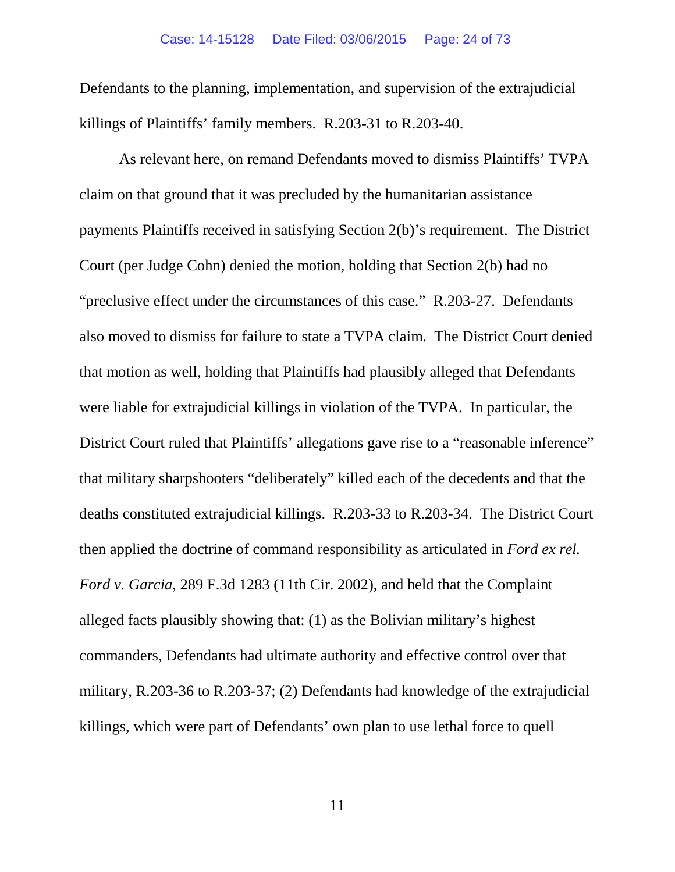Defendants to the planning, implementation, and supervision of the extrajudicial killings of Plaintiffs' family members. R.203-31 to R.203-40.

<span id="page-23-0"></span>As relevant here, on remand Defendants moved to dismiss Plaintiffs' TVPA claim on that ground that it was precluded by the humanitarian assistance payments Plaintiffs received in satisfying Section 2(b)'s requirement. The District Court (per Judge Cohn) denied the motion, holding that Section 2(b) had no "preclusive effect under the circumstances of this case." R.203-27. Defendants also moved to dismiss for failure to state a TVPA claim. The District Court denied that motion as well, holding that Plaintiffs had plausibly alleged that Defendants were liable for extrajudicial killings in violation of the TVPA. In particular, the District Court ruled that Plaintiffs' allegations gave rise to a "reasonable inference" that military sharpshooters "deliberately" killed each of the decedents and that the deaths constituted extrajudicial killings. R.203-33 to R.203-34. The District Court then applied the doctrine of command responsibility as articulated in *Ford ex rel. Ford v. Garcia*, 289 F.3d 1283 (11th Cir. 2002), and held that the Complaint alleged facts plausibly showing that: (1) as the Bolivian military's highest commanders, Defendants had ultimate authority and effective control over that military, R.203-36 to R.203-37; (2) Defendants had knowledge of the extrajudicial killings, which were part of Defendants' own plan to use lethal force to quell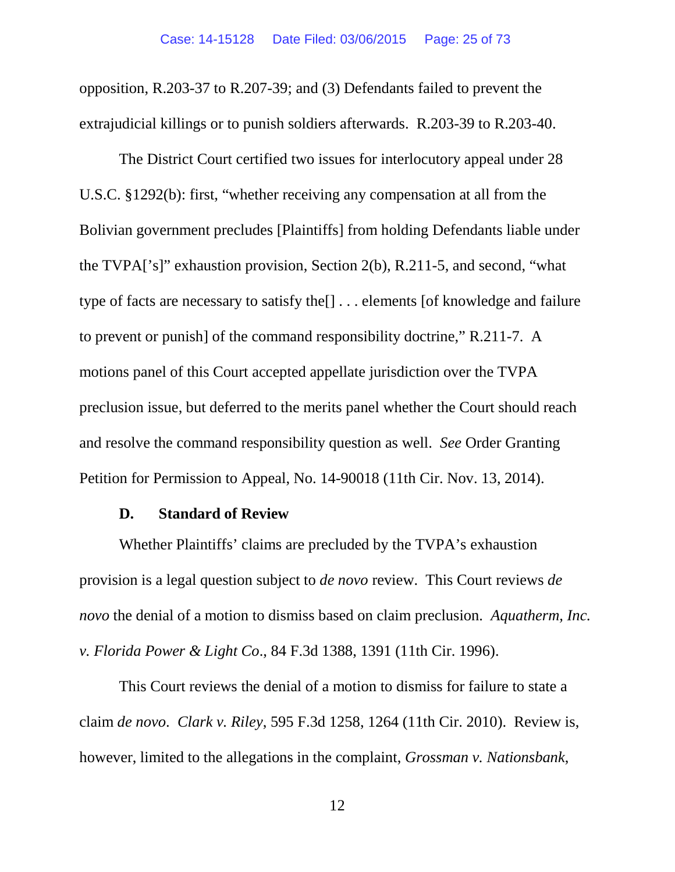opposition, R.203-37 to R.207-39; and (3) Defendants failed to prevent the extrajudicial killings or to punish soldiers afterwards. R.203-39 to R.203-40.

<span id="page-24-4"></span>The District Court certified two issues for interlocutory appeal under 28 U.S.C. §1292(b): first, "whether receiving any compensation at all from the Bolivian government precludes [Plaintiffs] from holding Defendants liable under the TVPA['s]" exhaustion provision, Section 2(b), R.211-5, and second, "what type of facts are necessary to satisfy the[] . . . elements [of knowledge and failure to prevent or punish] of the command responsibility doctrine," R.211-7. A motions panel of this Court accepted appellate jurisdiction over the TVPA preclusion issue, but deferred to the merits panel whether the Court should reach and resolve the command responsibility question as well. *See* Order Granting Petition for Permission to Appeal, No. 14-90018 (11th Cir. Nov. 13, 2014).

#### <span id="page-24-1"></span>**D. Standard of Review**

<span id="page-24-0"></span>Whether Plaintiffs' claims are precluded by the TVPA's exhaustion provision is a legal question subject to *de novo* review. This Court reviews *de novo* the denial of a motion to dismiss based on claim preclusion. *Aquatherm, Inc. v. Florida Power & Light Co*., 84 F.3d 1388, 1391 (11th Cir. 1996).

<span id="page-24-3"></span><span id="page-24-2"></span>This Court reviews the denial of a motion to dismiss for failure to state a claim *de novo*. *Clark v. Riley*, 595 F.3d 1258, 1264 (11th Cir. 2010). Review is, however, limited to the allegations in the complaint, *Grossman v. Nationsbank*,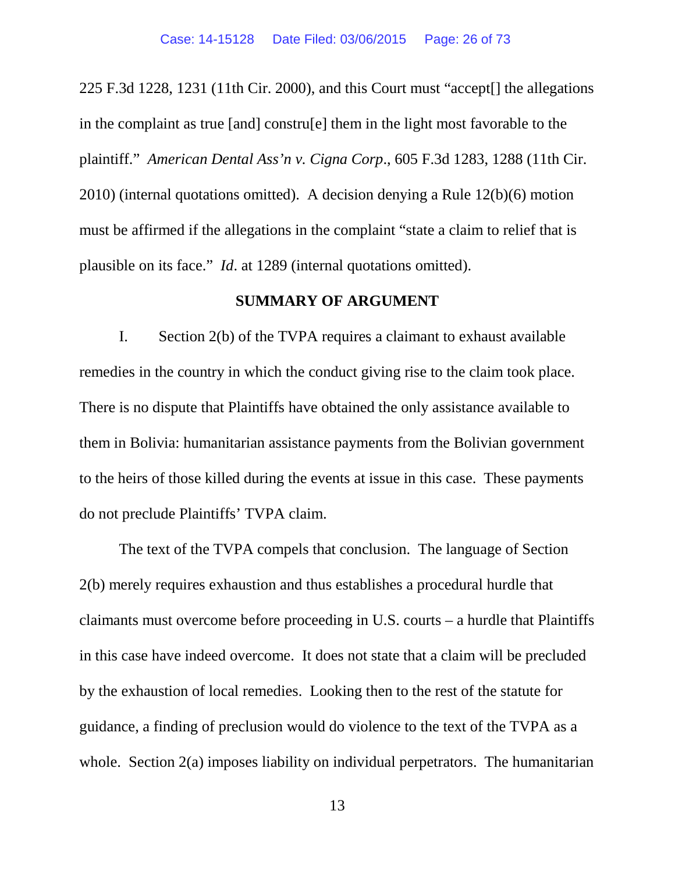<span id="page-25-0"></span>225 F.3d 1228, 1231 (11th Cir. 2000), and this Court must "accept[] the allegations in the complaint as true [and] constru[e] them in the light most favorable to the plaintiff." *American Dental Ass'n v. Cigna Corp*., 605 F.3d 1283, 1288 (11th Cir. 2010) (internal quotations omitted). A decision denying a Rule 12(b)(6) motion must be affirmed if the allegations in the complaint "state a claim to relief that is plausible on its face." *Id*. at 1289 (internal quotations omitted).

#### <span id="page-25-1"></span>**SUMMARY OF ARGUMENT**

I. Section 2(b) of the TVPA requires a claimant to exhaust available remedies in the country in which the conduct giving rise to the claim took place. There is no dispute that Plaintiffs have obtained the only assistance available to them in Bolivia: humanitarian assistance payments from the Bolivian government to the heirs of those killed during the events at issue in this case. These payments do not preclude Plaintiffs' TVPA claim.

The text of the TVPA compels that conclusion. The language of Section 2(b) merely requires exhaustion and thus establishes a procedural hurdle that claimants must overcome before proceeding in U.S. courts – a hurdle that Plaintiffs in this case have indeed overcome. It does not state that a claim will be precluded by the exhaustion of local remedies. Looking then to the rest of the statute for guidance, a finding of preclusion would do violence to the text of the TVPA as a whole. Section 2(a) imposes liability on individual perpetrators. The humanitarian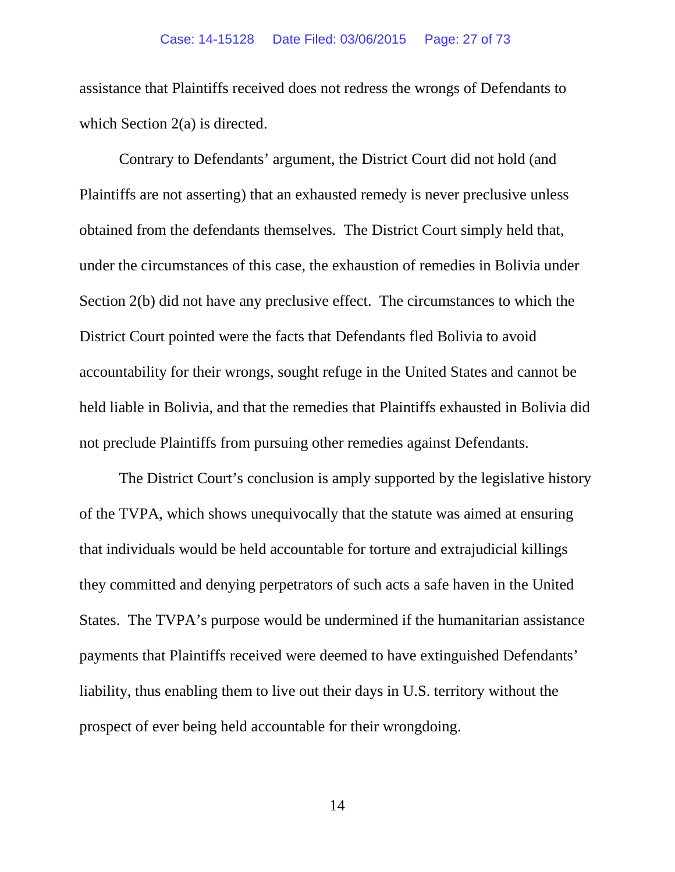assistance that Plaintiffs received does not redress the wrongs of Defendants to which Section 2(a) is directed.

Contrary to Defendants' argument, the District Court did not hold (and Plaintiffs are not asserting) that an exhausted remedy is never preclusive unless obtained from the defendants themselves. The District Court simply held that, under the circumstances of this case, the exhaustion of remedies in Bolivia under Section 2(b) did not have any preclusive effect. The circumstances to which the District Court pointed were the facts that Defendants fled Bolivia to avoid accountability for their wrongs, sought refuge in the United States and cannot be held liable in Bolivia, and that the remedies that Plaintiffs exhausted in Bolivia did not preclude Plaintiffs from pursuing other remedies against Defendants.

The District Court's conclusion is amply supported by the legislative history of the TVPA, which shows unequivocally that the statute was aimed at ensuring that individuals would be held accountable for torture and extrajudicial killings they committed and denying perpetrators of such acts a safe haven in the United States. The TVPA's purpose would be undermined if the humanitarian assistance payments that Plaintiffs received were deemed to have extinguished Defendants' liability, thus enabling them to live out their days in U.S. territory without the prospect of ever being held accountable for their wrongdoing.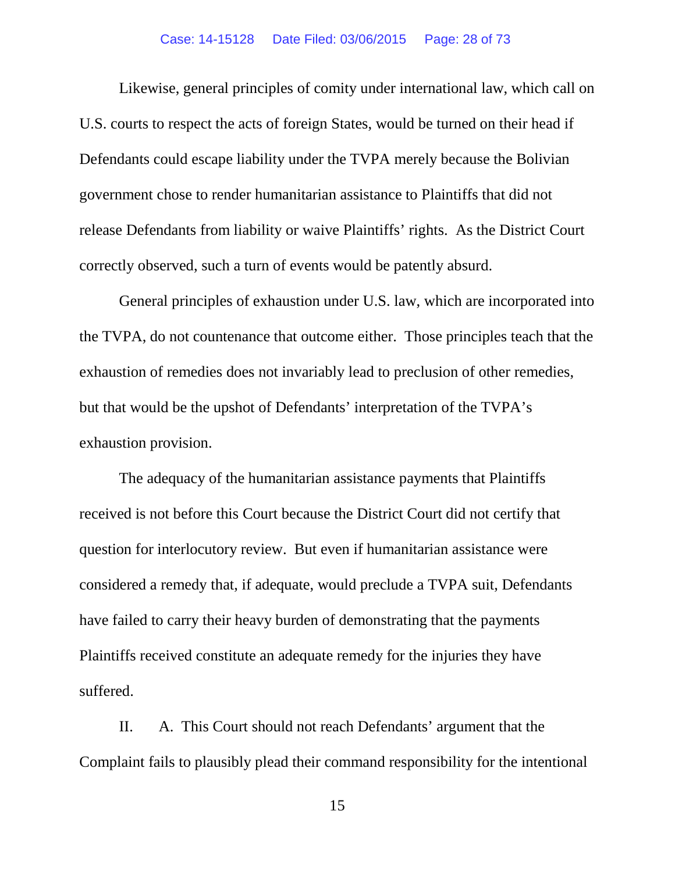#### Case: 14-15128 Date Filed: 03/06/2015 Page: 28 of 73

Likewise, general principles of comity under international law, which call on U.S. courts to respect the acts of foreign States, would be turned on their head if Defendants could escape liability under the TVPA merely because the Bolivian government chose to render humanitarian assistance to Plaintiffs that did not release Defendants from liability or waive Plaintiffs' rights. As the District Court correctly observed, such a turn of events would be patently absurd.

General principles of exhaustion under U.S. law, which are incorporated into the TVPA, do not countenance that outcome either. Those principles teach that the exhaustion of remedies does not invariably lead to preclusion of other remedies, but that would be the upshot of Defendants' interpretation of the TVPA's exhaustion provision.

The adequacy of the humanitarian assistance payments that Plaintiffs received is not before this Court because the District Court did not certify that question for interlocutory review. But even if humanitarian assistance were considered a remedy that, if adequate, would preclude a TVPA suit, Defendants have failed to carry their heavy burden of demonstrating that the payments Plaintiffs received constitute an adequate remedy for the injuries they have suffered.

II. A. This Court should not reach Defendants' argument that the Complaint fails to plausibly plead their command responsibility for the intentional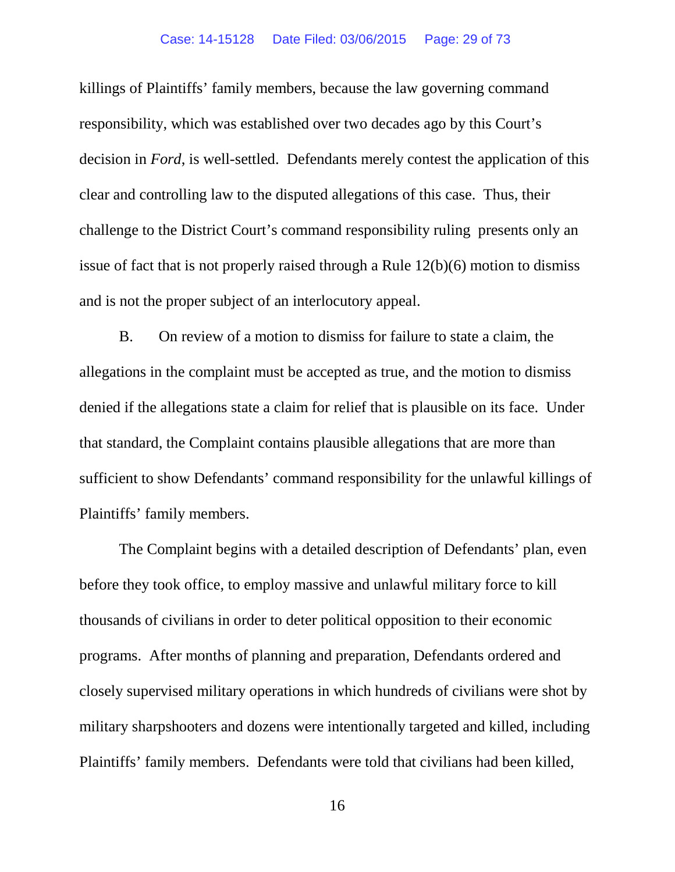#### Case: 14-15128 Date Filed: 03/06/2015 Page: 29 of 73

killings of Plaintiffs' family members, because the law governing command responsibility, which was established over two decades ago by this Court's decision in *Ford*, is well-settled. Defendants merely contest the application of this clear and controlling law to the disputed allegations of this case. Thus, their challenge to the District Court's command responsibility ruling presents only an issue of fact that is not properly raised through a Rule 12(b)(6) motion to dismiss and is not the proper subject of an interlocutory appeal.

<span id="page-28-0"></span>B. On review of a motion to dismiss for failure to state a claim, the allegations in the complaint must be accepted as true, and the motion to dismiss denied if the allegations state a claim for relief that is plausible on its face. Under that standard, the Complaint contains plausible allegations that are more than sufficient to show Defendants' command responsibility for the unlawful killings of Plaintiffs' family members.

The Complaint begins with a detailed description of Defendants' plan, even before they took office, to employ massive and unlawful military force to kill thousands of civilians in order to deter political opposition to their economic programs. After months of planning and preparation, Defendants ordered and closely supervised military operations in which hundreds of civilians were shot by military sharpshooters and dozens were intentionally targeted and killed, including Plaintiffs' family members. Defendants were told that civilians had been killed,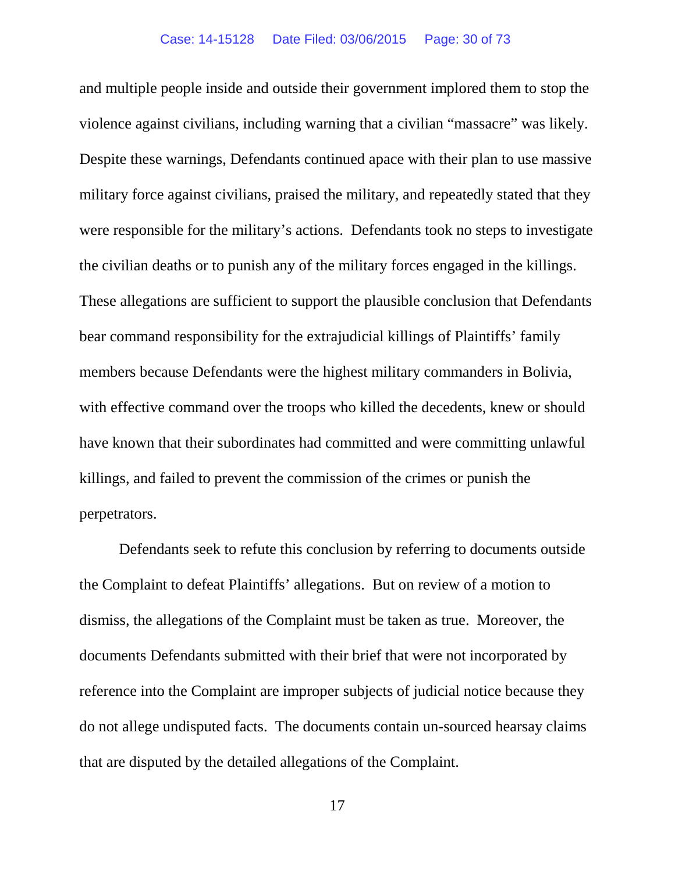and multiple people inside and outside their government implored them to stop the violence against civilians, including warning that a civilian "massacre" was likely. Despite these warnings, Defendants continued apace with their plan to use massive military force against civilians, praised the military, and repeatedly stated that they were responsible for the military's actions. Defendants took no steps to investigate the civilian deaths or to punish any of the military forces engaged in the killings. These allegations are sufficient to support the plausible conclusion that Defendants bear command responsibility for the extrajudicial killings of Plaintiffs' family members because Defendants were the highest military commanders in Bolivia, with effective command over the troops who killed the decedents, knew or should have known that their subordinates had committed and were committing unlawful killings, and failed to prevent the commission of the crimes or punish the perpetrators.

Defendants seek to refute this conclusion by referring to documents outside the Complaint to defeat Plaintiffs' allegations. But on review of a motion to dismiss, the allegations of the Complaint must be taken as true. Moreover, the documents Defendants submitted with their brief that were not incorporated by reference into the Complaint are improper subjects of judicial notice because they do not allege undisputed facts. The documents contain un-sourced hearsay claims that are disputed by the detailed allegations of the Complaint.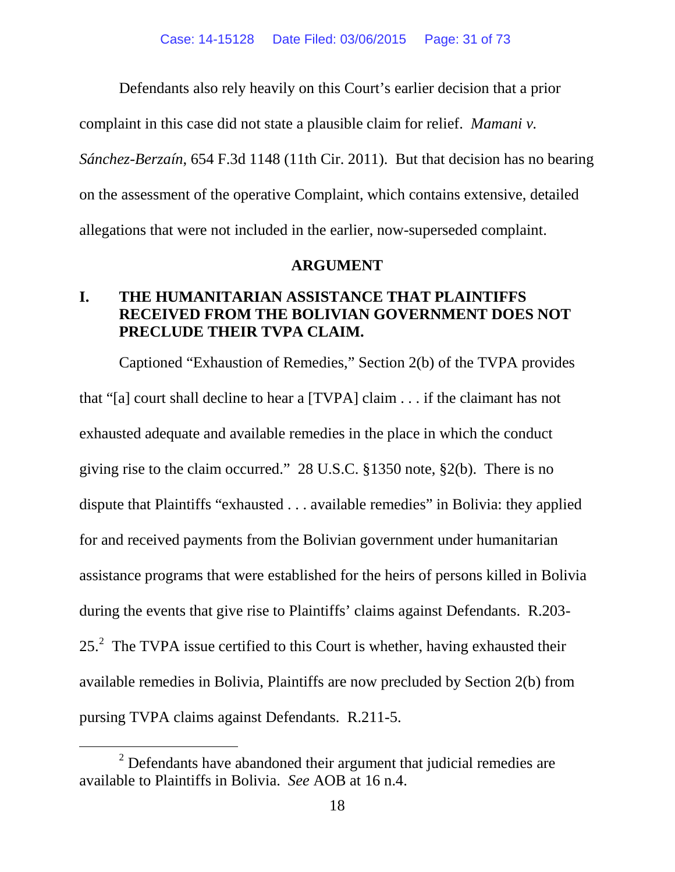Defendants also rely heavily on this Court's earlier decision that a prior

complaint in this case did not state a plausible claim for relief. *Mamani v.* 

*Sánchez-Berzaín*, 654 F.3d 1148 (11th Cir. 2011). But that decision has no bearing on the assessment of the operative Complaint, which contains extensive, detailed allegations that were not included in the earlier, now-superseded complaint.

#### <span id="page-30-1"></span>**ARGUMENT**

## <span id="page-30-0"></span>**I. THE HUMANITARIAN ASSISTANCE THAT PLAINTIFFS RECEIVED FROM THE BOLIVIAN GOVERNMENT DOES NOT PRECLUDE THEIR TVPA CLAIM.**

Captioned "Exhaustion of Remedies," Section 2(b) of the TVPA provides that "[a] court shall decline to hear a [TVPA] claim . . . if the claimant has not exhausted adequate and available remedies in the place in which the conduct giving rise to the claim occurred." 28 U.S.C. §1350 note, §2(b). There is no dispute that Plaintiffs "exhausted . . . available remedies" in Bolivia: they applied for and received payments from the Bolivian government under humanitarian assistance programs that were established for the heirs of persons killed in Bolivia during the events that give rise to Plaintiffs' claims against Defendants. R.203- [2](#page-30-2)5. $^2$  The TVPA issue certified to this Court is whether, having exhausted their available remedies in Bolivia, Plaintiffs are now precluded by Section 2(b) from pursing TVPA claims against Defendants. R.211-5.

<span id="page-30-2"></span> $2$  Defendants have abandoned their argument that judicial remedies are available to Plaintiffs in Bolivia. *See* AOB at 16 n.4.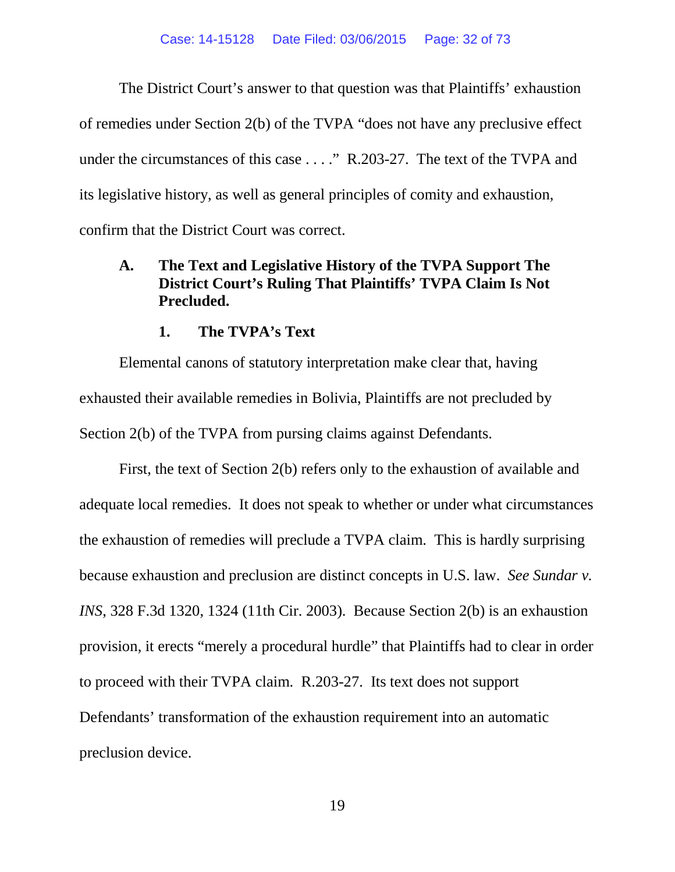The District Court's answer to that question was that Plaintiffs' exhaustion of remedies under Section 2(b) of the TVPA "does not have any preclusive effect under the circumstances of this case . . . ." R.203-27. The text of the TVPA and its legislative history, as well as general principles of comity and exhaustion, confirm that the District Court was correct.

## <span id="page-31-0"></span>**A. The Text and Legislative History of the TVPA Support The District Court's Ruling That Plaintiffs' TVPA Claim Is Not Precluded.**

#### <span id="page-31-1"></span>**1. The TVPA's Text**

Elemental canons of statutory interpretation make clear that, having exhausted their available remedies in Bolivia, Plaintiffs are not precluded by Section 2(b) of the TVPA from pursing claims against Defendants.

First, the text of Section 2(b) refers only to the exhaustion of available and adequate local remedies. It does not speak to whether or under what circumstances the exhaustion of remedies will preclude a TVPA claim. This is hardly surprising because exhaustion and preclusion are distinct concepts in U.S. law. *See Sundar v. INS*, 328 F.3d 1320, 1324 (11th Cir. 2003). Because Section 2(b) is an exhaustion provision, it erects "merely a procedural hurdle" that Plaintiffs had to clear in order to proceed with their TVPA claim. R.203-27. Its text does not support Defendants' transformation of the exhaustion requirement into an automatic preclusion device.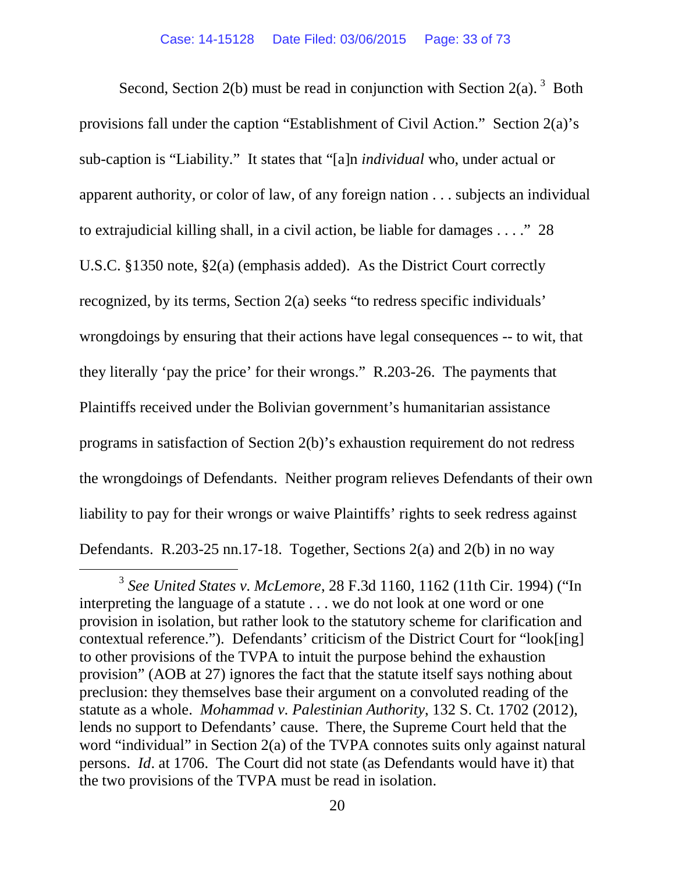<span id="page-32-2"></span>Second, Section 2(b) must be read in conjunction with Section 2(a).  $3$  Both provisions fall under the caption "Establishment of Civil Action." Section 2(a)'s sub-caption is "Liability." It states that "[a]n *individual* who, under actual or apparent authority, or color of law, of any foreign nation . . . subjects an individual to extrajudicial killing shall, in a civil action, be liable for damages . . . ." 28 U.S.C. §1350 note, §2(a) (emphasis added). As the District Court correctly recognized, by its terms, Section 2(a) seeks "to redress specific individuals' wrongdoings by ensuring that their actions have legal consequences -- to wit, that they literally 'pay the price' for their wrongs." R.203-26. The payments that Plaintiffs received under the Bolivian government's humanitarian assistance programs in satisfaction of Section 2(b)'s exhaustion requirement do not redress the wrongdoings of Defendants. Neither program relieves Defendants of their own liability to pay for their wrongs or waive Plaintiffs' rights to seek redress against Defendants. R.203-25 nn.17-18. Together, Sections 2(a) and 2(b) in no way

<span id="page-32-3"></span><span id="page-32-1"></span><span id="page-32-0"></span> <sup>3</sup> *See United States v. McLemore*, 28 F.3d 1160, 1162 (11th Cir. 1994) ("In interpreting the language of a statute . . . we do not look at one word or one provision in isolation, but rather look to the statutory scheme for clarification and contextual reference."). Defendants' criticism of the District Court for "look[ing] to other provisions of the TVPA to intuit the purpose behind the exhaustion provision" (AOB at 27) ignores the fact that the statute itself says nothing about preclusion: they themselves base their argument on a convoluted reading of the statute as a whole. *Mohammad v. Palestinian Authority*, 132 S. Ct. 1702 (2012), lends no support to Defendants' cause. There, the Supreme Court held that the word "individual" in Section 2(a) of the TVPA connotes suits only against natural persons. *Id*. at 1706. The Court did not state (as Defendants would have it) that the two provisions of the TVPA must be read in isolation.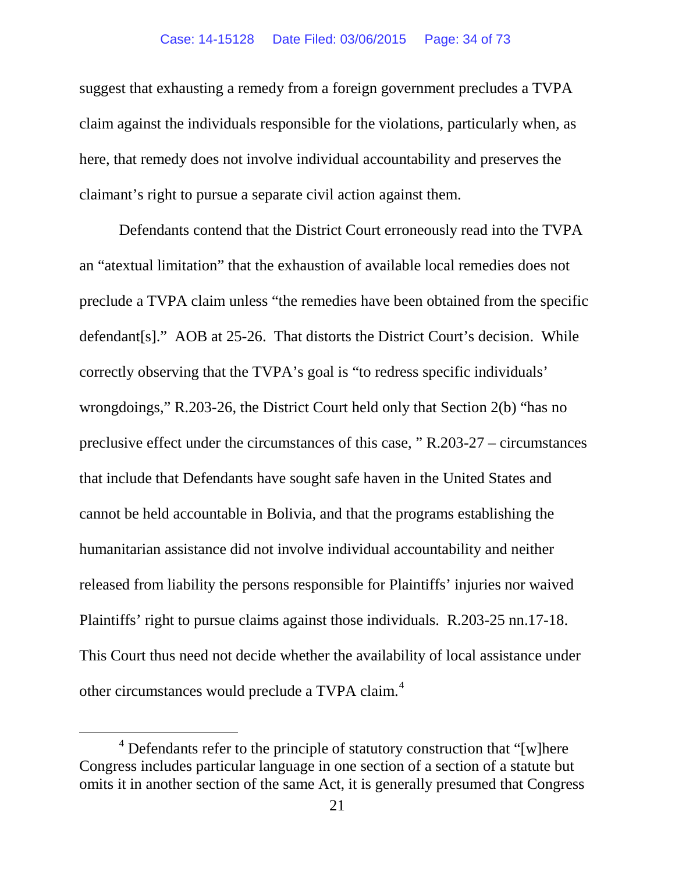#### Case: 14-15128 Date Filed: 03/06/2015 Page: 34 of 73

suggest that exhausting a remedy from a foreign government precludes a TVPA claim against the individuals responsible for the violations, particularly when, as here, that remedy does not involve individual accountability and preserves the claimant's right to pursue a separate civil action against them.

Defendants contend that the District Court erroneously read into the TVPA an "atextual limitation" that the exhaustion of available local remedies does not preclude a TVPA claim unless "the remedies have been obtained from the specific defendant[s]." AOB at 25-26. That distorts the District Court's decision. While correctly observing that the TVPA's goal is "to redress specific individuals' wrongdoings," R.203-26, the District Court held only that Section 2(b) "has no preclusive effect under the circumstances of this case, " R.203-27 – circumstances that include that Defendants have sought safe haven in the United States and cannot be held accountable in Bolivia, and that the programs establishing the humanitarian assistance did not involve individual accountability and neither released from liability the persons responsible for Plaintiffs' injuries nor waived Plaintiffs' right to pursue claims against those individuals. R.203-25 nn.17-18. This Court thus need not decide whether the availability of local assistance under other circumstances would preclude a TVPA claim.<sup>[4](#page-33-0)</sup>

<span id="page-33-0"></span> $4$  Defendants refer to the principle of statutory construction that "[w]here Congress includes particular language in one section of a section of a statute but omits it in another section of the same Act, it is generally presumed that Congress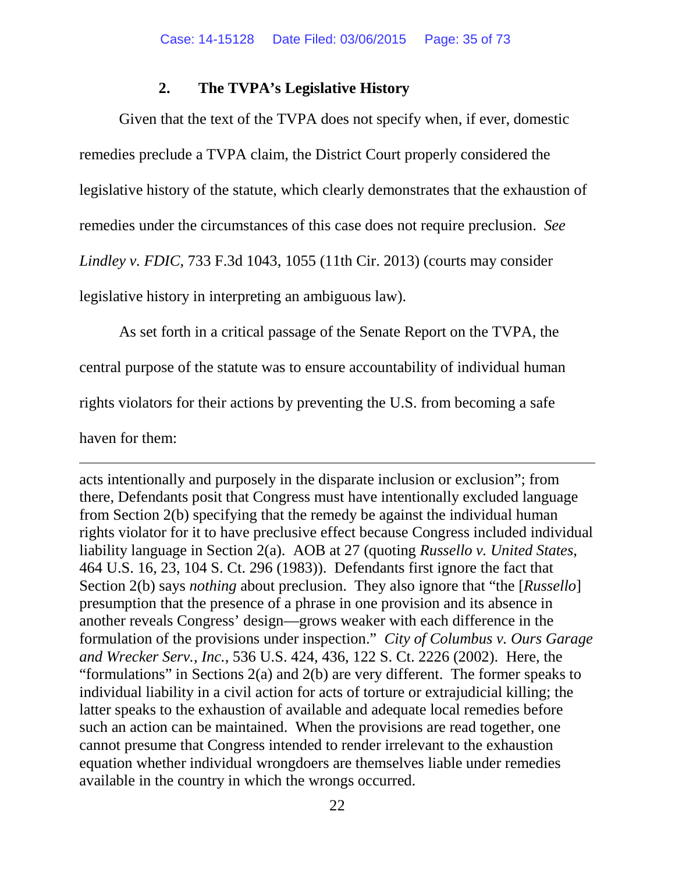#### **2. The TVPA's Legislative History**

Given that the text of the TVPA does not specify when, if ever, domestic remedies preclude a TVPA claim, the District Court properly considered the legislative history of the statute, which clearly demonstrates that the exhaustion of remedies under the circumstances of this case does not require preclusion. *See Lindley v. FDIC*, 733 F.3d 1043, 1055 (11th Cir. 2013) (courts may consider legislative history in interpreting an ambiguous law).

<span id="page-34-1"></span>As set forth in a critical passage of the Senate Report on the TVPA, the

central purpose of the statute was to ensure accountability of individual human

rights violators for their actions by preventing the U.S. from becoming a safe

haven for them:

 $\overline{a}$ 

<span id="page-34-0"></span>acts intentionally and purposely in the disparate inclusion or exclusion"; from there, Defendants posit that Congress must have intentionally excluded language from Section 2(b) specifying that the remedy be against the individual human rights violator for it to have preclusive effect because Congress included individual liability language in Section 2(a). AOB at 27 (quoting *Russello v. United States*, 464 U.S. 16, 23, 104 S. Ct. 296 (1983)). Defendants first ignore the fact that Section 2(b) says *nothing* about preclusion. They also ignore that "the [*Russello*] presumption that the presence of a phrase in one provision and its absence in another reveals Congress' design—grows weaker with each difference in the formulation of the provisions under inspection." *City of Columbus v. Ours Garage and Wrecker Serv., Inc.*, 536 U.S. 424, 436, 122 S. Ct. 2226 (2002). Here, the "formulations" in Sections 2(a) and 2(b) are very different. The former speaks to individual liability in a civil action for acts of torture or extrajudicial killing; the latter speaks to the exhaustion of available and adequate local remedies before such an action can be maintained. When the provisions are read together, one cannot presume that Congress intended to render irrelevant to the exhaustion equation whether individual wrongdoers are themselves liable under remedies available in the country in which the wrongs occurred.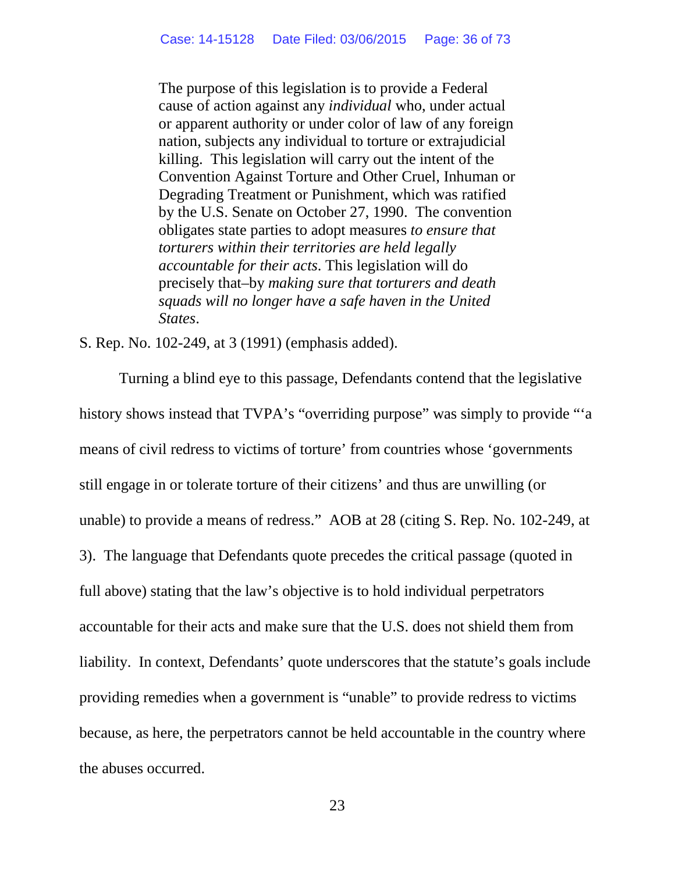The purpose of this legislation is to provide a Federal cause of action against any *individual* who, under actual or apparent authority or under color of law of any foreign nation, subjects any individual to torture or extrajudicial killing. This legislation will carry out the intent of the Convention Against Torture and Other Cruel, Inhuman or Degrading Treatment or Punishment, which was ratified by the U.S. Senate on October 27, 1990. The convention obligates state parties to adopt measures *to ensure that torturers within their territories are held legally accountable for their acts*. This legislation will do precisely that–by *making sure that torturers and death squads will no longer have a safe haven in the United States*.

<span id="page-35-0"></span>S. Rep. No. 102-249, at 3 (1991) (emphasis added).

Turning a blind eye to this passage, Defendants contend that the legislative history shows instead that TVPA's "overriding purpose" was simply to provide "'a means of civil redress to victims of torture' from countries whose 'governments still engage in or tolerate torture of their citizens' and thus are unwilling (or unable) to provide a means of redress." AOB at 28 (citing S. Rep. No. 102-249, at 3). The language that Defendants quote precedes the critical passage (quoted in full above) stating that the law's objective is to hold individual perpetrators accountable for their acts and make sure that the U.S. does not shield them from liability. In context, Defendants' quote underscores that the statute's goals include providing remedies when a government is "unable" to provide redress to victims because, as here, the perpetrators cannot be held accountable in the country where the abuses occurred.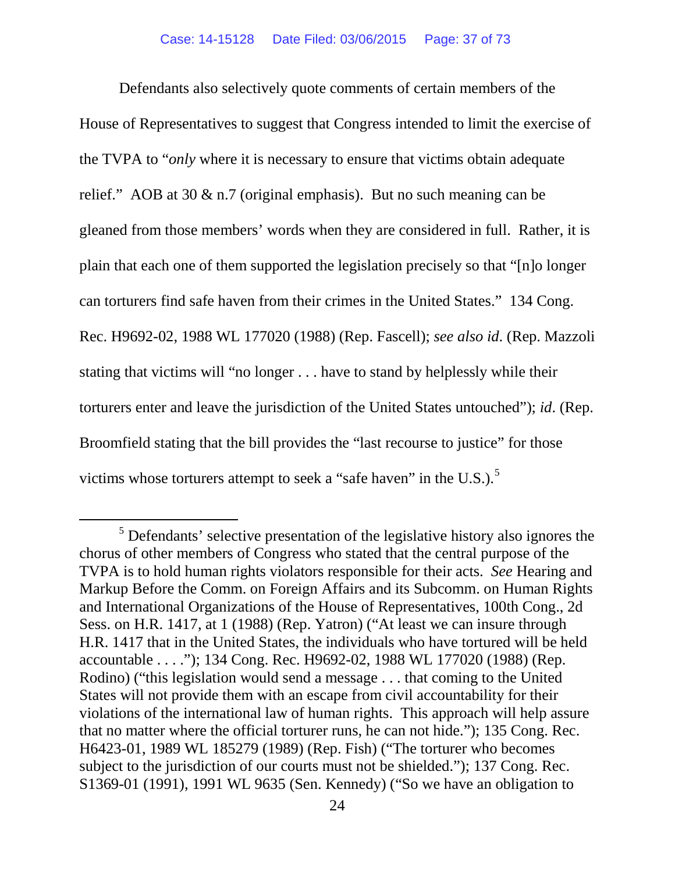Defendants also selectively quote comments of certain members of the House of Representatives to suggest that Congress intended to limit the exercise of the TVPA to "*only* where it is necessary to ensure that victims obtain adequate relief." AOB at 30 & n.7 (original emphasis). But no such meaning can be gleaned from those members' words when they are considered in full. Rather, it is plain that each one of them supported the legislation precisely so that "[n]o longer can torturers find safe haven from their crimes in the United States." 134 Cong. Rec. H9692-02, 1988 WL 177020 (1988) (Rep. Fascell); *see also id*. (Rep. Mazzoli stating that victims will "no longer . . . have to stand by helplessly while their torturers enter and leave the jurisdiction of the United States untouched"); *id*. (Rep. Broomfield stating that the bill provides the "last recourse to justice" for those victims whose torturers attempt to seek a "safe haven" in the U.S.). $<sup>5</sup>$  $<sup>5</sup>$  $<sup>5</sup>$ </sup>

<span id="page-36-0"></span><sup>&</sup>lt;sup>5</sup> Defendants' selective presentation of the legislative history also ignores the chorus of other members of Congress who stated that the central purpose of the TVPA is to hold human rights violators responsible for their acts. *See* Hearing and Markup Before the Comm. on Foreign Affairs and its Subcomm. on Human Rights and International Organizations of the House of Representatives, 100th Cong., 2d Sess. on H.R. 1417, at 1 (1988) (Rep. Yatron) ("At least we can insure through H.R. 1417 that in the United States, the individuals who have tortured will be held accountable . . . ."); 134 Cong. Rec. H9692-02, 1988 WL 177020 (1988) (Rep. Rodino) ("this legislation would send a message . . . that coming to the United States will not provide them with an escape from civil accountability for their violations of the international law of human rights. This approach will help assure that no matter where the official torturer runs, he can not hide."); 135 Cong. Rec. H6423-01, 1989 WL 185279 (1989) (Rep. Fish) ("The torturer who becomes subject to the jurisdiction of our courts must not be shielded."); 137 Cong. Rec. S1369-01 (1991), 1991 WL 9635 (Sen. Kennedy) ("So we have an obligation to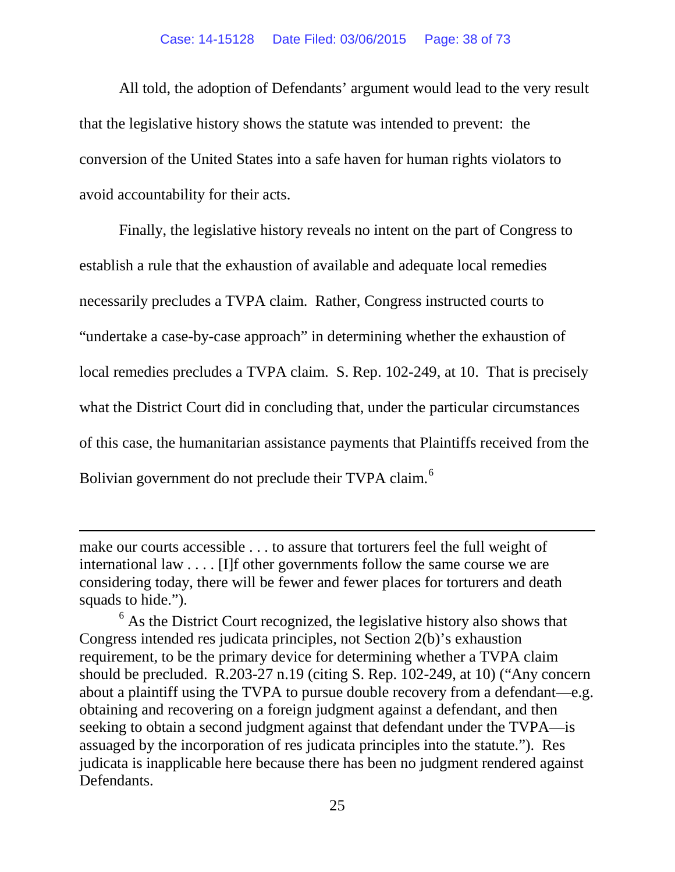#### Case: 14-15128 Date Filed: 03/06/2015 Page: 38 of 73

All told, the adoption of Defendants' argument would lead to the very result that the legislative history shows the statute was intended to prevent: the conversion of the United States into a safe haven for human rights violators to avoid accountability for their acts.

Finally, the legislative history reveals no intent on the part of Congress to establish a rule that the exhaustion of available and adequate local remedies necessarily precludes a TVPA claim. Rather, Congress instructed courts to "undertake a case-by-case approach" in determining whether the exhaustion of local remedies precludes a TVPA claim. S. Rep. 102-249, at 10. That is precisely what the District Court did in concluding that, under the particular circumstances of this case, the humanitarian assistance payments that Plaintiffs received from the Bolivian government do not preclude their TVPA claim.<sup>[6](#page-37-0)</sup>

make our courts accessible . . . to assure that torturers feel the full weight of international law . . . . [I]f other governments follow the same course we are considering today, there will be fewer and fewer places for torturers and death squads to hide.").

 $\overline{a}$ 

<span id="page-37-0"></span> $<sup>6</sup>$  As the District Court recognized, the legislative history also shows that</sup> Congress intended res judicata principles, not Section 2(b)'s exhaustion requirement, to be the primary device for determining whether a TVPA claim should be precluded. R.203-27 n.19 (citing S. Rep. 102-249, at 10) ("Any concern about a plaintiff using the TVPA to pursue double recovery from a defendant—e.g. obtaining and recovering on a foreign judgment against a defendant, and then seeking to obtain a second judgment against that defendant under the TVPA—is assuaged by the incorporation of res judicata principles into the statute."). Res judicata is inapplicable here because there has been no judgment rendered against Defendants.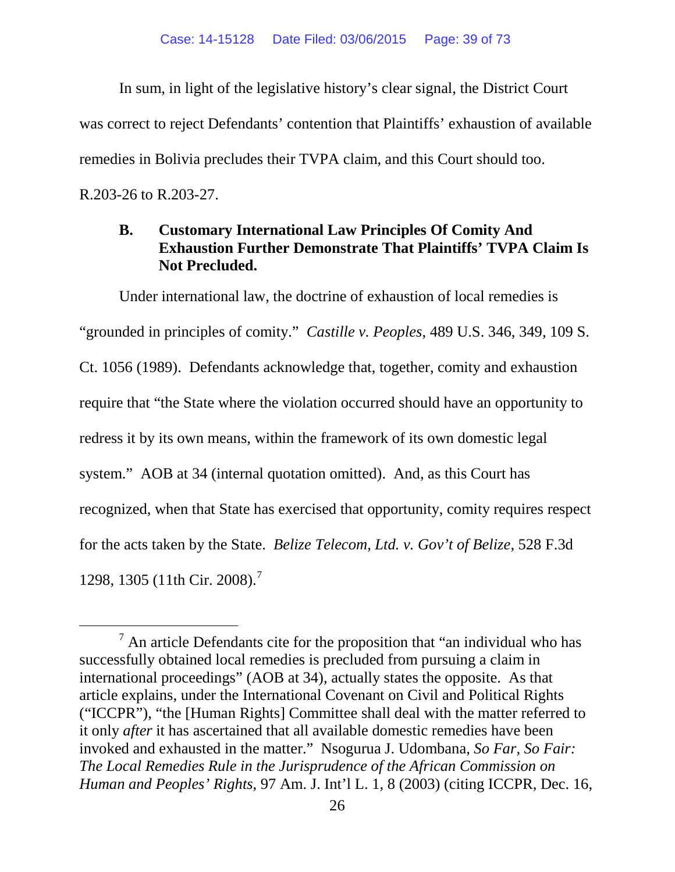In sum, in light of the legislative history's clear signal, the District Court was correct to reject Defendants' contention that Plaintiffs' exhaustion of available remedies in Bolivia precludes their TVPA claim, and this Court should too. R.203-26 to R.203-27.

## **B. Customary International Law Principles Of Comity And Exhaustion Further Demonstrate That Plaintiffs' TVPA Claim Is Not Precluded.**

Under international law, the doctrine of exhaustion of local remedies is "grounded in principles of comity." *Castille v. Peoples*, 489 U.S. 346, 349, 109 S. Ct. 1056 (1989). Defendants acknowledge that, together, comity and exhaustion require that "the State where the violation occurred should have an opportunity to redress it by its own means, within the framework of its own domestic legal system." AOB at 34 (internal quotation omitted). And, as this Court has recognized, when that State has exercised that opportunity, comity requires respect for the acts taken by the State. *Belize Telecom, Ltd. v. Gov't of Belize*, 528 F.3d 1298, 1305 (11th Cir. 2008).<sup>[7](#page-38-0)</sup>

<span id="page-38-0"></span> $<sup>7</sup>$  An article Defendants cite for the proposition that "an individual who has</sup> successfully obtained local remedies is precluded from pursuing a claim in international proceedings" (AOB at 34), actually states the opposite. As that article explains, under the International Covenant on Civil and Political Rights ("ICCPR"), "the [Human Rights] Committee shall deal with the matter referred to it only *after* it has ascertained that all available domestic remedies have been invoked and exhausted in the matter." Nsogurua J. Udombana, *So Far, So Fair: The Local Remedies Rule in the Jurisprudence of the African Commission on Human and Peoples' Rights*, 97 Am. J. Int'l L. 1, 8 (2003) (citing ICCPR, Dec. 16,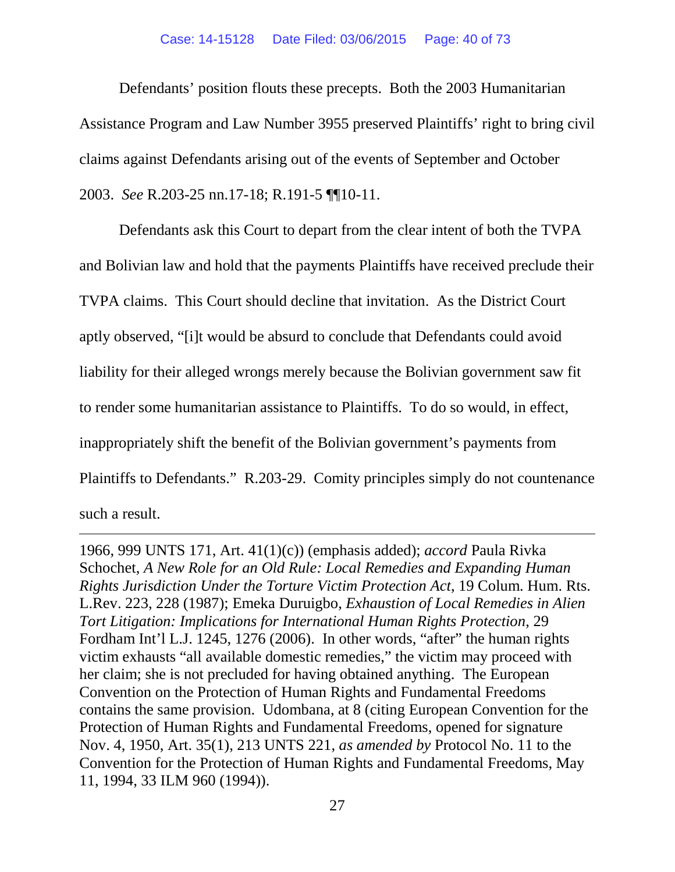#### Case: 14-15128 Date Filed: 03/06/2015 Page: 40 of 73

Defendants' position flouts these precepts. Both the 2003 Humanitarian Assistance Program and Law Number 3955 preserved Plaintiffs' right to bring civil claims against Defendants arising out of the events of September and October 2003. *See* R.203-25 nn.17-18; R.191-5 ¶¶10-11.

Defendants ask this Court to depart from the clear intent of both the TVPA and Bolivian law and hold that the payments Plaintiffs have received preclude their TVPA claims. This Court should decline that invitation. As the District Court aptly observed, "[i]t would be absurd to conclude that Defendants could avoid liability for their alleged wrongs merely because the Bolivian government saw fit to render some humanitarian assistance to Plaintiffs. To do so would, in effect, inappropriately shift the benefit of the Bolivian government's payments from Plaintiffs to Defendants." R.203-29. Comity principles simply do not countenance such a result.

1966, 999 UNTS 171, Art. 41(1)(c)) (emphasis added); *accord* Paula Rivka Schochet, *A New Role for an Old Rule: Local Remedies and Expanding Human Rights Jurisdiction Under the Torture Victim Protection Act*, 19 Colum. Hum. Rts. L.Rev. 223, 228 (1987); Emeka Duruigbo, *Exhaustion of Local Remedies in Alien Tort Litigation: Implications for International Human Rights Protection*, 29 Fordham Int'l L.J. 1245, 1276 (2006). In other words, "after" the human rights victim exhausts "all available domestic remedies," the victim may proceed with her claim; she is not precluded for having obtained anything. The European Convention on the Protection of Human Rights and Fundamental Freedoms contains the same provision. Udombana, at 8 (citing European Convention for the Protection of Human Rights and Fundamental Freedoms, opened for signature Nov. 4, 1950, Art. 35(1), 213 UNTS 221, *as amended by* Protocol No. 11 to the Convention for the Protection of Human Rights and Fundamental Freedoms, May 11, 1994, 33 ILM 960 (1994)).

 $\overline{a}$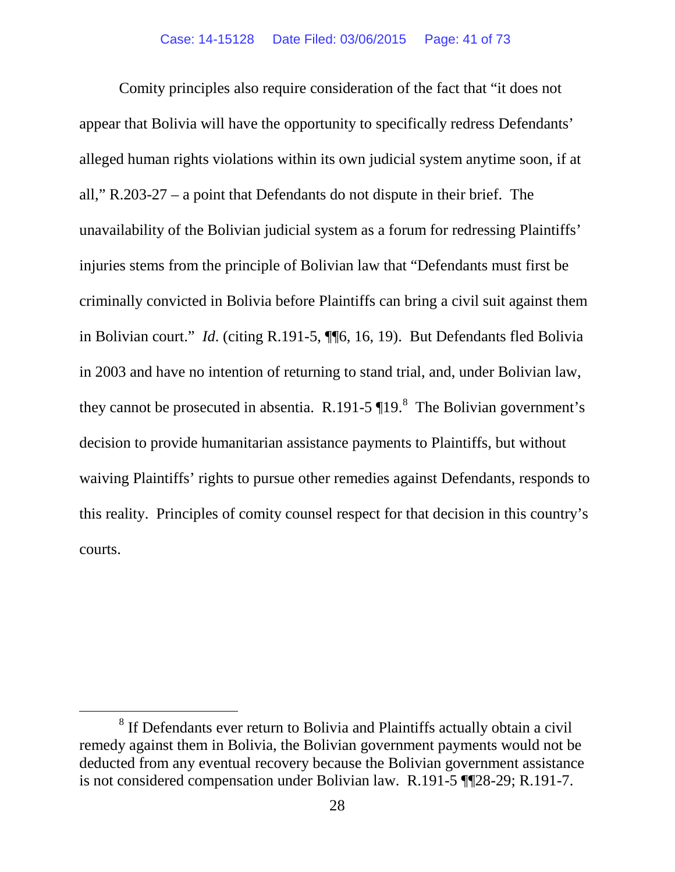Comity principles also require consideration of the fact that "it does not appear that Bolivia will have the opportunity to specifically redress Defendants' alleged human rights violations within its own judicial system anytime soon, if at all," R.203-27 – a point that Defendants do not dispute in their brief. The unavailability of the Bolivian judicial system as a forum for redressing Plaintiffs' injuries stems from the principle of Bolivian law that "Defendants must first be criminally convicted in Bolivia before Plaintiffs can bring a civil suit against them in Bolivian court." *Id*. (citing R.191-5, ¶¶6, 16, 19). But Defendants fled Bolivia in 2003 and have no intention of returning to stand trial, and, under Bolivian law, they cannot be prosecuted in absentia. R.191-5  $\P$ 19.<sup>[8](#page-40-0)</sup> The Bolivian government's decision to provide humanitarian assistance payments to Plaintiffs, but without waiving Plaintiffs' rights to pursue other remedies against Defendants, responds to this reality. Principles of comity counsel respect for that decision in this country's courts.

<span id="page-40-0"></span><sup>&</sup>lt;sup>8</sup> If Defendants ever return to Bolivia and Plaintiffs actually obtain a civil remedy against them in Bolivia, the Bolivian government payments would not be deducted from any eventual recovery because the Bolivian government assistance is not considered compensation under Bolivian law. R.191-5 ¶¶28-29; R.191-7.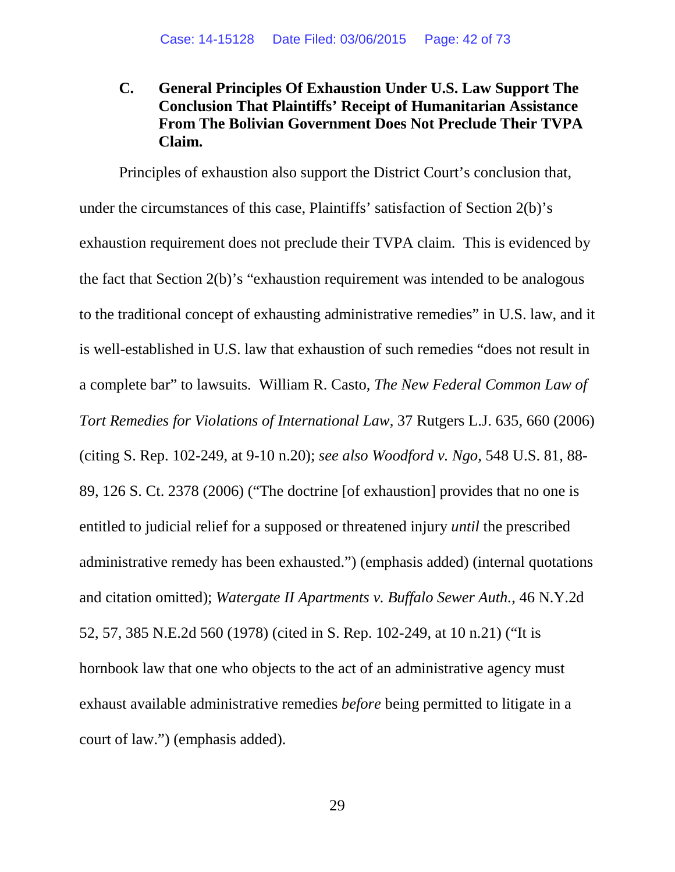**C. General Principles Of Exhaustion Under U.S. Law Support The Conclusion That Plaintiffs' Receipt of Humanitarian Assistance From The Bolivian Government Does Not Preclude Their TVPA Claim.**

Principles of exhaustion also support the District Court's conclusion that, under the circumstances of this case, Plaintiffs' satisfaction of Section 2(b)'s exhaustion requirement does not preclude their TVPA claim. This is evidenced by the fact that Section 2(b)'s "exhaustion requirement was intended to be analogous to the traditional concept of exhausting administrative remedies" in U.S. law, and it is well-established in U.S. law that exhaustion of such remedies "does not result in a complete bar" to lawsuits. William R. Casto, *The New Federal Common Law of Tort Remedies for Violations of International Law*, 37 Rutgers L.J. 635, 660 (2006) (citing S. Rep. 102-249, at 9-10 n.20); *see also Woodford v. Ngo*, 548 U.S. 81, 88- 89, 126 S. Ct. 2378 (2006) ("The doctrine [of exhaustion] provides that no one is entitled to judicial relief for a supposed or threatened injury *until* the prescribed administrative remedy has been exhausted.") (emphasis added) (internal quotations and citation omitted); *Watergate II Apartments v. Buffalo Sewer Auth.*, 46 N.Y.2d 52, 57, 385 N.E.2d 560 (1978) (cited in S. Rep. 102-249, at 10 n.21) ("It is hornbook law that one who objects to the act of an administrative agency must exhaust available administrative remedies *before* being permitted to litigate in a court of law.") (emphasis added).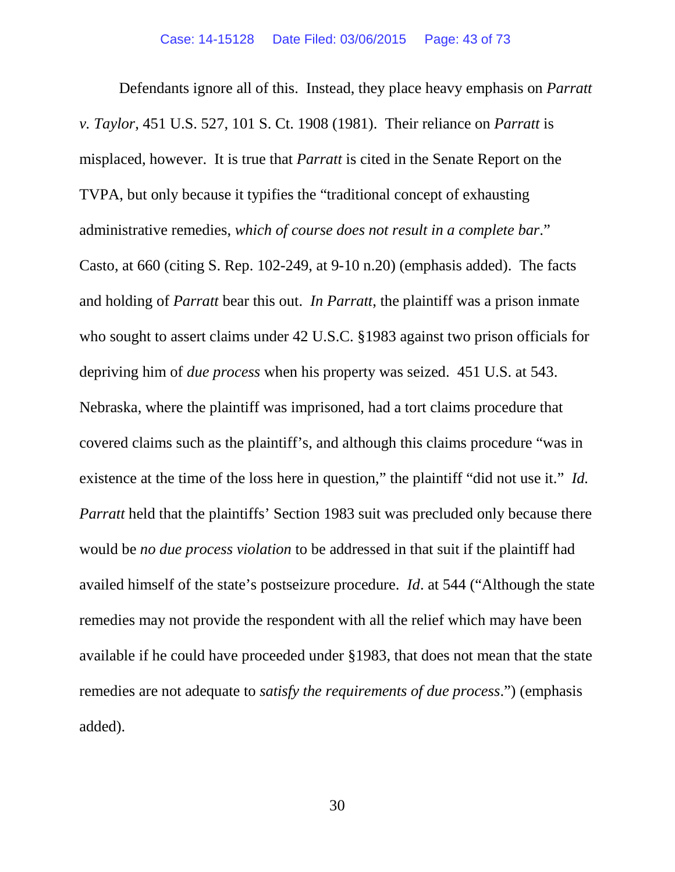Defendants ignore all of this. Instead, they place heavy emphasis on *Parratt v. Taylor*, 451 U.S. 527, 101 S. Ct. 1908 (1981). Their reliance on *Parratt* is misplaced, however. It is true that *Parratt* is cited in the Senate Report on the TVPA, but only because it typifies the "traditional concept of exhausting administrative remedies, *which of course does not result in a complete bar*." Casto, at 660 (citing S. Rep. 102-249, at 9-10 n.20) (emphasis added). The facts and holding of *Parratt* bear this out. *In Parratt*, the plaintiff was a prison inmate who sought to assert claims under 42 U.S.C. §1983 against two prison officials for depriving him of *due process* when his property was seized. 451 U.S. at 543. Nebraska, where the plaintiff was imprisoned, had a tort claims procedure that covered claims such as the plaintiff's, and although this claims procedure "was in existence at the time of the loss here in question," the plaintiff "did not use it." *Id. Parratt* held that the plaintiffs' Section 1983 suit was precluded only because there would be *no due process violation* to be addressed in that suit if the plaintiff had availed himself of the state's postseizure procedure. *Id*. at 544 ("Although the state remedies may not provide the respondent with all the relief which may have been available if he could have proceeded under §1983, that does not mean that the state remedies are not adequate to *satisfy the requirements of due process*.") (emphasis added).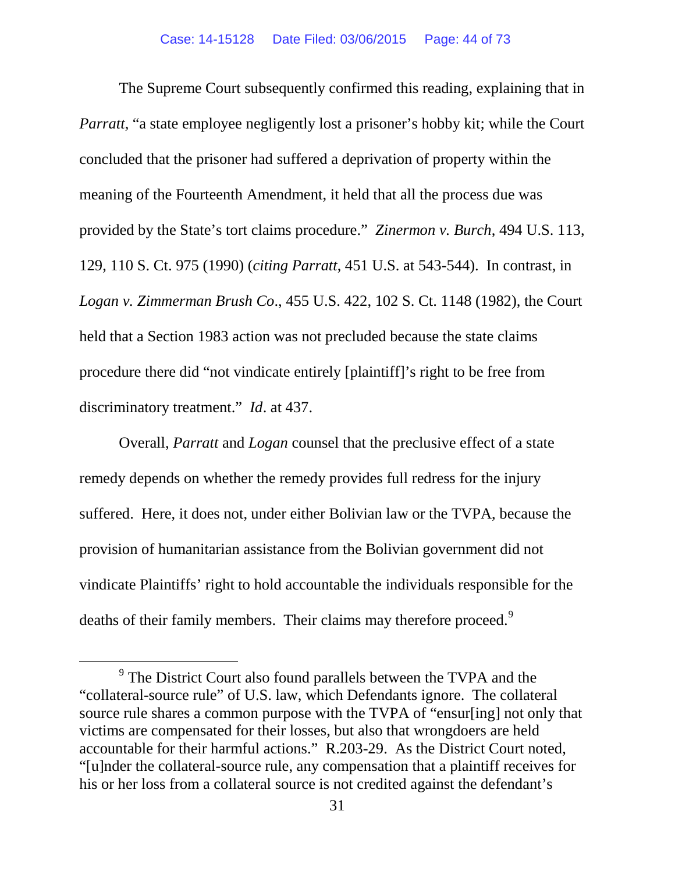The Supreme Court subsequently confirmed this reading, explaining that in *Parratt*, "a state employee negligently lost a prisoner's hobby kit; while the Court concluded that the prisoner had suffered a deprivation of property within the meaning of the Fourteenth Amendment, it held that all the process due was provided by the State's tort claims procedure." *Zinermon v. Burch*, 494 U.S. 113, 129, 110 S. Ct. 975 (1990) (*citing Parratt*, 451 U.S. at 543-544). In contrast, in *Logan v. Zimmerman Brush Co*., 455 U.S. 422, 102 S. Ct. 1148 (1982), the Court held that a Section 1983 action was not precluded because the state claims procedure there did "not vindicate entirely [plaintiff]'s right to be free from discriminatory treatment." *Id*. at 437.

Overall, *Parratt* and *Logan* counsel that the preclusive effect of a state remedy depends on whether the remedy provides full redress for the injury suffered. Here, it does not, under either Bolivian law or the TVPA, because the provision of humanitarian assistance from the Bolivian government did not vindicate Plaintiffs' right to hold accountable the individuals responsible for the deaths of their family members. Their claims may therefore proceed.<sup>[9](#page-43-0)</sup>

<span id="page-43-0"></span> <sup>9</sup> The District Court also found parallels between the TVPA and the "collateral-source rule" of U.S. law, which Defendants ignore. The collateral source rule shares a common purpose with the TVPA of "ensur[ing] not only that victims are compensated for their losses, but also that wrongdoers are held accountable for their harmful actions." R.203-29. As the District Court noted, "[u]nder the collateral-source rule, any compensation that a plaintiff receives for his or her loss from a collateral source is not credited against the defendant's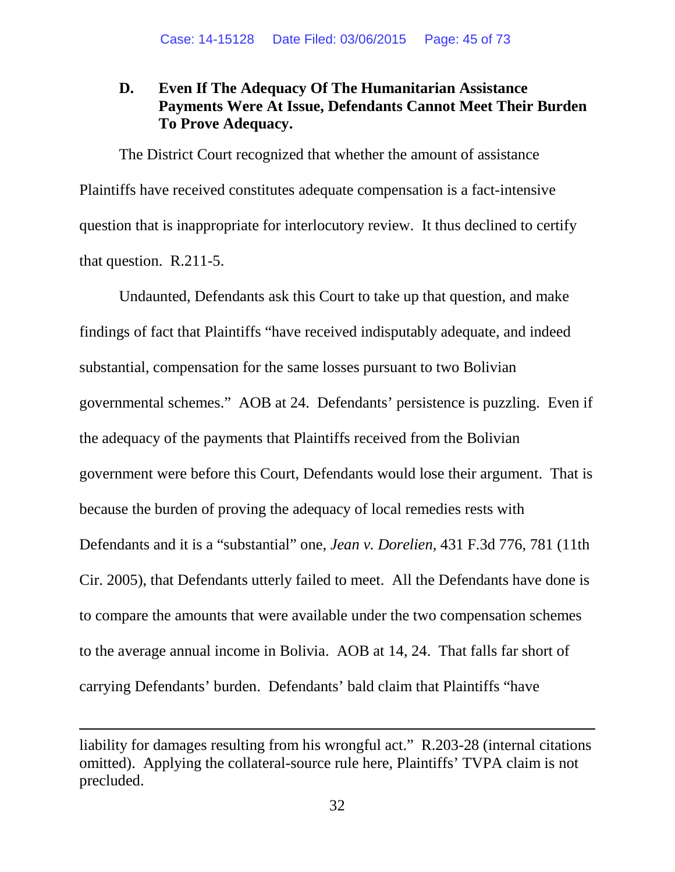## **D. Even If The Adequacy Of The Humanitarian Assistance Payments Were At Issue, Defendants Cannot Meet Their Burden To Prove Adequacy.**

The District Court recognized that whether the amount of assistance Plaintiffs have received constitutes adequate compensation is a fact-intensive question that is inappropriate for interlocutory review. It thus declined to certify that question. R.211-5.

Undaunted, Defendants ask this Court to take up that question, and make findings of fact that Plaintiffs "have received indisputably adequate, and indeed substantial, compensation for the same losses pursuant to two Bolivian governmental schemes." AOB at 24. Defendants' persistence is puzzling. Even if the adequacy of the payments that Plaintiffs received from the Bolivian government were before this Court, Defendants would lose their argument. That is because the burden of proving the adequacy of local remedies rests with Defendants and it is a "substantial" one, *Jean v. Dorelien*, 431 F.3d 776, 781 (11th Cir. 2005), that Defendants utterly failed to meet. All the Defendants have done is to compare the amounts that were available under the two compensation schemes to the average annual income in Bolivia. AOB at 14, 24. That falls far short of carrying Defendants' burden. Defendants' bald claim that Plaintiffs "have

 $\overline{a}$ 

liability for damages resulting from his wrongful act." R.203-28 (internal citations omitted). Applying the collateral-source rule here, Plaintiffs' TVPA claim is not precluded.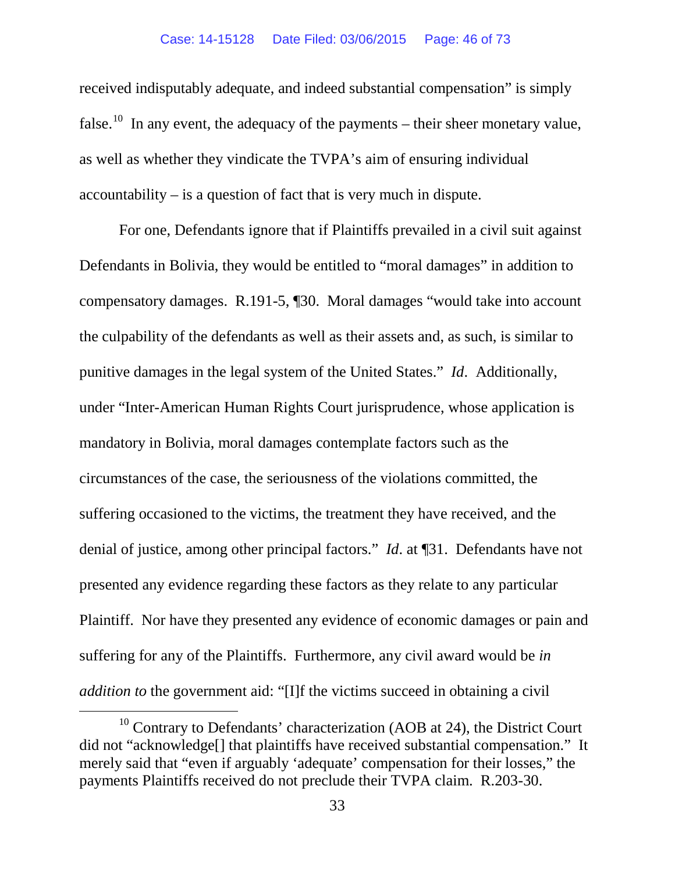#### Case: 14-15128 Date Filed: 03/06/2015 Page: 46 of 73

received indisputably adequate, and indeed substantial compensation" is simply false.<sup>10</sup> In any event, the adequacy of the payments – their sheer monetary value, as well as whether they vindicate the TVPA's aim of ensuring individual accountability – is a question of fact that is very much in dispute.

For one, Defendants ignore that if Plaintiffs prevailed in a civil suit against Defendants in Bolivia, they would be entitled to "moral damages" in addition to compensatory damages. R.191-5, ¶30. Moral damages "would take into account the culpability of the defendants as well as their assets and, as such, is similar to punitive damages in the legal system of the United States." *Id*. Additionally, under "Inter-American Human Rights Court jurisprudence, whose application is mandatory in Bolivia, moral damages contemplate factors such as the circumstances of the case, the seriousness of the violations committed, the suffering occasioned to the victims, the treatment they have received, and the denial of justice, among other principal factors." *Id*. at ¶31. Defendants have not presented any evidence regarding these factors as they relate to any particular Plaintiff. Nor have they presented any evidence of economic damages or pain and suffering for any of the Plaintiffs. Furthermore, any civil award would be *in addition to* the government aid: "[I]f the victims succeed in obtaining a civil

<span id="page-45-0"></span> $10$  Contrary to Defendants' characterization (AOB at 24), the District Court did not "acknowledge[] that plaintiffs have received substantial compensation." It merely said that "even if arguably 'adequate' compensation for their losses," the payments Plaintiffs received do not preclude their TVPA claim. R.203-30.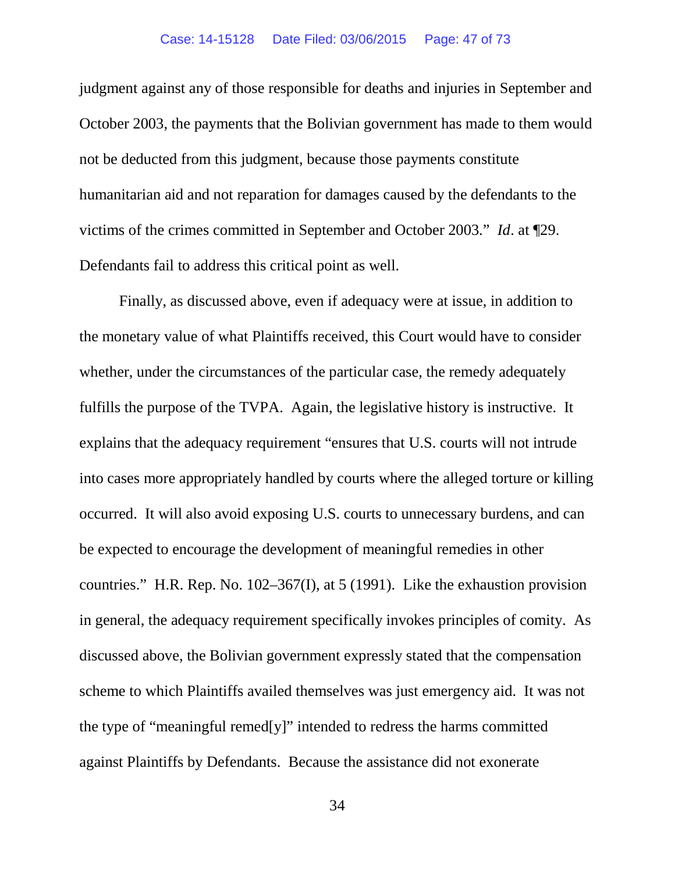judgment against any of those responsible for deaths and injuries in September and October 2003, the payments that the Bolivian government has made to them would not be deducted from this judgment, because those payments constitute humanitarian aid and not reparation for damages caused by the defendants to the victims of the crimes committed in September and October 2003." *Id*. at ¶29. Defendants fail to address this critical point as well.

Finally, as discussed above, even if adequacy were at issue, in addition to the monetary value of what Plaintiffs received, this Court would have to consider whether, under the circumstances of the particular case, the remedy adequately fulfills the purpose of the TVPA. Again, the legislative history is instructive. It explains that the adequacy requirement "ensures that U.S. courts will not intrude into cases more appropriately handled by courts where the alleged torture or killing occurred. It will also avoid exposing U.S. courts to unnecessary burdens, and can be expected to encourage the development of meaningful remedies in other countries." H.R. Rep. No. 102–367(I), at 5 (1991). Like the exhaustion provision in general, the adequacy requirement specifically invokes principles of comity. As discussed above, the Bolivian government expressly stated that the compensation scheme to which Plaintiffs availed themselves was just emergency aid. It was not the type of "meaningful remed[y]" intended to redress the harms committed against Plaintiffs by Defendants. Because the assistance did not exonerate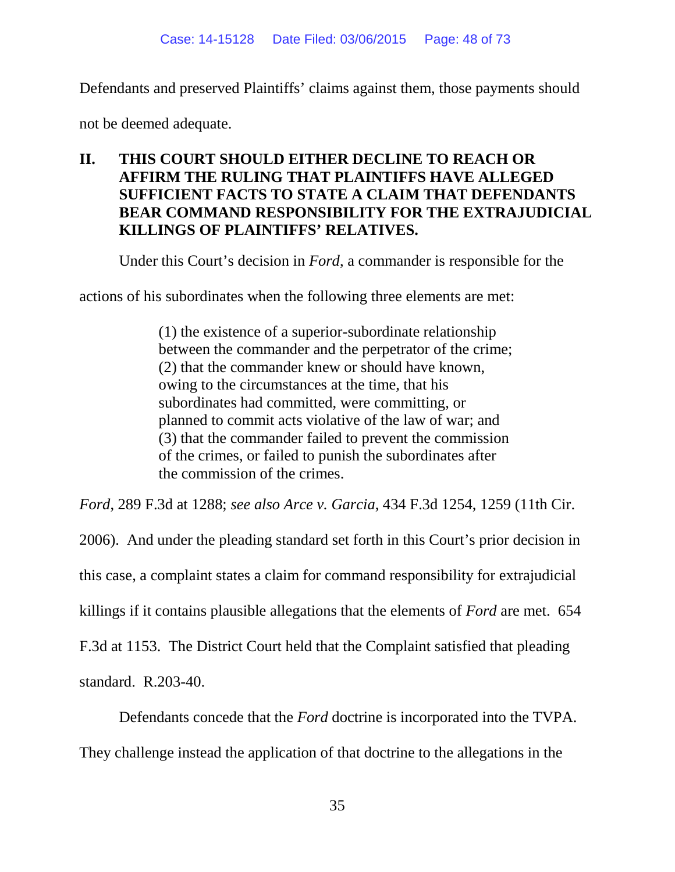Defendants and preserved Plaintiffs' claims against them, those payments should

not be deemed adequate.

## **II. THIS COURT SHOULD EITHER DECLINE TO REACH OR AFFIRM THE RULING THAT PLAINTIFFS HAVE ALLEGED SUFFICIENT FACTS TO STATE A CLAIM THAT DEFENDANTS BEAR COMMAND RESPONSIBILITY FOR THE EXTRAJUDICIAL KILLINGS OF PLAINTIFFS' RELATIVES.**

Under this Court's decision in *Ford*, a commander is responsible for the

actions of his subordinates when the following three elements are met:

(1) the existence of a superior-subordinate relationship between the commander and the perpetrator of the crime; (2) that the commander knew or should have known, owing to the circumstances at the time, that his subordinates had committed, were committing, or planned to commit acts violative of the law of war; and (3) that the commander failed to prevent the commission of the crimes, or failed to punish the subordinates after the commission of the crimes.

*Ford*, 289 F.3d at 1288; *see also Arce v. Garcia*, 434 F.3d 1254, 1259 (11th Cir.

2006). And under the pleading standard set forth in this Court's prior decision in this case, a complaint states a claim for command responsibility for extrajudicial killings if it contains plausible allegations that the elements of *Ford* are met. 654 F.3d at 1153. The District Court held that the Complaint satisfied that pleading standard. R.203-40.

Defendants concede that the *Ford* doctrine is incorporated into the TVPA. They challenge instead the application of that doctrine to the allegations in the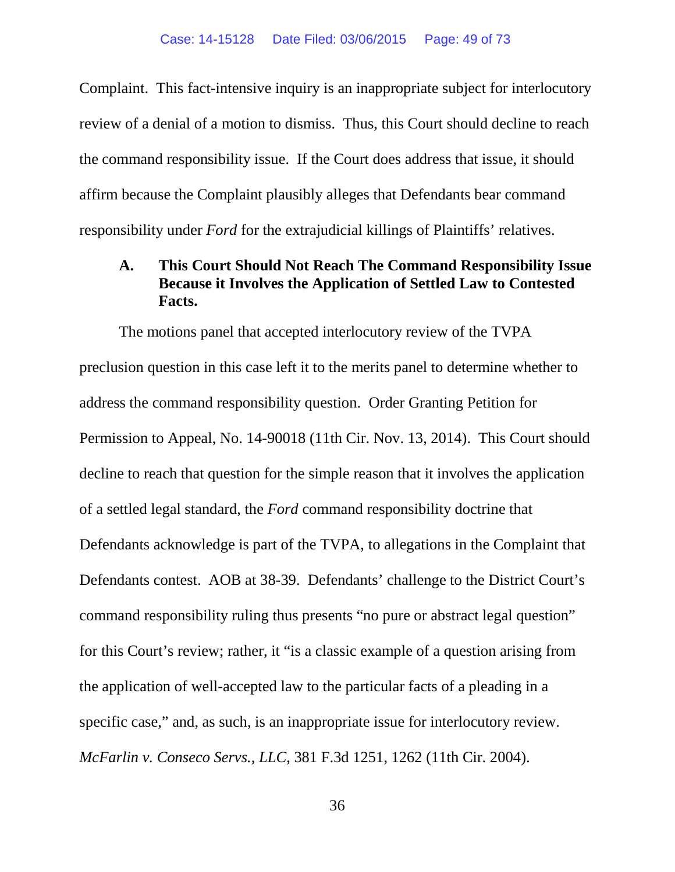Complaint. This fact-intensive inquiry is an inappropriate subject for interlocutory review of a denial of a motion to dismiss. Thus, this Court should decline to reach the command responsibility issue. If the Court does address that issue, it should affirm because the Complaint plausibly alleges that Defendants bear command responsibility under *Ford* for the extrajudicial killings of Plaintiffs' relatives.

#### **A. This Court Should Not Reach The Command Responsibility Issue Because it Involves the Application of Settled Law to Contested Facts.**

The motions panel that accepted interlocutory review of the TVPA preclusion question in this case left it to the merits panel to determine whether to address the command responsibility question. Order Granting Petition for Permission to Appeal, No. 14-90018 (11th Cir. Nov. 13, 2014). This Court should decline to reach that question for the simple reason that it involves the application of a settled legal standard, the *Ford* command responsibility doctrine that Defendants acknowledge is part of the TVPA, to allegations in the Complaint that Defendants contest. AOB at 38-39. Defendants' challenge to the District Court's command responsibility ruling thus presents "no pure or abstract legal question" for this Court's review; rather, it "is a classic example of a question arising from the application of well-accepted law to the particular facts of a pleading in a specific case," and, as such, is an inappropriate issue for interlocutory review. *McFarlin v. Conseco Servs., LLC*, 381 F.3d 1251, 1262 (11th Cir. 2004).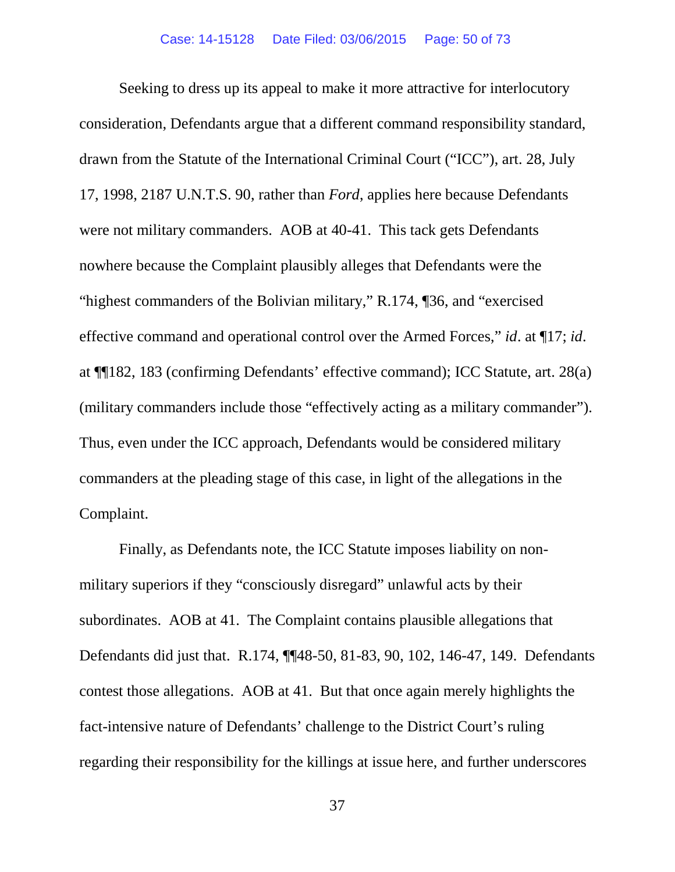Seeking to dress up its appeal to make it more attractive for interlocutory consideration, Defendants argue that a different command responsibility standard, drawn from the Statute of the International Criminal Court ("ICC"), art. 28, July 17, 1998, 2187 U.N.T.S. 90, rather than *Ford*, applies here because Defendants were not military commanders. AOB at 40-41. This tack gets Defendants nowhere because the Complaint plausibly alleges that Defendants were the "highest commanders of the Bolivian military," R.174, ¶36, and "exercised effective command and operational control over the Armed Forces," *id*. at ¶17; *id*. at ¶¶182, 183 (confirming Defendants' effective command); ICC Statute, art. 28(a) (military commanders include those "effectively acting as a military commander"). Thus, even under the ICC approach, Defendants would be considered military commanders at the pleading stage of this case, in light of the allegations in the Complaint.

Finally, as Defendants note, the ICC Statute imposes liability on nonmilitary superiors if they "consciously disregard" unlawful acts by their subordinates. AOB at 41. The Complaint contains plausible allegations that Defendants did just that. R.174, ¶¶48-50, 81-83, 90, 102, 146-47, 149. Defendants contest those allegations. AOB at 41. But that once again merely highlights the fact-intensive nature of Defendants' challenge to the District Court's ruling regarding their responsibility for the killings at issue here, and further underscores

37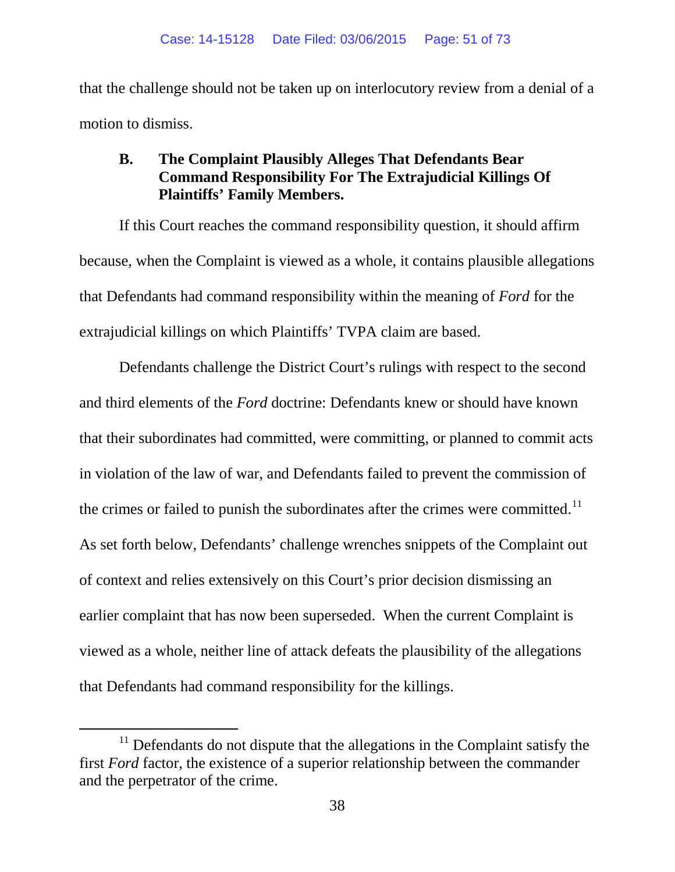that the challenge should not be taken up on interlocutory review from a denial of a motion to dismiss.

## **B. The Complaint Plausibly Alleges That Defendants Bear Command Responsibility For The Extrajudicial Killings Of Plaintiffs' Family Members.**

If this Court reaches the command responsibility question, it should affirm because, when the Complaint is viewed as a whole, it contains plausible allegations that Defendants had command responsibility within the meaning of *Ford* for the extrajudicial killings on which Plaintiffs' TVPA claim are based.

Defendants challenge the District Court's rulings with respect to the second and third elements of the *Ford* doctrine: Defendants knew or should have known that their subordinates had committed, were committing, or planned to commit acts in violation of the law of war, and Defendants failed to prevent the commission of the crimes or failed to punish the subordinates after the crimes were committed.<sup>[11](#page-50-0)</sup> As set forth below, Defendants' challenge wrenches snippets of the Complaint out of context and relies extensively on this Court's prior decision dismissing an earlier complaint that has now been superseded. When the current Complaint is viewed as a whole, neither line of attack defeats the plausibility of the allegations that Defendants had command responsibility for the killings.

<span id="page-50-0"></span> $11$  Defendants do not dispute that the allegations in the Complaint satisfy the first *Ford* factor, the existence of a superior relationship between the commander and the perpetrator of the crime.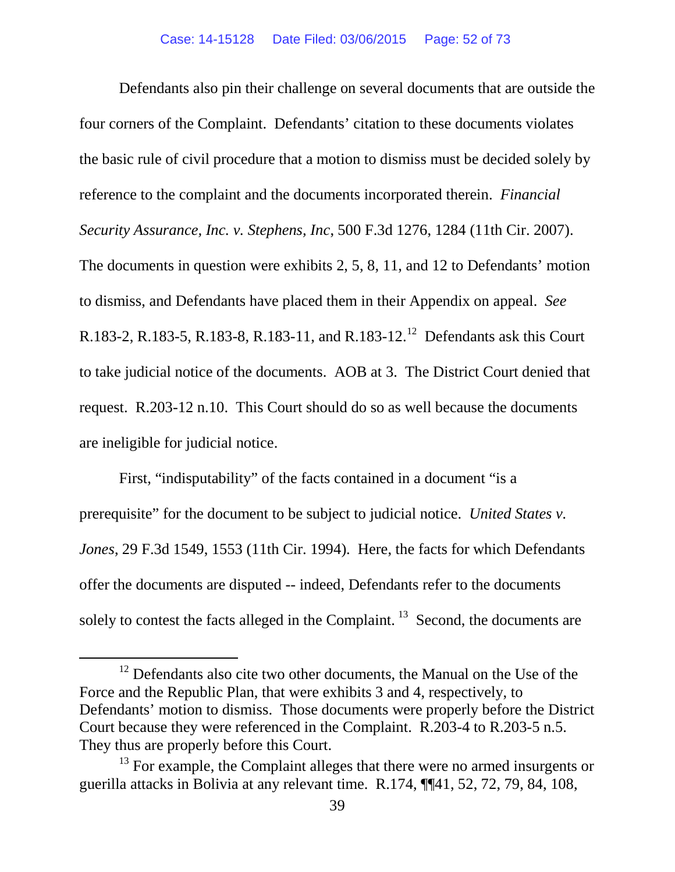Defendants also pin their challenge on several documents that are outside the four corners of the Complaint. Defendants' citation to these documents violates the basic rule of civil procedure that a motion to dismiss must be decided solely by reference to the complaint and the documents incorporated therein. *Financial Security Assurance, Inc. v. Stephens, Inc*, 500 F.3d 1276, 1284 (11th Cir. 2007). The documents in question were exhibits 2, 5, 8, 11, and 12 to Defendants' motion to dismiss, and Defendants have placed them in their Appendix on appeal. *See*  R.183-2, R.183-5, R.183-8, R.183-11, and R.183-[12](#page-51-0).<sup>12</sup> Defendants ask this Court to take judicial notice of the documents. AOB at 3. The District Court denied that request. R.203-12 n.10. This Court should do so as well because the documents are ineligible for judicial notice.

First, "indisputability" of the facts contained in a document "is a prerequisite" for the document to be subject to judicial notice. *United States v. Jones*, 29 F.3d 1549, 1553 (11th Cir. 1994). Here, the facts for which Defendants offer the documents are disputed -- indeed, Defendants refer to the documents solely to contest the facts alleged in the Complaint.<sup>[13](#page-51-1)</sup> Second, the documents are

<span id="page-51-0"></span><sup>&</sup>lt;sup>12</sup> Defendants also cite two other documents, the Manual on the Use of the Force and the Republic Plan, that were exhibits 3 and 4, respectively, to Defendants' motion to dismiss. Those documents were properly before the District Court because they were referenced in the Complaint. R.203-4 to R.203-5 n.5. They thus are properly before this Court.

<span id="page-51-1"></span><sup>&</sup>lt;sup>13</sup> For example, the Complaint alleges that there were no armed insurgents or guerilla attacks in Bolivia at any relevant time. R.174, ¶¶41, 52, 72, 79, 84, 108,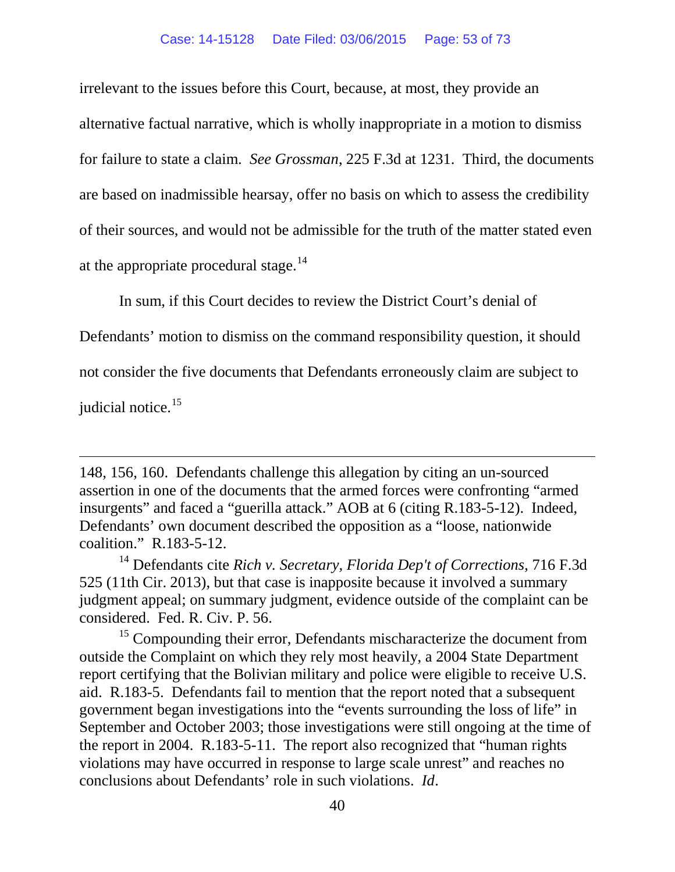irrelevant to the issues before this Court, because, at most, they provide an alternative factual narrative, which is wholly inappropriate in a motion to dismiss for failure to state a claim. *See Grossman*, 225 F.3d at 1231. Third, the documents are based on inadmissible hearsay, offer no basis on which to assess the credibility of their sources, and would not be admissible for the truth of the matter stated even at the appropriate procedural stage. $^{14}$  $^{14}$  $^{14}$ 

In sum, if this Court decides to review the District Court's denial of

Defendants' motion to dismiss on the command responsibility question, it should

not consider the five documents that Defendants erroneously claim are subject to

judicial notice.<sup>[15](#page-52-1)</sup>

 $\overline{a}$ 

<span id="page-52-1"></span> $15$  Compounding their error, Defendants mischaracterize the document from outside the Complaint on which they rely most heavily, a 2004 State Department report certifying that the Bolivian military and police were eligible to receive U.S. aid. R.183-5. Defendants fail to mention that the report noted that a subsequent government began investigations into the "events surrounding the loss of life" in September and October 2003; those investigations were still ongoing at the time of the report in 2004. R.183-5-11. The report also recognized that "human rights violations may have occurred in response to large scale unrest" and reaches no conclusions about Defendants' role in such violations. *Id*.

<sup>148, 156, 160.</sup> Defendants challenge this allegation by citing an un-sourced assertion in one of the documents that the armed forces were confronting "armed insurgents" and faced a "guerilla attack." AOB at 6 (citing R.183-5-12). Indeed, Defendants' own document described the opposition as a "loose, nationwide coalition." R.183-5-12.

<span id="page-52-0"></span><sup>14</sup> Defendants cite *Rich v. Secretary, Florida Dep't of Corrections*, 716 F.3d 525 (11th Cir. 2013), but that case is inapposite because it involved a summary judgment appeal; on summary judgment, evidence outside of the complaint can be considered. Fed. R. Civ. P. 56.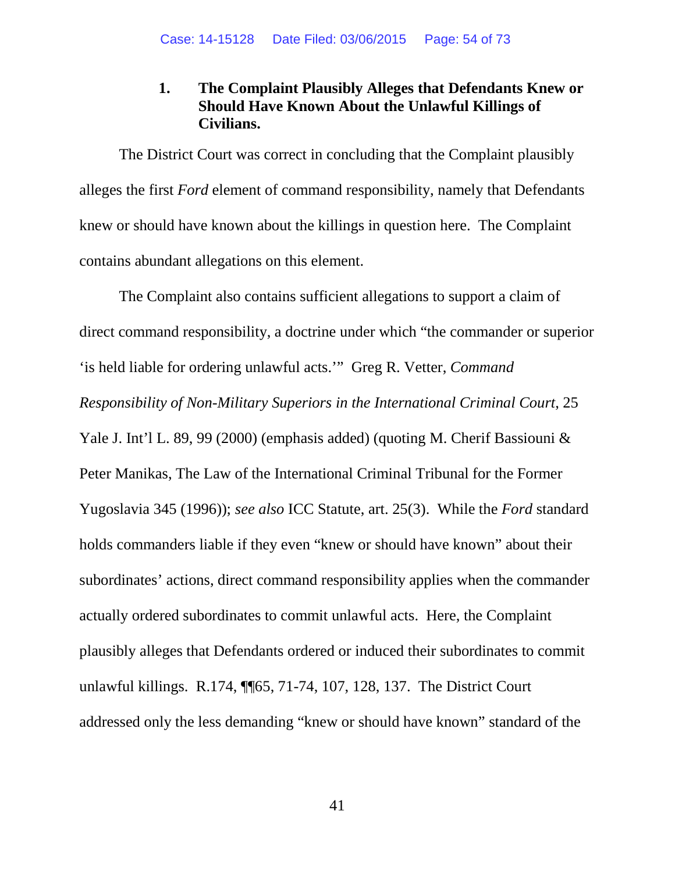## **1. The Complaint Plausibly Alleges that Defendants Knew or Should Have Known About the Unlawful Killings of Civilians.**

The District Court was correct in concluding that the Complaint plausibly alleges the first *Ford* element of command responsibility, namely that Defendants knew or should have known about the killings in question here. The Complaint contains abundant allegations on this element.

The Complaint also contains sufficient allegations to support a claim of direct command responsibility, a doctrine under which "the commander or superior 'is held liable for ordering unlawful acts.'" Greg R. Vetter, *Command Responsibility of Non-Military Superiors in the International Criminal Court*, 25 Yale J. Int'l L. 89, 99 (2000) (emphasis added) (quoting M. Cherif Bassiouni & Peter Manikas, The Law of the International Criminal Tribunal for the Former Yugoslavia 345 (1996)); *see also* ICC Statute, art. 25(3). While the *Ford* standard holds commanders liable if they even "knew or should have known" about their subordinates' actions, direct command responsibility applies when the commander actually ordered subordinates to commit unlawful acts. Here, the Complaint plausibly alleges that Defendants ordered or induced their subordinates to commit unlawful killings. R.174, ¶¶65, 71-74, 107, 128, 137. The District Court addressed only the less demanding "knew or should have known" standard of the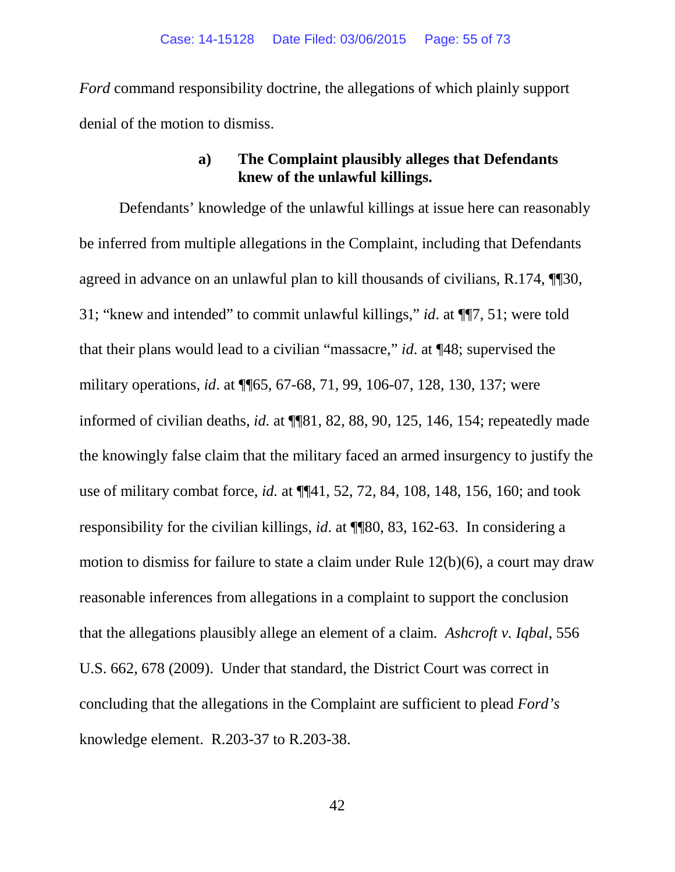*Ford* command responsibility doctrine, the allegations of which plainly support denial of the motion to dismiss.

#### **a) The Complaint plausibly alleges that Defendants knew of the unlawful killings.**

Defendants' knowledge of the unlawful killings at issue here can reasonably be inferred from multiple allegations in the Complaint, including that Defendants agreed in advance on an unlawful plan to kill thousands of civilians, R.174, ¶¶30, 31; "knew and intended" to commit unlawful killings," *id*. at ¶¶7, 51; were told that their plans would lead to a civilian "massacre," *id*. at ¶48; supervised the military operations, *id*. at ¶¶65, 67-68, 71, 99, 106-07, 128, 130, 137; were informed of civilian deaths, *id.* at ¶¶81, 82, 88, 90, 125, 146, 154; repeatedly made the knowingly false claim that the military faced an armed insurgency to justify the use of military combat force, *id.* at ¶¶41, 52, 72, 84, 108, 148, 156, 160; and took responsibility for the civilian killings, *id*. at ¶¶80, 83, 162-63. In considering a motion to dismiss for failure to state a claim under Rule 12(b)(6), a court may draw reasonable inferences from allegations in a complaint to support the conclusion that the allegations plausibly allege an element of a claim. *Ashcroft v. Iqbal*, 556 U.S. 662, 678 (2009). Under that standard, the District Court was correct in concluding that the allegations in the Complaint are sufficient to plead *Ford's* knowledge element. R.203-37 to R.203-38.

42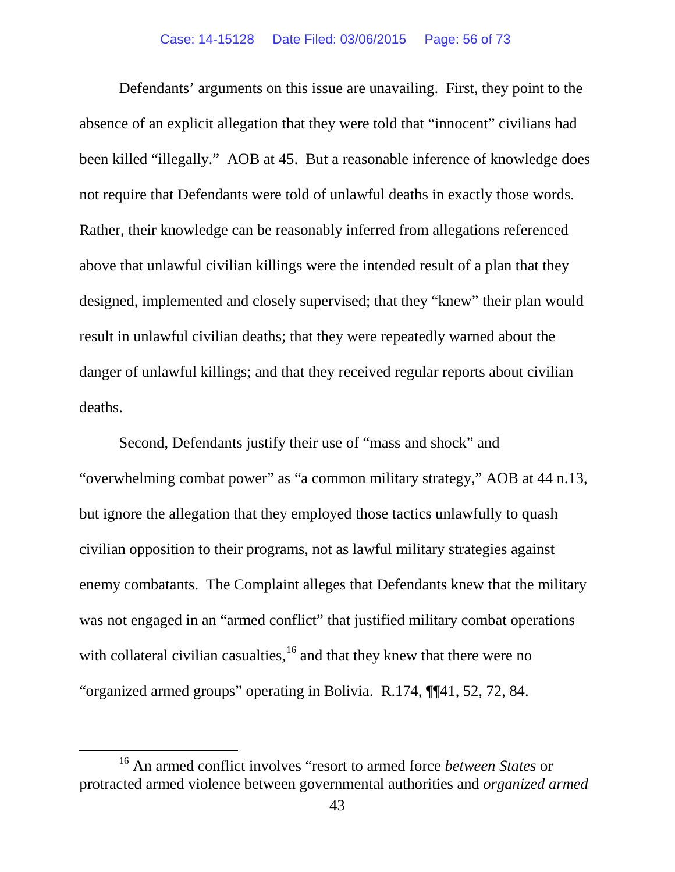Defendants' arguments on this issue are unavailing. First, they point to the absence of an explicit allegation that they were told that "innocent" civilians had been killed "illegally." AOB at 45. But a reasonable inference of knowledge does not require that Defendants were told of unlawful deaths in exactly those words. Rather, their knowledge can be reasonably inferred from allegations referenced above that unlawful civilian killings were the intended result of a plan that they designed, implemented and closely supervised; that they "knew" their plan would result in unlawful civilian deaths; that they were repeatedly warned about the danger of unlawful killings; and that they received regular reports about civilian deaths.

Second, Defendants justify their use of "mass and shock" and "overwhelming combat power" as "a common military strategy," AOB at 44 n.13, but ignore the allegation that they employed those tactics unlawfully to quash civilian opposition to their programs, not as lawful military strategies against enemy combatants. The Complaint alleges that Defendants knew that the military was not engaged in an "armed conflict" that justified military combat operations with collateral civilian casualties, $16$  and that they knew that there were no "organized armed groups" operating in Bolivia. R.174, ¶¶41, 52, 72, 84.

<span id="page-55-0"></span> <sup>16</sup> An armed conflict involves "resort to armed force *between States* or protracted armed violence between governmental authorities and *organized armed*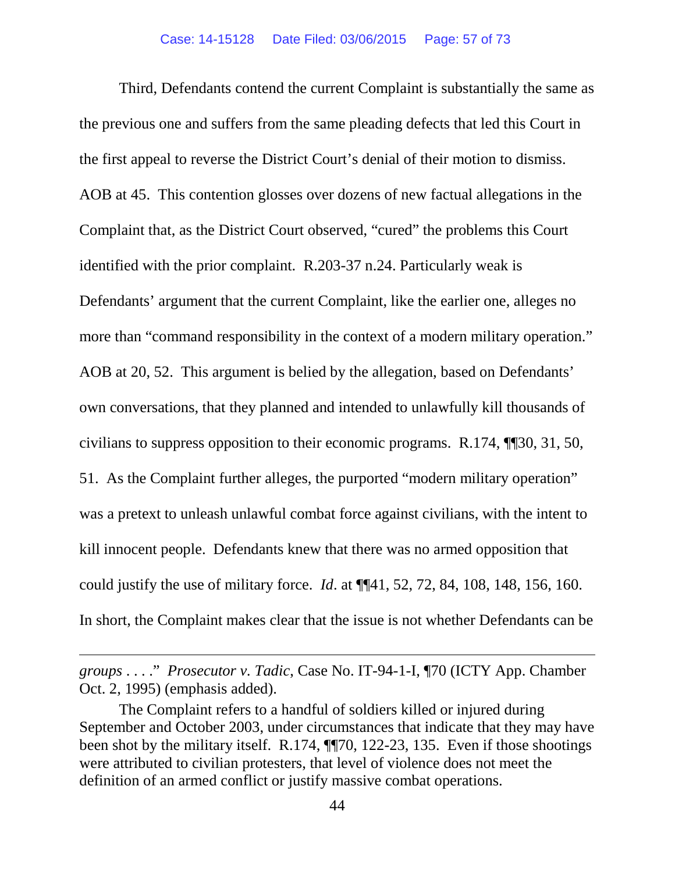Third, Defendants contend the current Complaint is substantially the same as the previous one and suffers from the same pleading defects that led this Court in the first appeal to reverse the District Court's denial of their motion to dismiss. AOB at 45. This contention glosses over dozens of new factual allegations in the Complaint that, as the District Court observed, "cured" the problems this Court identified with the prior complaint. R.203-37 n.24. Particularly weak is Defendants' argument that the current Complaint, like the earlier one, alleges no more than "command responsibility in the context of a modern military operation." AOB at 20, 52. This argument is belied by the allegation, based on Defendants' own conversations, that they planned and intended to unlawfully kill thousands of civilians to suppress opposition to their economic programs. R.174, ¶¶30, 31, 50, 51. As the Complaint further alleges, the purported "modern military operation" was a pretext to unleash unlawful combat force against civilians, with the intent to kill innocent people. Defendants knew that there was no armed opposition that could justify the use of military force. *Id*. at ¶¶41, 52, 72, 84, 108, 148, 156, 160. In short, the Complaint makes clear that the issue is not whether Defendants can be

 $\overline{a}$ 

*groups* . . . ." *Prosecutor v. Tadic*, Case No. IT-94-1-I, ¶70 (ICTY App. Chamber Oct. 2, 1995) (emphasis added).

The Complaint refers to a handful of soldiers killed or injured during September and October 2003, under circumstances that indicate that they may have been shot by the military itself. R.174, ¶¶70, 122-23, 135. Even if those shootings were attributed to civilian protesters, that level of violence does not meet the definition of an armed conflict or justify massive combat operations.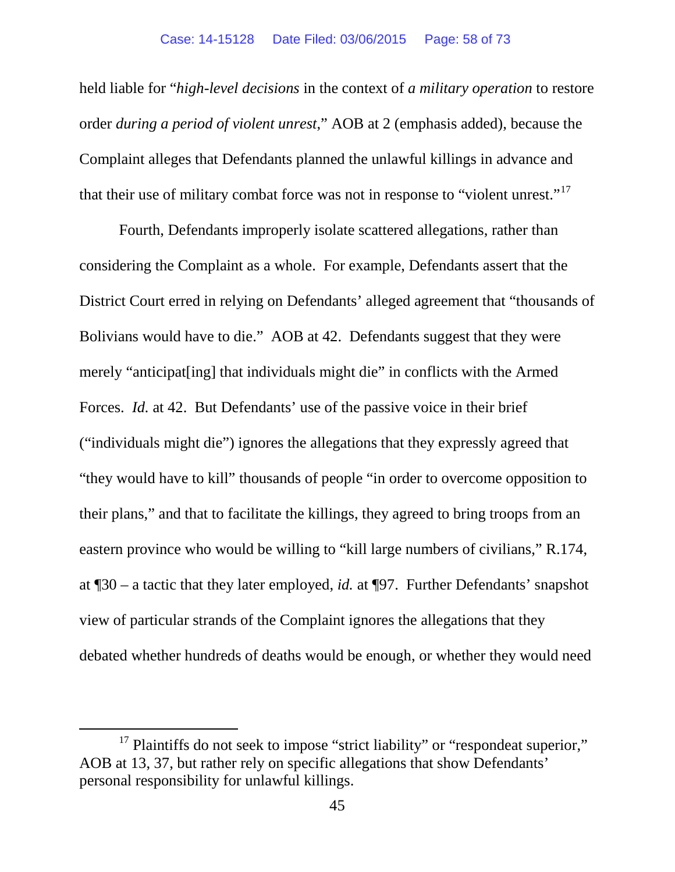held liable for "*high-level decisions* in the context of *a military operation* to restore order *during a period of violent unrest*," AOB at 2 (emphasis added), because the Complaint alleges that Defendants planned the unlawful killings in advance and that their use of military combat force was not in response to "violent unrest."<sup>17</sup>

Fourth, Defendants improperly isolate scattered allegations, rather than considering the Complaint as a whole. For example, Defendants assert that the District Court erred in relying on Defendants' alleged agreement that "thousands of Bolivians would have to die." AOB at 42. Defendants suggest that they were merely "anticipat[ing] that individuals might die" in conflicts with the Armed Forces. *Id.* at 42. But Defendants' use of the passive voice in their brief ("individuals might die") ignores the allegations that they expressly agreed that "they would have to kill" thousands of people "in order to overcome opposition to their plans," and that to facilitate the killings, they agreed to bring troops from an eastern province who would be willing to "kill large numbers of civilians," R.174, at ¶30 – a tactic that they later employed, *id.* at ¶97. Further Defendants' snapshot view of particular strands of the Complaint ignores the allegations that they debated whether hundreds of deaths would be enough, or whether they would need

<span id="page-57-0"></span><sup>&</sup>lt;sup>17</sup> Plaintiffs do not seek to impose "strict liability" or "respondeat superior," AOB at 13, 37, but rather rely on specific allegations that show Defendants' personal responsibility for unlawful killings.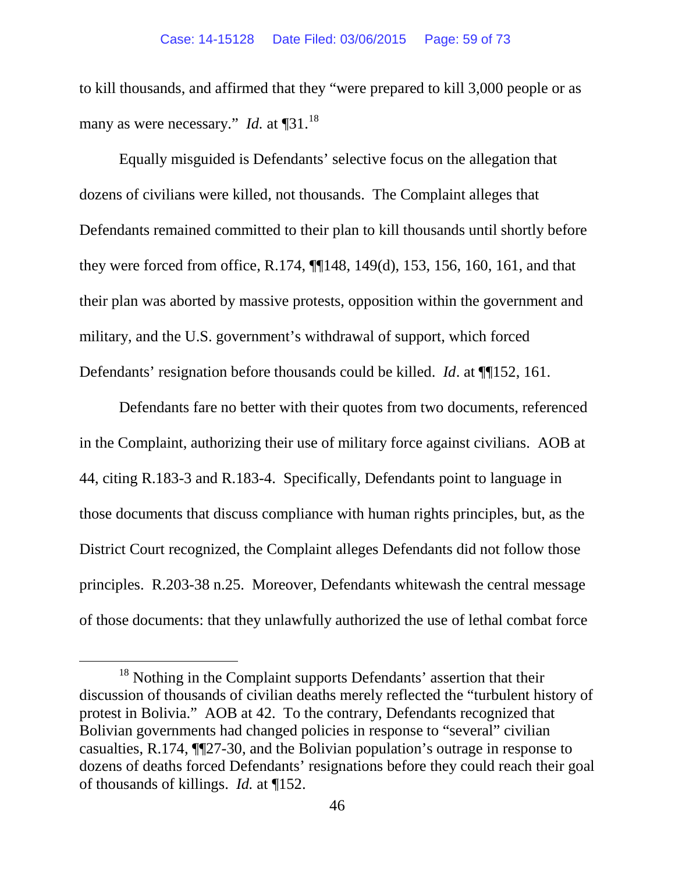to kill thousands, and affirmed that they "were prepared to kill 3,000 people or as many as were necessary." *Id.* at ¶31.<sup>[18](#page-58-0)</sup>

Equally misguided is Defendants' selective focus on the allegation that dozens of civilians were killed, not thousands. The Complaint alleges that Defendants remained committed to their plan to kill thousands until shortly before they were forced from office, R.174, ¶¶148, 149(d), 153, 156, 160, 161, and that their plan was aborted by massive protests, opposition within the government and military, and the U.S. government's withdrawal of support, which forced Defendants' resignation before thousands could be killed. *Id*. at ¶¶152, 161.

Defendants fare no better with their quotes from two documents, referenced in the Complaint, authorizing their use of military force against civilians. AOB at 44, citing R.183-3 and R.183-4. Specifically, Defendants point to language in those documents that discuss compliance with human rights principles, but, as the District Court recognized, the Complaint alleges Defendants did not follow those principles. R.203-38 n.25. Moreover, Defendants whitewash the central message of those documents: that they unlawfully authorized the use of lethal combat force

<span id="page-58-0"></span><sup>&</sup>lt;sup>18</sup> Nothing in the Complaint supports Defendants' assertion that their discussion of thousands of civilian deaths merely reflected the "turbulent history of protest in Bolivia." AOB at 42. To the contrary, Defendants recognized that Bolivian governments had changed policies in response to "several" civilian casualties, R.174, ¶¶27-30, and the Bolivian population's outrage in response to dozens of deaths forced Defendants' resignations before they could reach their goal of thousands of killings. *Id.* at ¶152.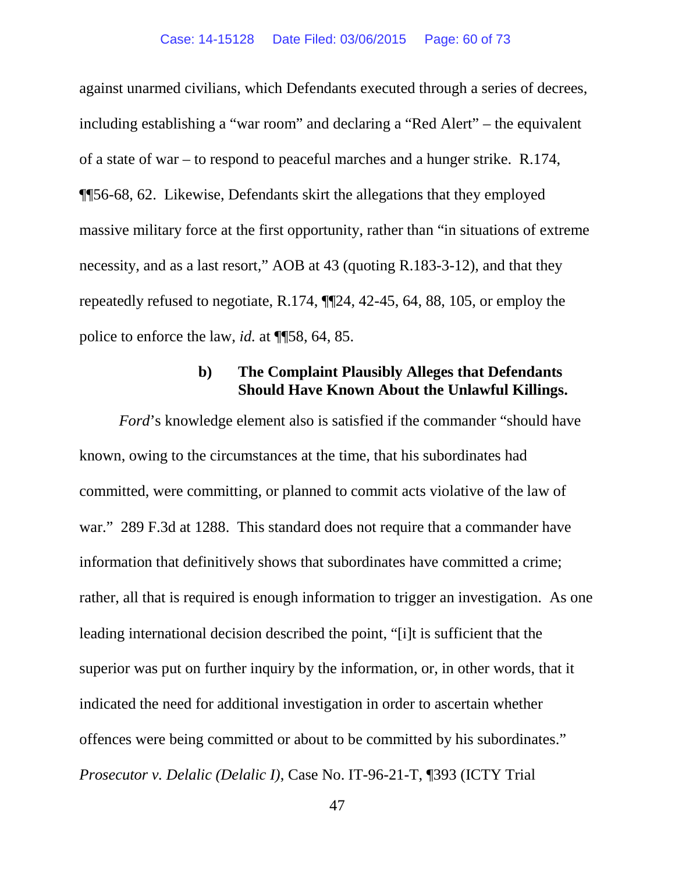against unarmed civilians, which Defendants executed through a series of decrees, including establishing a "war room" and declaring a "Red Alert" – the equivalent of a state of war – to respond to peaceful marches and a hunger strike. R.174, ¶¶56-68, 62. Likewise, Defendants skirt the allegations that they employed massive military force at the first opportunity, rather than "in situations of extreme necessity, and as a last resort," AOB at 43 (quoting R.183-3-12), and that they repeatedly refused to negotiate, R.174, ¶¶24, 42-45, 64, 88, 105, or employ the police to enforce the law, *id.* at ¶¶58, 64, 85.

## **b) The Complaint Plausibly Alleges that Defendants Should Have Known About the Unlawful Killings.**

*Ford*'s knowledge element also is satisfied if the commander "should have known, owing to the circumstances at the time, that his subordinates had committed, were committing, or planned to commit acts violative of the law of war." 289 F.3d at 1288. This standard does not require that a commander have information that definitively shows that subordinates have committed a crime; rather, all that is required is enough information to trigger an investigation. As one leading international decision described the point, "[i]t is sufficient that the superior was put on further inquiry by the information, or, in other words, that it indicated the need for additional investigation in order to ascertain whether offences were being committed or about to be committed by his subordinates." *Prosecutor v. Delalic (Delalic I)*, Case No. IT-96-21-T, ¶393 (ICTY Trial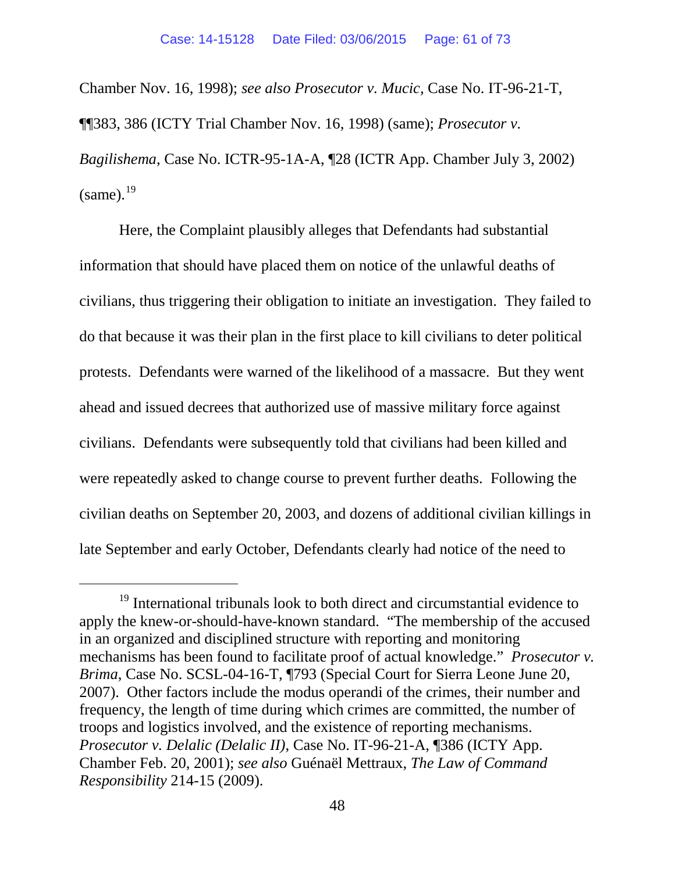Chamber Nov. 16, 1998); *see also Prosecutor v. Mucic,* Case No. IT-96-21-T, ¶¶383, 386 (ICTY Trial Chamber Nov. 16, 1998) (same); *Prosecutor v. Bagilishema*, Case No. ICTR-95-1A-A, ¶28 (ICTR App. Chamber July 3, 2002)  $(same).$ <sup>[19](#page-60-0)</sup>

Here, the Complaint plausibly alleges that Defendants had substantial information that should have placed them on notice of the unlawful deaths of civilians, thus triggering their obligation to initiate an investigation. They failed to do that because it was their plan in the first place to kill civilians to deter political protests. Defendants were warned of the likelihood of a massacre. But they went ahead and issued decrees that authorized use of massive military force against civilians. Defendants were subsequently told that civilians had been killed and were repeatedly asked to change course to prevent further deaths. Following the civilian deaths on September 20, 2003, and dozens of additional civilian killings in late September and early October, Defendants clearly had notice of the need to

<span id="page-60-0"></span><sup>&</sup>lt;sup>19</sup> International tribunals look to both direct and circumstantial evidence to apply the knew-or-should-have-known standard. "The membership of the accused in an organized and disciplined structure with reporting and monitoring mechanisms has been found to facilitate proof of actual knowledge." *Prosecutor v. Brima*, Case No. SCSL-04-16-T, ¶793 (Special Court for Sierra Leone June 20, 2007). Other factors include the modus operandi of the crimes, their number and frequency, the length of time during which crimes are committed, the number of troops and logistics involved, and the existence of reporting mechanisms. *Prosecutor v. Delalic (Delalic II)*, Case No. IT-96-21-A, ¶386 (ICTY App. Chamber Feb. 20, 2001); *see also* Guénaël Mettraux, *The Law of Command Responsibility* 214-15 (2009).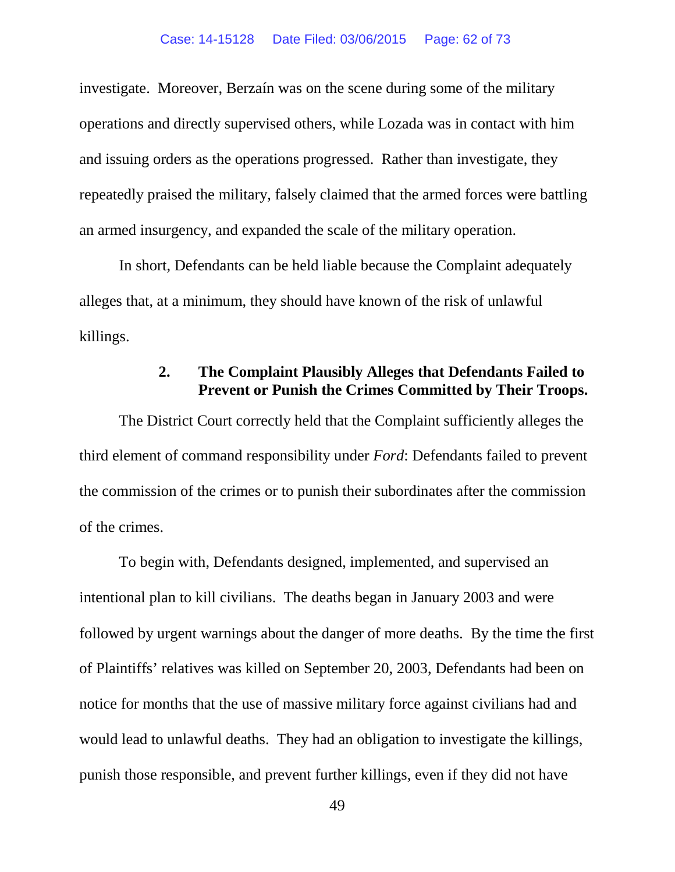investigate. Moreover, Berzaín was on the scene during some of the military operations and directly supervised others, while Lozada was in contact with him and issuing orders as the operations progressed. Rather than investigate, they repeatedly praised the military, falsely claimed that the armed forces were battling an armed insurgency, and expanded the scale of the military operation.

In short, Defendants can be held liable because the Complaint adequately alleges that, at a minimum, they should have known of the risk of unlawful killings.

#### **2. The Complaint Plausibly Alleges that Defendants Failed to Prevent or Punish the Crimes Committed by Their Troops.**

The District Court correctly held that the Complaint sufficiently alleges the third element of command responsibility under *Ford*: Defendants failed to prevent the commission of the crimes or to punish their subordinates after the commission of the crimes.

To begin with, Defendants designed, implemented, and supervised an intentional plan to kill civilians. The deaths began in January 2003 and were followed by urgent warnings about the danger of more deaths. By the time the first of Plaintiffs' relatives was killed on September 20, 2003, Defendants had been on notice for months that the use of massive military force against civilians had and would lead to unlawful deaths. They had an obligation to investigate the killings, punish those responsible, and prevent further killings, even if they did not have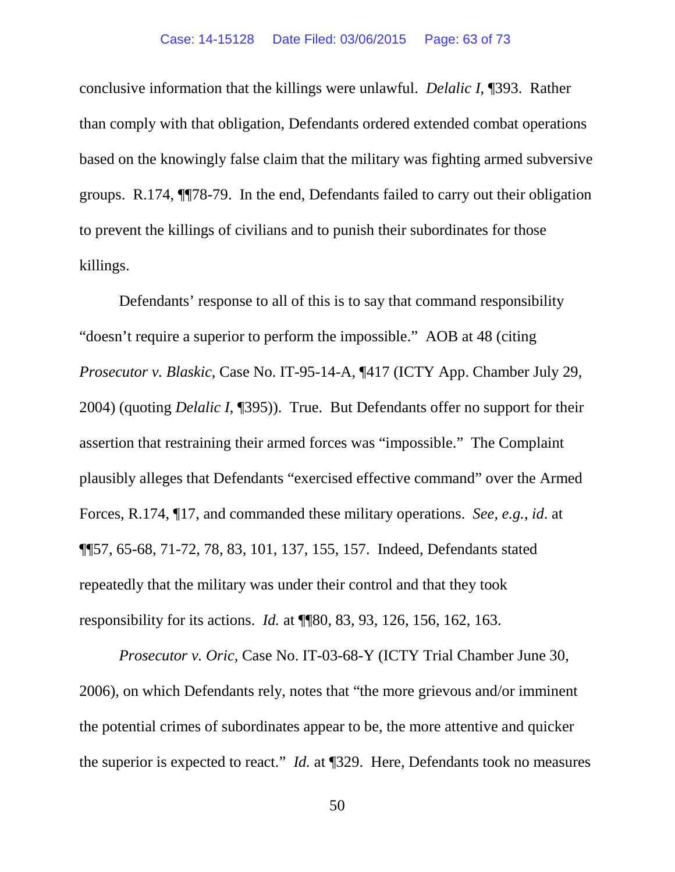conclusive information that the killings were unlawful. *Delalic I*, ¶393. Rather than comply with that obligation, Defendants ordered extended combat operations based on the knowingly false claim that the military was fighting armed subversive groups. R.174, ¶¶78-79. In the end, Defendants failed to carry out their obligation to prevent the killings of civilians and to punish their subordinates for those killings.

Defendants' response to all of this is to say that command responsibility "doesn't require a superior to perform the impossible." AOB at 48 (citing *Prosecutor v. Blaskic*, Case No. IT-95-14-A, ¶417 (ICTY App. Chamber July 29, 2004) (quoting *Delalic I*, ¶395)). True. But Defendants offer no support for their assertion that restraining their armed forces was "impossible." The Complaint plausibly alleges that Defendants "exercised effective command" over the Armed Forces, R.174, ¶17, and commanded these military operations. *See, e.g.*, *id*. at ¶¶57, 65-68, 71-72, 78, 83, 101, 137, 155, 157. Indeed, Defendants stated repeatedly that the military was under their control and that they took responsibility for its actions. *Id.* at ¶¶80, 83, 93, 126, 156, 162, 163.

*Prosecutor v. Oric*, Case No. IT-03-68-Y (ICTY Trial Chamber June 30, 2006), on which Defendants rely, notes that "the more grievous and/or imminent the potential crimes of subordinates appear to be, the more attentive and quicker the superior is expected to react." *Id.* at ¶329. Here, Defendants took no measures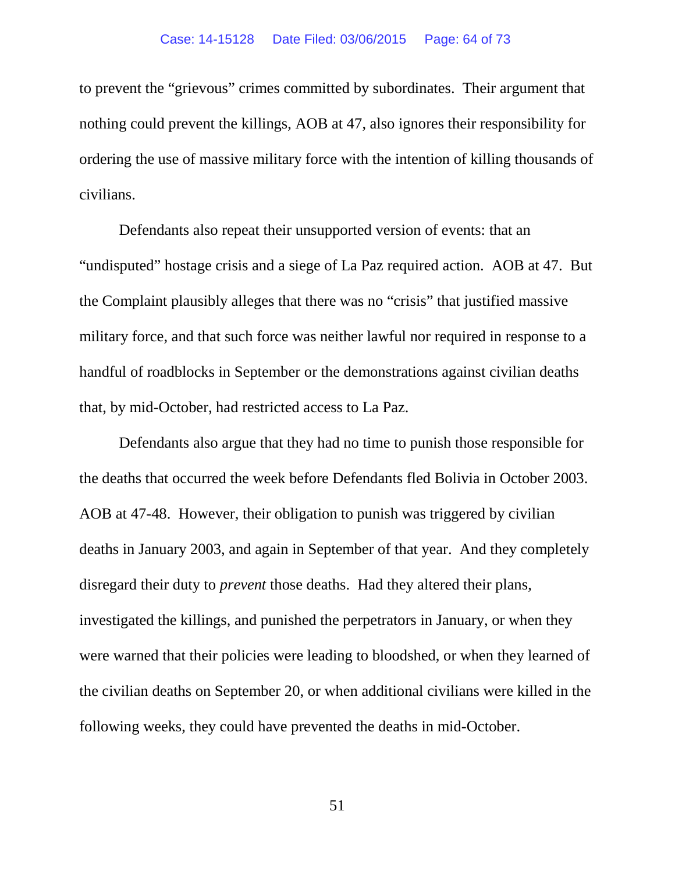to prevent the "grievous" crimes committed by subordinates. Their argument that nothing could prevent the killings, AOB at 47, also ignores their responsibility for ordering the use of massive military force with the intention of killing thousands of civilians.

Defendants also repeat their unsupported version of events: that an "undisputed" hostage crisis and a siege of La Paz required action. AOB at 47. But the Complaint plausibly alleges that there was no "crisis" that justified massive military force, and that such force was neither lawful nor required in response to a handful of roadblocks in September or the demonstrations against civilian deaths that, by mid-October, had restricted access to La Paz.

Defendants also argue that they had no time to punish those responsible for the deaths that occurred the week before Defendants fled Bolivia in October 2003. AOB at 47-48. However, their obligation to punish was triggered by civilian deaths in January 2003, and again in September of that year. And they completely disregard their duty to *prevent* those deaths. Had they altered their plans, investigated the killings, and punished the perpetrators in January, or when they were warned that their policies were leading to bloodshed, or when they learned of the civilian deaths on September 20, or when additional civilians were killed in the following weeks, they could have prevented the deaths in mid-October.

51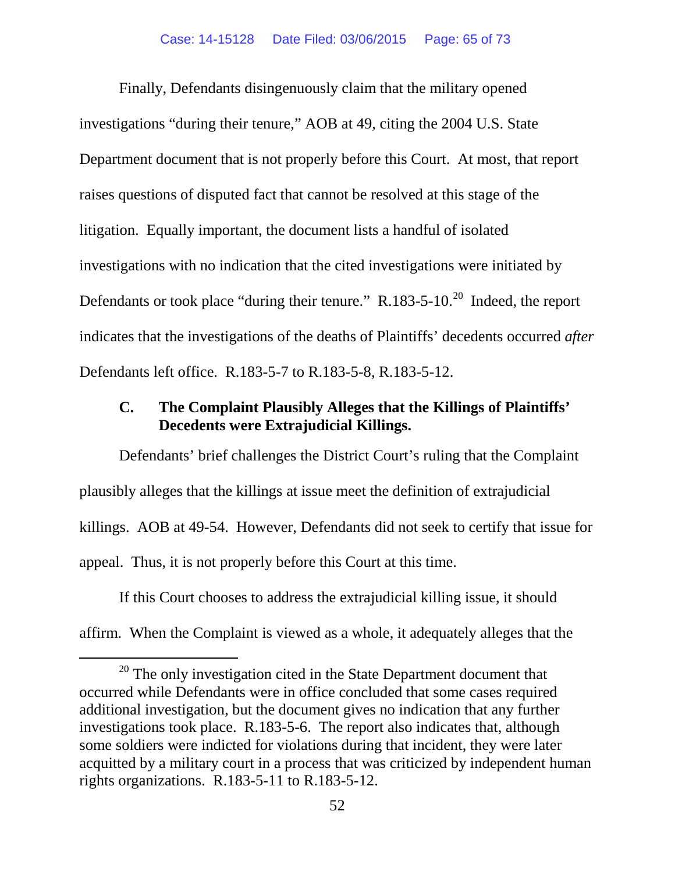Finally, Defendants disingenuously claim that the military opened investigations "during their tenure," AOB at 49, citing the 2004 U.S. State Department document that is not properly before this Court. At most, that report raises questions of disputed fact that cannot be resolved at this stage of the litigation. Equally important, the document lists a handful of isolated investigations with no indication that the cited investigations were initiated by Defendants or took place "during their tenure."  $R.183-5-10^{20}$  $R.183-5-10^{20}$  $R.183-5-10^{20}$  Indeed, the report indicates that the investigations of the deaths of Plaintiffs' decedents occurred *after*  Defendants left office. R.183-5-7 to R.183-5-8, R.183-5-12.

## **C. The Complaint Plausibly Alleges that the Killings of Plaintiffs' Decedents were Extrajudicial Killings.**

Defendants' brief challenges the District Court's ruling that the Complaint plausibly alleges that the killings at issue meet the definition of extrajudicial killings. AOB at 49-54. However, Defendants did not seek to certify that issue for appeal. Thus, it is not properly before this Court at this time.

If this Court chooses to address the extrajudicial killing issue, it should affirm. When the Complaint is viewed as a whole, it adequately alleges that the

<span id="page-64-0"></span><sup>&</sup>lt;sup>20</sup> The only investigation cited in the State Department document that occurred while Defendants were in office concluded that some cases required additional investigation, but the document gives no indication that any further investigations took place. R.183-5-6. The report also indicates that, although some soldiers were indicted for violations during that incident, they were later acquitted by a military court in a process that was criticized by independent human rights organizations. R.183-5-11 to R.183-5-12.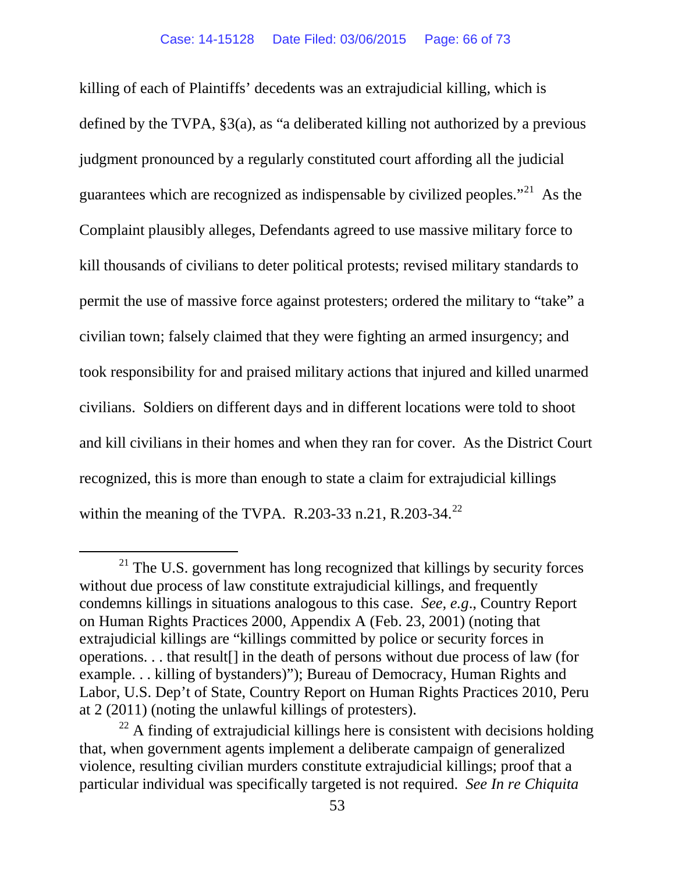killing of each of Plaintiffs' decedents was an extrajudicial killing, which is defined by the TVPA, §3(a), as "a deliberated killing not authorized by a previous judgment pronounced by a regularly constituted court affording all the judicial guarantees which are recognized as indispensable by civilized peoples."<sup>21</sup> As the Complaint plausibly alleges, Defendants agreed to use massive military force to kill thousands of civilians to deter political protests; revised military standards to permit the use of massive force against protesters; ordered the military to "take" a civilian town; falsely claimed that they were fighting an armed insurgency; and took responsibility for and praised military actions that injured and killed unarmed civilians. Soldiers on different days and in different locations were told to shoot and kill civilians in their homes and when they ran for cover. As the District Court recognized, this is more than enough to state a claim for extrajudicial killings within the meaning of the TVPA. R.203-33 n.21, R.203-34.<sup>[22](#page-65-1)</sup>

<span id="page-65-0"></span> $21$  The U.S. government has long recognized that killings by security forces without due process of law constitute extrajudicial killings, and frequently condemns killings in situations analogous to this case. *See, e.g*., Country Report on Human Rights Practices 2000, Appendix A (Feb. 23, 2001) (noting that extrajudicial killings are "killings committed by police or security forces in operations. . . that result[] in the death of persons without due process of law (for example. . . killing of bystanders)"); Bureau of Democracy, Human Rights and Labor, U.S. Dep't of State, Country Report on Human Rights Practices 2010, Peru at 2 (2011) (noting the unlawful killings of protesters).

<span id="page-65-1"></span> $22$  A finding of extrajudicial killings here is consistent with decisions holding that, when government agents implement a deliberate campaign of generalized violence, resulting civilian murders constitute extrajudicial killings; proof that a particular individual was specifically targeted is not required. *See In re Chiquita*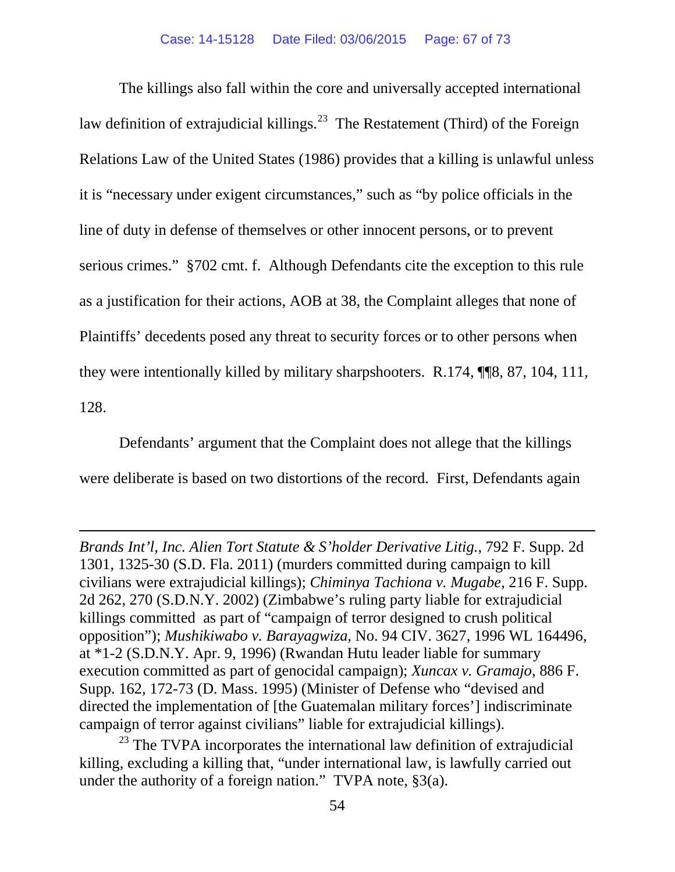The killings also fall within the core and universally accepted international law definition of extrajudicial killings.<sup>[23](#page-66-0)</sup> The Restatement (Third) of the Foreign Relations Law of the United States (1986) provides that a killing is unlawful unless it is "necessary under exigent circumstances," such as "by police officials in the line of duty in defense of themselves or other innocent persons, or to prevent serious crimes." §702 cmt. f. Although Defendants cite the exception to this rule as a justification for their actions, AOB at 38, the Complaint alleges that none of Plaintiffs' decedents posed any threat to security forces or to other persons when they were intentionally killed by military sharpshooters. R.174, ¶¶8, 87, 104, 111, 128.

Defendants' argument that the Complaint does not allege that the killings were deliberate is based on two distortions of the record. First, Defendants again

 $\overline{a}$ 

*Brands Int'l, Inc. Alien Tort Statute & S'holder Derivative Litig.*, 792 F. Supp. 2d 1301, 1325-30 (S.D. Fla. 2011) (murders committed during campaign to kill civilians were extrajudicial killings); *Chiminya Tachiona v. Mugabe*, 216 F. Supp. 2d 262, 270 (S.D.N.Y. 2002) (Zimbabwe's ruling party liable for extrajudicial killings committed as part of "campaign of terror designed to crush political opposition"); *Mushikiwabo v. Barayagwiza*, No. 94 CIV. 3627, 1996 WL 164496, at \*1-2 (S.D.N.Y. Apr. 9, 1996) (Rwandan Hutu leader liable for summary execution committed as part of genocidal campaign); *Xuncax v. Gramajo*, 886 F. Supp. 162, 172-73 (D. Mass. 1995) (Minister of Defense who "devised and directed the implementation of [the Guatemalan military forces'] indiscriminate campaign of terror against civilians" liable for extrajudicial killings).

<span id="page-66-0"></span> $23$  The TVPA incorporates the international law definition of extrajudicial killing, excluding a killing that, "under international law, is lawfully carried out under the authority of a foreign nation." TVPA note, §3(a).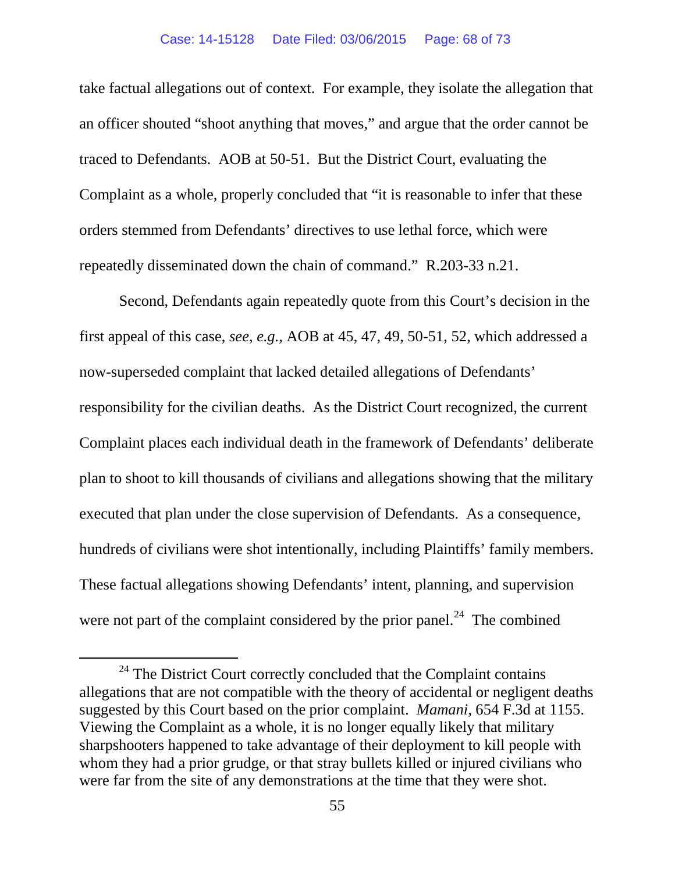take factual allegations out of context. For example, they isolate the allegation that an officer shouted "shoot anything that moves," and argue that the order cannot be traced to Defendants. AOB at 50-51. But the District Court, evaluating the Complaint as a whole, properly concluded that "it is reasonable to infer that these orders stemmed from Defendants' directives to use lethal force, which were repeatedly disseminated down the chain of command." R.203-33 n.21.

Second, Defendants again repeatedly quote from this Court's decision in the first appeal of this case, *see, e.g.,* AOB at 45, 47, 49, 50-51, 52, which addressed a now-superseded complaint that lacked detailed allegations of Defendants' responsibility for the civilian deaths. As the District Court recognized, the current Complaint places each individual death in the framework of Defendants' deliberate plan to shoot to kill thousands of civilians and allegations showing that the military executed that plan under the close supervision of Defendants. As a consequence, hundreds of civilians were shot intentionally, including Plaintiffs' family members. These factual allegations showing Defendants' intent, planning, and supervision were not part of the complaint considered by the prior panel.<sup>[24](#page-67-0)</sup> The combined

<span id="page-67-0"></span><sup>&</sup>lt;sup>24</sup> The District Court correctly concluded that the Complaint contains allegations that are not compatible with the theory of accidental or negligent deaths suggested by this Court based on the prior complaint. *Mamani*, 654 F.3d at 1155. Viewing the Complaint as a whole, it is no longer equally likely that military sharpshooters happened to take advantage of their deployment to kill people with whom they had a prior grudge, or that stray bullets killed or injured civilians who were far from the site of any demonstrations at the time that they were shot.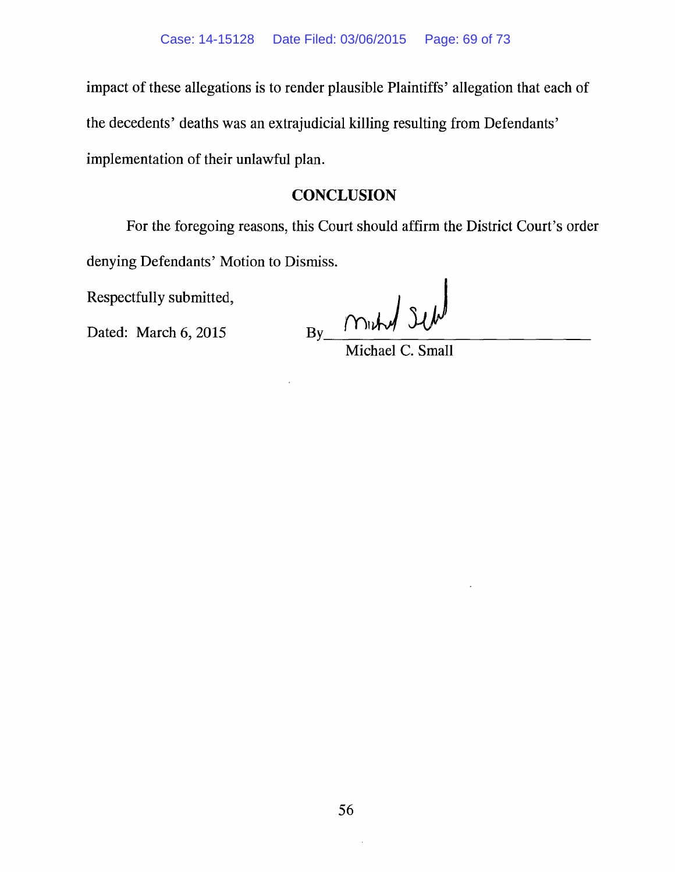impact of these allegations is to render plausible Plaintiffs' allegation that each of the decedents' deaths was an extrajudicial killing resulting from Defendants' implementation of their unlawful plan.

#### **CONCLUSION**

For the foregoing reasons, this Court should affirm the District Court's order denying Defendants' Motion to Dismiss.

Respectfully submitted,

Dated: March 6, 2015

 $By$  Michael C. Small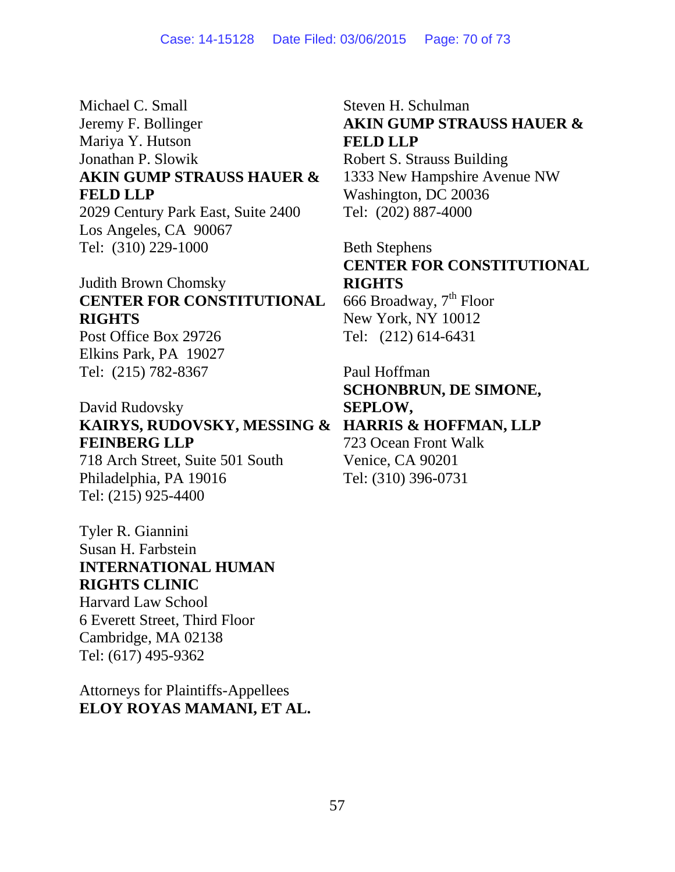Michael C. Small Jeremy F. Bollinger Mariya Y. Hutson Jonathan P. Slowik **AKIN GUMP STRAUSS HAUER & FELD LLP** 2029 Century Park East, Suite 2400

Los Angeles, CA 90067 Tel: (310) 229-1000

# Judith Brown Chomsky **CENTER FOR CONSTITUTIONAL RIGHTS**

Post Office Box 29726 Elkins Park, PA 19027 Tel: (215) 782-8367

David Rudovsky **KAIRYS, RUDOVSKY, MESSING & HARRIS & HOFFMAN, LLP FEINBERG LLP**

718 Arch Street, Suite 501 South Philadelphia, PA 19016 Tel: (215) 925-4400

Tyler R. Giannini Susan H. Farbstein **INTERNATIONAL HUMAN RIGHTS CLINIC**  Harvard Law School 6 Everett Street, Third Floor

Cambridge, MA 02138 Tel: (617) 495-9362

Attorneys for Plaintiffs-Appellees **ELOY ROYAS MAMANI, ET AL.**

Steven H. Schulman **AKIN GUMP STRAUSS HAUER & FELD LLP** Robert S. Strauss Building 1333 New Hampshire Avenue NW Washington, DC 20036 Tel: (202) 887-4000

Beth Stephens **CENTER FOR CONSTITUTIONAL RIGHTS**

666 Broadway, 7<sup>th</sup> Floor New York, NY 10012 Tel: (212) 614-6431

Paul Hoffman **SCHONBRUN, DE SIMONE, SEPLOW,** 723 Ocean Front Walk Venice, CA 90201 Tel: (310) 396-0731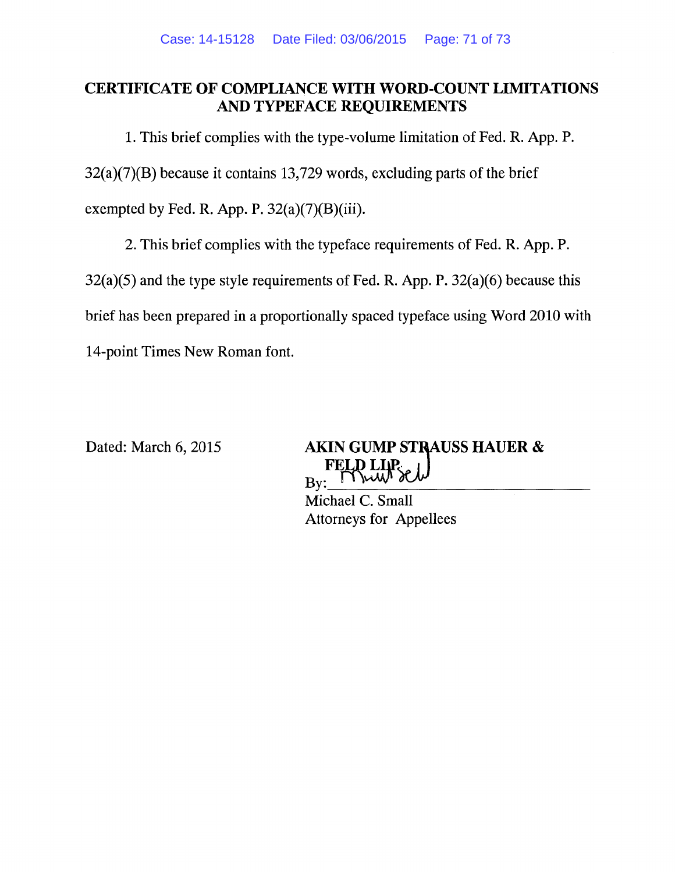### **CERTIFICATE OF COMPLIANCE WITH WORD-COUNT LIMITATIONS AND TYPEFACE REQUIREMENTS**

1. This brief complies with the type-volume limitation of Fed. R. App. P.

 $32(a)(7)(B)$  because it contains 13,729 words, excluding parts of the brief

exempted by Fed. R. App. P.  $32(a)(7)(B)(iii)$ .

2. This brief complies with the typeface requirements of Fed. R. App. P.

 $32(a)(5)$  and the type style requirements of Fed. R. App. P.  $32(a)(6)$  because this

brief has been prepared in a proportionally spaced typeface using Word 2010 with

14-point Times New Roman font.

Dated: March 6, 2015

**AKIN GUMP STRAUSS HAUER &** Mut Bv:

Michael C. Small **Attorneys for Appellees**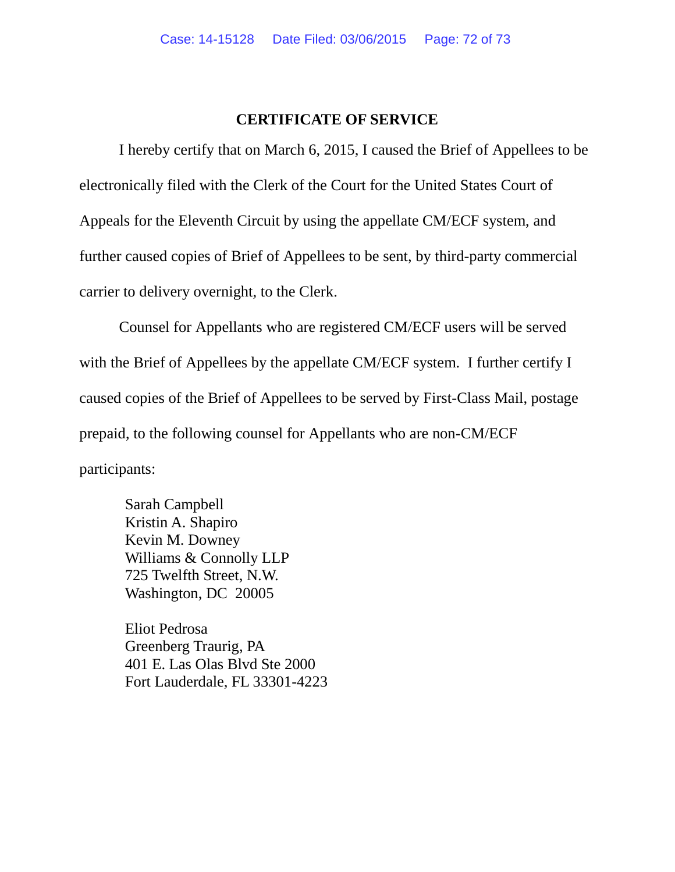#### **CERTIFICATE OF SERVICE**

I hereby certify that on March 6, 2015, I caused the Brief of Appellees to be electronically filed with the Clerk of the Court for the United States Court of Appeals for the Eleventh Circuit by using the appellate CM/ECF system, and further caused copies of Brief of Appellees to be sent, by third-party commercial carrier to delivery overnight, to the Clerk.

Counsel for Appellants who are registered CM/ECF users will be served with the Brief of Appellees by the appellate CM/ECF system. I further certify I caused copies of the Brief of Appellees to be served by First-Class Mail, postage prepaid, to the following counsel for Appellants who are non-CM/ECF participants:

Sarah Campbell Kristin A. Shapiro Kevin M. Downey Williams & Connolly LLP 725 Twelfth Street, N.W. Washington, DC 20005

Eliot Pedrosa Greenberg Traurig, PA 401 E. Las Olas Blvd Ste 2000 Fort Lauderdale, FL 33301-4223